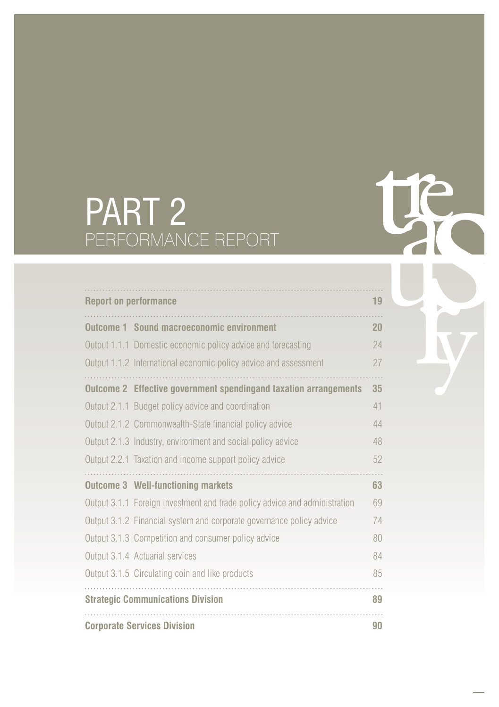# PART 2 PERFORMANCE REPORT

| <b>Report on performance</b>                                               | 19 |
|----------------------------------------------------------------------------|----|
| <b>Outcome 1 Sound macroeconomic environment</b>                           | 20 |
| Output 1.1.1 Domestic economic policy advice and forecasting               | 24 |
| Output 1.1.2 International economic policy advice and assessment           | 27 |
| <b>Outcome 2 Effective government spendingand taxation arrangements</b>    | 35 |
| Output 2.1.1 Budget policy advice and coordination                         | 41 |
| Output 2.1.2 Commonwealth-State financial policy advice                    | 44 |
| Output 2.1.3 Industry, environment and social policy advice                | 48 |
| Output 2.2.1 Taxation and income support policy advice                     | 52 |
| <b>Outcome 3 Well-functioning markets</b>                                  | 63 |
| Output 3.1.1 Foreign investment and trade policy advice and administration | 69 |
| Output 3.1.2 Financial system and corporate governance policy advice       | 74 |
| Output 3.1.3 Competition and consumer policy advice                        | 80 |
| Output 3.1.4 Actuarial services                                            | 84 |
| Output 3.1.5 Circulating coin and like products                            | 85 |
| <b>Strategic Communications Division</b>                                   | 89 |
| <b>Corporate Services Division</b>                                         | 90 |

te

Þ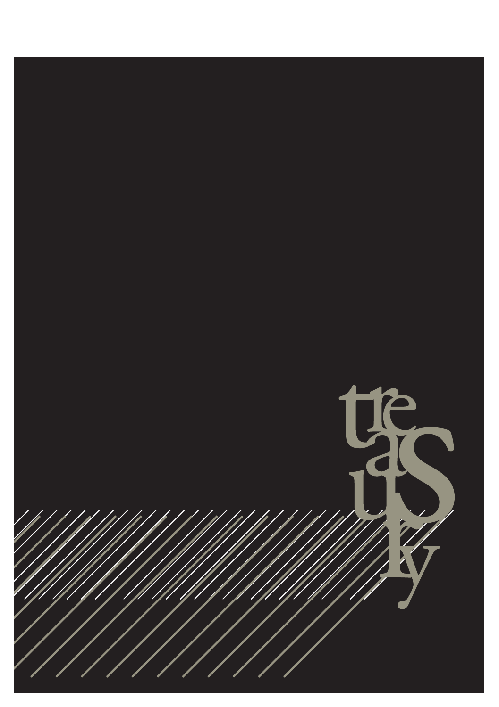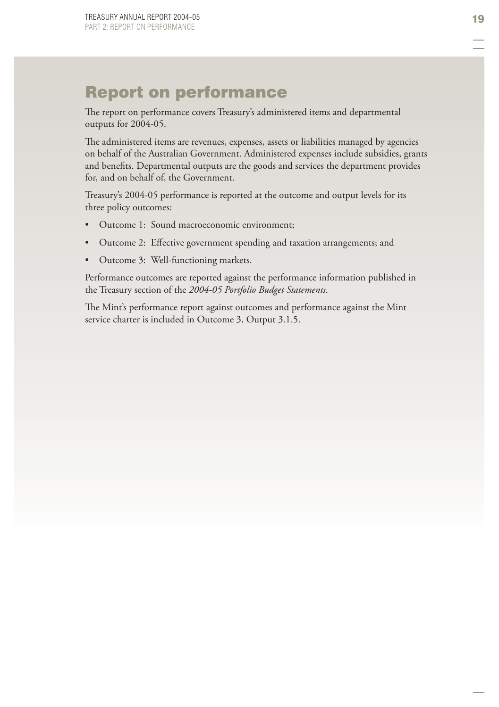# Report on performance

The report on performance covers Treasury's administered items and departmental outputs for 2004-05.

The administered items are revenues, expenses, assets or liabilities managed by agencies on behalf of the Australian Government. Administered expenses include subsidies, grants and benefits. Departmental outputs are the goods and services the department provides for, and on behalf of, the Government.

Treasury's 2004-05 performance is reported at the outcome and output levels for its three policy outcomes:

- Outcome 1: Sound macroeconomic environment; •
- Outcome 2: Effective government spending and taxation arrangements; and •
- Outcome 3: Well-functioning markets. •

Performance outcomes are reported against the performance information published in the Treasury section of the *2004-05 Portfolio Budget Statements*.

The Mint's performance report against outcomes and performance against the Mint service charter is included in Outcome 3, Output 3.1.5.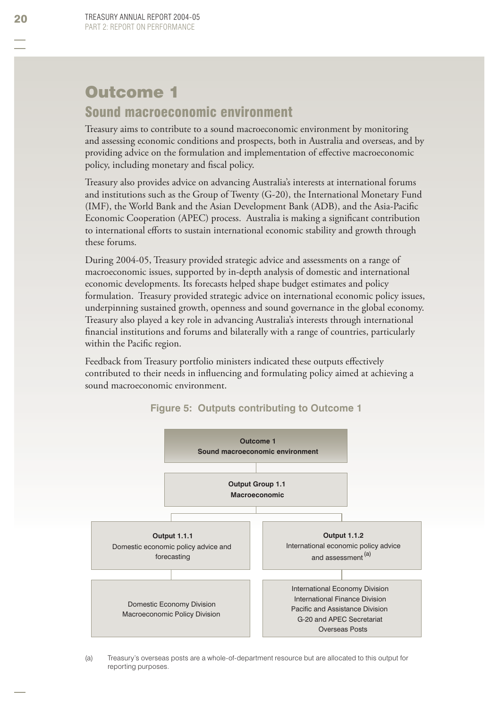# Outcome 1 Sound macroeconomic environment

Treasury aims to contribute to a sound macroeconomic environment by monitoring and assessing economic conditions and prospects, both in Australia and overseas, and by providing advice on the formulation and implementation of effective macroeconomic policy, including monetary and fiscal policy.

Treasury also provides advice on advancing Australia's interests at international forums and institutions such as the Group of Twenty (G-20), the International Monetary Fund (IMF), the World Bank and the Asian Development Bank (ADB), and the Asia-Pacifi c Economic Cooperation (APEC) process. Australia is making a significant contribution to international efforts to sustain international economic stability and growth through these forums.

During 2004-05, Treasury provided strategic advice and assessments on a range of macroeconomic issues, supported by in-depth analysis of domestic and international economic developments. Its forecasts helped shape budget estimates and policy formulation. Treasury provided strategic advice on international economic policy issues, underpinning sustained growth, openness and sound governance in the global economy. Treasury also played a key role in advancing Australia's interests through international financial institutions and forums and bilaterally with a range of countries, particularly within the Pacific region.

Feedback from Treasury portfolio ministers indicated these outputs effectively contributed to their needs in influencing and formulating policy aimed at achieving a sound macroeconomic environment.



**Figure 5: Outputs contributing to Outcome 1** 

<sup>(</sup>a) Treasury's overseas posts are a whole-of-department resource but are allocated to this output for reporting purposes.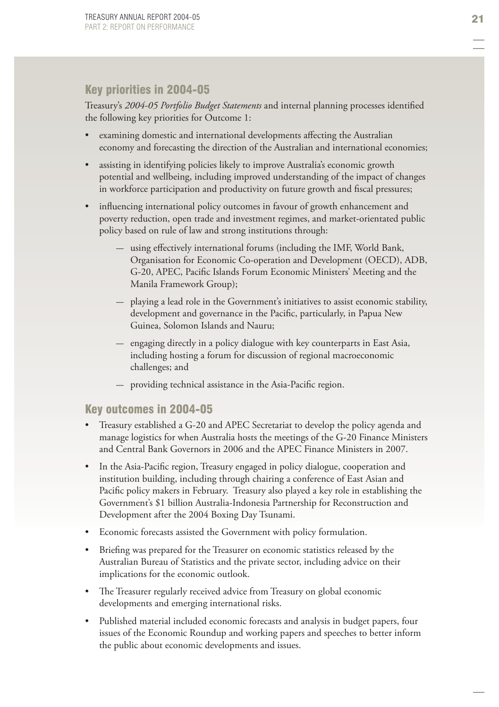# Key priorities in 2004-05

Treasury's 2004-05 Portfolio Budget Statements and internal planning processes identified the following key priorities for Outcome 1:

- examining domestic and international developments affecting the Australian economy and forecasting the direction of the Australian and international economies; •
- assisting in identifying policies likely to improve Australia's economic growth potential and wellbeing, including improved understanding of the impact of changes in workforce participation and productivity on future growth and fiscal pressures; •
- influencing international policy outcomes in favour of growth enhancement and poverty reduction, open trade and investment regimes, and market-orientated public policy based on rule of law and strong institutions through: •
	- $-$  using effectively international forums (including the IMF, World Bank, Organisation for Economic Co-operation and Development (OECD), ADB, G-20, APEC, Pacific Islands Forum Economic Ministers' Meeting and the Manila Framework Group);
	- playing a lead role in the Government's initiatives to assist economic stability, development and governance in the Pacific, particularly, in Papua New Guinea, Solomon Islands and Nauru;
	- $-$  engaging directly in a policy dialogue with key counterparts in East Asia, including hosting a forum for discussion of regional macroeconomic challenges; and
	- providing technical assistance in the Asia-Pacific region.

# Key outcomes in 2004-05

- Treasury established a G-20 and APEC Secretariat to develop the policy agenda and manage logistics for when Australia hosts the meetings of the G-20 Finance Ministers and Central Bank Governors in 2006 and the APEC Finance Ministers in 2007. •
- In the Asia-Pacific region, Treasury engaged in policy dialogue, cooperation and institution building, including through chairing a conference of East Asian and Pacific policy makers in February. Treasury also played a key role in establishing the Government's \$1 billion Australia-Indonesia Partnership for Reconstruction and Development after the 2004 Boxing Day Tsunami. •
- Economic forecasts assisted the Government with policy formulation. •
- Briefing was prepared for the Treasurer on economic statistics released by the Australian Bureau of Statistics and the private sector, including advice on their implications for the economic outlook. •
- The Treasurer regularly received advice from Treasury on global economic developments and emerging international risks.
- Published material included economic forecasts and analysis in budget papers, four issues of the Economic Roundup and working papers and speeches to better inform the public about economic developments and issues. •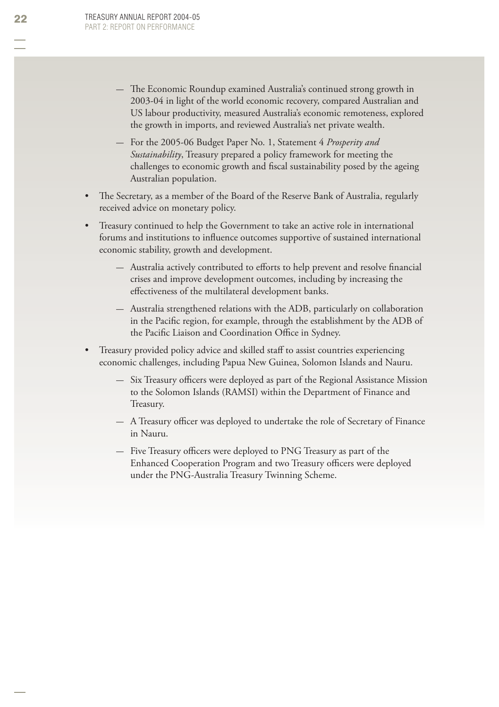- The Economic Roundup examined Australia's continued strong growth in 2003-04 in light of the world economic recovery, compared Australian and US labour productivity, measured Australia's economic remoteness, explored the growth in imports, and reviewed Australia's net private wealth.
- For the 2005-06 Budget Paper No. 1, Statement 4 *Prosperity and Sustainability*, Treasury prepared a policy framework for meeting the challenges to economic growth and fiscal sustainability posed by the ageing Australian population.
- The Secretary, as a member of the Board of the Reserve Bank of Australia, regularly received advice on monetary policy. •
- Treasury continued to help the Government to take an active role in international forums and institutions to influence outcomes supportive of sustained international economic stability, growth and development. •
	- $-$  Australia actively contributed to efforts to help prevent and resolve financial crises and improve development outcomes, including by increasing the effectiveness of the multilateral development banks.
	- Australia strengthened relations with the ADB, particularly on collaboration in the Pacific region, for example, through the establishment by the ADB of the Pacific Liaison and Coordination Office in Sydney.
- Treasury provided policy advice and skilled staff to assist countries experiencing economic challenges, including Papua New Guinea, Solomon Islands and Nauru. •
	- $-$  Six Treasury officers were deployed as part of the Regional Assistance Mission to the Solomon Islands (RAMSI) within the Department of Finance and Treasury.
	- $-$  A Treasury officer was deployed to undertake the role of Secretary of Finance in Nauru.
	- Five Treasury officers were deployed to PNG Treasury as part of the Enhanced Cooperation Program and two Treasury officers were deployed under the PNG-Australia Treasury Twinning Scheme .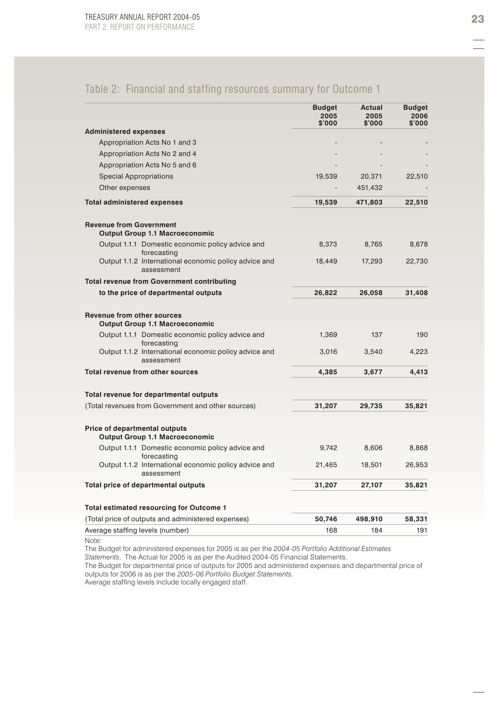# Table 2: Financial and staffing resources summary for Outcome 1

|                                                                                                    | <b>Budget</b><br>2005<br>\$'000 | Actual<br>2005<br>\$'000 | <b>Budget</b><br>2006<br>\$'000 |
|----------------------------------------------------------------------------------------------------|---------------------------------|--------------------------|---------------------------------|
| <b>Administered expenses</b>                                                                       |                                 |                          |                                 |
| Appropriation Acts No 1 and 3                                                                      |                                 |                          |                                 |
| Appropriation Acts No 2 and 4                                                                      |                                 |                          |                                 |
| Appropriation Acts No 5 and 6                                                                      |                                 |                          |                                 |
| <b>Special Appropriations</b>                                                                      | 19,539                          | 20,371                   | 22,510                          |
| Other expenses                                                                                     |                                 | 451,432                  |                                 |
| <b>Total administered expenses</b>                                                                 | 19,539                          | 471,803                  | 22,510                          |
| <b>Revenue from Government</b><br><b>Output Group 1.1 Macroeconomic</b>                            |                                 |                          |                                 |
| Output 1.1.1 Domestic economic policy advice and<br>forecasting                                    | 8,373                           | 8,765                    | 8,678                           |
| Output 1.1.2 International economic policy advice and<br>assessment                                | 18,449                          | 17,293                   | 22,730                          |
| <b>Total revenue from Government contributing</b>                                                  |                                 |                          |                                 |
| to the price of departmental outputs                                                               | 26,822                          | 26,058                   | 31,408                          |
| <b>Revenue from other sources</b><br><b>Output Group 1.1 Macroeconomic</b>                         |                                 |                          |                                 |
| Output 1.1.1 Domestic economic policy advice and<br>forecasting                                    | 1,369                           | 137                      | 190                             |
| Output 1.1.2 International economic policy advice and<br>assessment                                | 3,016                           | 3,540                    | 4,223                           |
| Total revenue from other sources                                                                   | 4,385                           | 3,677                    | 4,413                           |
| Total revenue for departmental outputs                                                             |                                 |                          |                                 |
| (Total revenues from Government and other sources)                                                 | 31,207                          | 29,735                   | 35,821                          |
| <b>Price of departmental outputs</b><br><b>Output Group 1.1 Macroeconomic</b>                      |                                 |                          |                                 |
| Output 1.1.1 Domestic economic policy advice and<br>forecasting                                    | 9,742                           | 8,606                    | 8,868                           |
| Output 1.1.2 International economic policy advice and<br>assessment                                | 21,465                          | 18,501                   | 26,953                          |
| Total price of departmental outputs                                                                | 31,207                          | 27,107                   | 35,821                          |
| Total estimated resourcing for Outcome 1                                                           |                                 |                          |                                 |
| (Total price of outputs and administered expenses)                                                 | 50,746                          | 498,910                  | 58,331                          |
| Average staffing levels (number)                                                                   | 168                             | 184                      | 191                             |
| Note:                                                                                              |                                 |                          |                                 |
| The Budget for administered expenses for 2005 is as per the 2004-05 Portfolio Additional Estimates |                                 |                          |                                 |

*Statements*. The Actual for 2005 is as per the Audited 2004-05 Financial Statements.

The Budget for departmental price of outputs for 2005 and administered expenses and departmental price of outputs for 2006 is as per the *2005-06 Portfolio Budget Statements*.

Average staffing levels include locally engaged staff.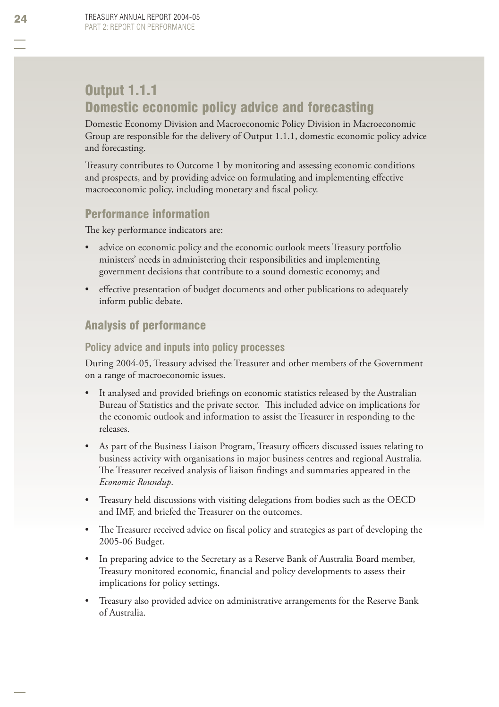# Output 1.1.1 Domestic economic policy advice and forecasting

Domestic Economy Division and Macroeconomic Policy Division in Macroeconomic Group are responsible for the delivery of Output 1.1.1, domestic economic policy advice and forecasting.

Treasury contributes to Outcome 1 by monitoring and assessing economic conditions and prospects, and by providing advice on formulating and implementing effective macroeconomic policy, including monetary and fiscal policy.

# Performance information

The key performance indicators are:

- advice on economic policy and the economic outlook meets Treasury portfolio ministers' needs in administering their responsibilities and implementing government decisions that contribute to a sound domestic economy; and •
- effective presentation of budget documents and other publications to adequately inform public debate. •

# Analysis of performance

### **Policy advice and inputs into policy processes**

During 2004-05, Treasury advised the Treasurer and other members of the Government on a range of macroeconomic issues.

- It analysed and provided briefings on economic statistics released by the Australian Bureau of Statistics and the private sector. This included advice on implications for the economic outlook and information to assist the Treasurer in responding to the releases. •
- As part of the Business Liaison Program, Treasury officers discussed issues relating to business activity with organisations in major business centres and regional Australia. The Treasurer received analysis of liaison findings and summaries appeared in the *Economic Roundup*. •
- Treasury held discussions with visiting delegations from bodies such as the OECD and IMF, and briefed the Treasurer on the outcomes. •
- The Treasurer received advice on fiscal policy and strategies as part of developing the 2005-06 Budget. •
- In preparing advice to the Secretary as a Reserve Bank of Australia Board member, Treasury monitored economic, financial and policy developments to assess their implications for policy settings. •
- Treasury also provided advice on administrative arrangements for the Reserve Bank of Australia. •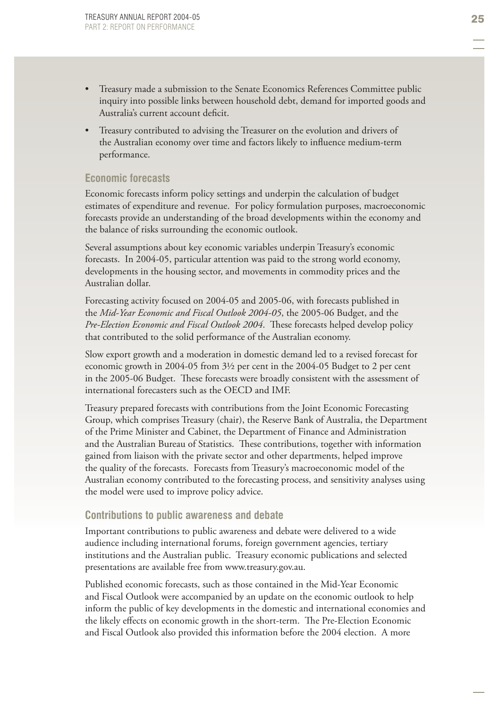- Treasury made a submission to the Senate Economics References Committee public inquiry into possible links between household debt, demand for imported goods and Australia's current account deficit. •
- Treasury contributed to advising the Treasurer on the evolution and drivers of the Australian economy over time and factors likely to influence medium-term performance. •

#### **Economic forecasts**

Economic forecasts inform policy settings and underpin the calculation of budget estimates of expenditure and revenue. For policy formulation purposes, macroeconomic forecasts provide an understanding of the broad developments within the economy and the balance of risks surrounding the economic outlook.

Several assumptions about key economic variables underpin Treasury's economic forecasts. In 2004-05, particular attention was paid to the strong world economy, developments in the housing sector, and movements in commodity prices and the Australian dollar.

Forecasting activity focused on 2004-05 and 2005-06, with forecasts published in the *Mid-Year Economic and Fiscal Outlook 2004-05*, the 2005-06 Budget, and the *Pre-Election Economic and Fiscal Outlook 2004*. These forecasts helped develop policy that contributed to the solid performance of the Australian economy.

Slow export growth and a moderation in domestic demand led to a revised forecast for economic growth in 2004-05 from 3½ per cent in the 2004-05 Budget to 2 per cent in the 2005-06 Budget. These forecasts were broadly consistent with the assessment of international forecasters such as the OECD and IMF.

Treasury prepared forecasts with contributions from the Joint Economic Forecasting Group, which comprises Treasury (chair), the Reserve Bank of Australia, the Department of the Prime Minister and Cabinet, the Department of Finance and Administration and the Australian Bureau of Statistics. These contributions, together with information gained from liaison with the private sector and other departments, helped improve the quality of the forecasts. Forecasts from Treasury's macroeconomic model of the Australian economy contributed to the forecasting process, and sensitivity analyses using the model were used to improve policy advice.

#### **Contributions to public awareness and debate**

Important contributions to public awareness and debate were delivered to a wide audience including international forums, foreign government agencies, tertiary institutions and the Australian public. Treasury economic publications and selected presentations are available free from www.treasury.gov.au.

Published economic forecasts, such as those contained in the Mid-Year Economic and Fiscal Outlook were accompanied by an update on the economic outlook to help inform the public of key developments in the domestic and international economies and the likely effects on economic growth in the short-term. The Pre-Election Economic and Fiscal Outlook also provided this information before the 2004 election. A more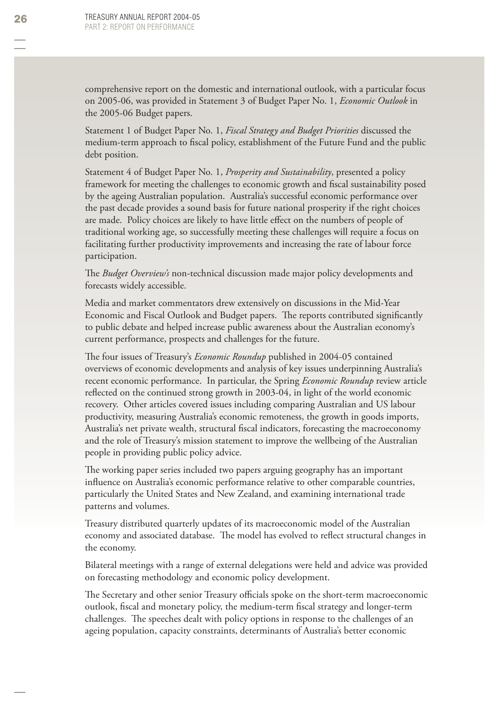comprehensive report on the domestic and international outlook, with a particular focus on 2005-06, was provided in Statement 3 of Budget Paper No. 1, *Economic Outlook* in the 2005-06 Budget papers.

Statement 1 of Budget Paper No. 1, *Fiscal Strategy and Budget Priorities* discussed the medium-term approach to fiscal policy, establishment of the Future Fund and the public debt position.

Statement 4 of Budget Paper No. 1, *Prosperity and Sustainability*, presented a policy framework for meeting the challenges to economic growth and fiscal sustainability posed by the ageing Australian population. Australia's successful economic performance over the past decade provides a sound basis for future national prosperity if the right choices are made. Policy choices are likely to have little effect on the numbers of people of traditional working age, so successfully meeting these challenges will require a focus on facilitating further productivity improvements and increasing the rate of labour force participation.

The *Budget Overview's* non-technical discussion made major policy developments and forecasts widely accessible.

Media and market commentators drew extensively on discussions in the Mid-Year Economic and Fiscal Outlook and Budget papers. The reports contributed significantly to public debate and helped increase public awareness about the Australian economy's current performance, prospects and challenges for the future.

The four issues of Treasury's *Economic Roundup* published in 2004-05 contained overviews of economic developments and analysis of key issues underpinning Australia's recent economic performance. In particular, the Spring *Economic Roundup* review article reflected on the continued strong growth in 2003-04, in light of the world economic recovery. Other articles covered issues including comparing Australian and US labour productivity, measuring Australia's economic remoteness, the growth in goods imports, Australia's net private wealth, structural fiscal indicators, forecasting the macroeconomy and the role of Treasury's mission statement to improve the wellbeing of the Australian people in providing public policy advice.

The working paper series included two papers arguing geography has an important influence on Australia's economic performance relative to other comparable countries, particularly the United States and New Zealand, and examining international trade patterns and volumes.

Treasury distributed quarterly updates of its macroeconomic model of the Australian economy and associated database. The model has evolved to reflect structural changes in the economy.

Bilateral meetings with a range of external delegations were held and advice was provided on forecasting methodology and economic policy development.

The Secretary and other senior Treasury officials spoke on the short-term macroeconomic outlook, fiscal and monetary policy, the medium-term fiscal strategy and longer-term challenges. The speeches dealt with policy options in response to the challenges of an ageing population, capacity constraints, determinants of Australia's better economic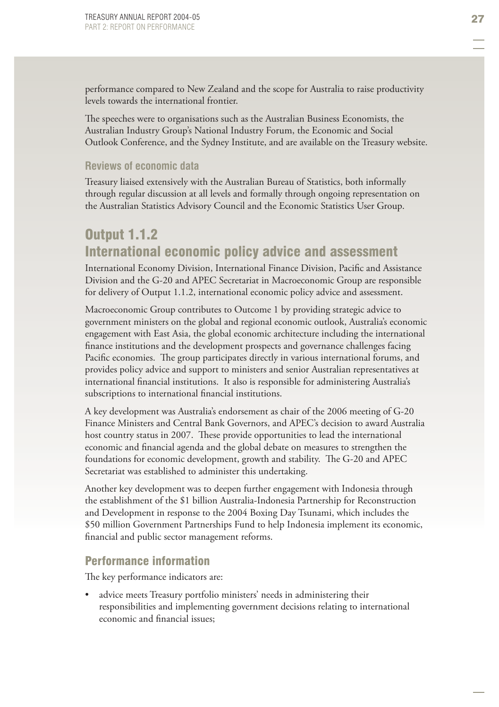performance compared to New Zealand and the scope for Australia to raise productivity levels towards the international frontier.

The speeches were to organisations such as the Australian Business Economists, the Australian Industry Group's National Industry Forum, the Economic and Social Outlook Conference, and the Sydney Institute, and are available on the Treasury website.

#### **Reviews of economic data**

Treasury liaised extensively with the Australian Bureau of Statistics, both informally through regular discussion at all levels and formally through ongoing representation on the Australian Statistics Advisory Council and the Economic Statistics User Group .

# Output 1.1.2 International economic policy advice and assessment

International Economy Division, International Finance Division, Pacific and Assistance Division and the G-20 and APEC Secretariat in Macroeconomic Group are responsible for delivery of Output 1.1.2, international economic policy advice and assessment.

Macroeconomic Group contributes to Outcome 1 by providing strategic advice to government ministers on the global and regional economic outlook, Australia's economic engagement with East Asia, the global economic architecture including the international finance institutions and the development prospects and governance challenges facing Pacific economies. The group participates directly in various international forums, and provides policy advice and support to ministers and senior Australian representatives at international financial institutions. It also is responsible for administering Australia's subscriptions to international financial institutions.

A key development was Australia's endorsement as chair of the 2006 meeting of G-20 Finance Ministers and Central Bank Governors, and APEC's decision to award Australia host country status in 2007. These provide opportunities to lead the international economic and financial agenda and the global debate on measures to strengthen the foundations for economic development, growth and stability. The G-20 and APEC Secretariat was established to administer this undertaking.

Another key development was to deepen further engagement with Indonesia through the establishment of the \$1 billion Australia-Indonesia Partnership for Reconstruction and Development in response to the 2004 Boxing Day Tsunami, which includes the \$50 million Government Partnerships Fund to help Indonesia implement its economic, financial and public sector management reforms.

#### Performance information

The key performance indicators are:

advice meets Treasury portfolio ministers' needs in administering their responsibilities and implementing government decisions relating to international economic and financial issues: •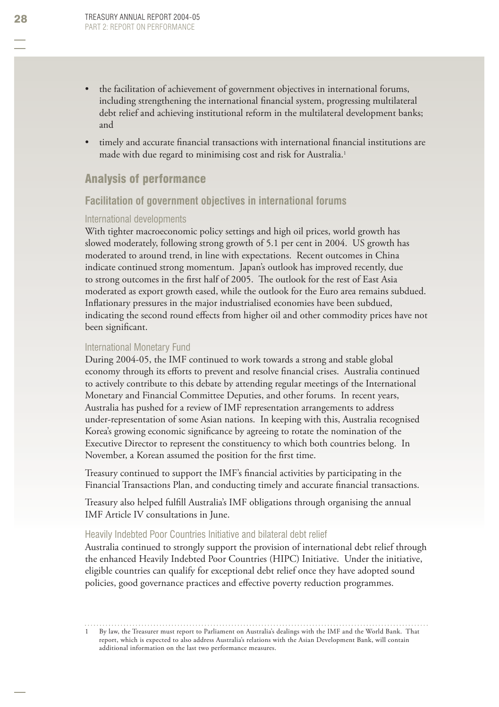- the facilitation of achievement of government objectives in international forums, including strengthening the international financial system, progressing multilateral debt relief and achieving institutional reform in the multilateral development banks; and •
- timely and accurate financial transactions with international financial institutions are made with due regard to minimising cost and risk for Australia.<sup>1</sup> •

### Analysis of performance

#### **Facilitation of government objectives in international forums**

#### International developments

With tighter macroeconomic policy settings and high oil prices, world growth has slowed moderately, following strong growth of 5.1 per cent in 2004. US growth has moderated to around trend, in line with expectations. Recent outcomes in China indicate continued strong momentum. Japan's outlook has improved recently, due to strong outcomes in the first half of 2005. The outlook for the rest of East Asia moderated as export growth eased, while the outlook for the Euro area remains subdued. Inflationary pressures in the major industrialised economies have been subdued, indicating the second round effects from higher oil and other commodity prices have not been significant.

#### International Monetary Fund

During 2004-05, the IMF continued to work towards a strong and stable global economy through its efforts to prevent and resolve financial crises. Australia continued to actively contribute to this debate by attending regular meetings of the International Monetary and Financial Committee Deputies, and other forums. In recent years, Australia has pushed for a review of IMF representation arrangements to address under-representation of some Asian nations. In keeping with this, Australia recognised Korea's growing economic significance by agreeing to rotate the nomination of the Executive Director to represent the constituency to which both countries belong. In November, a Korean assumed the position for the first time.

Treasury continued to support the IMF's financial activities by participating in the Financial Transactions Plan, and conducting timely and accurate financial transactions.

Treasury also helped fulfill Australia's IMF obligations through organising the annual IMF Article IV consultations in June.

#### Heavily Indebted Poor Countries Initiative and bilateral debt relief

Australia continued to strongly support the provision of international debt relief through the enhanced Heavily Indebted Poor Countries (HIPC) Initiative. Under the initiative, eligible countries can qualify for exceptional debt relief once they have adopted sound policies, good governance practices and effective poverty reduction programmes.

1 By law, the Treasurer must report to Parliament on Australia's dealings with the IMF and the World Bank. That report, which is expected to also address Australia's relations with the Asian Development Bank, will contain additional information on the last two performance measures.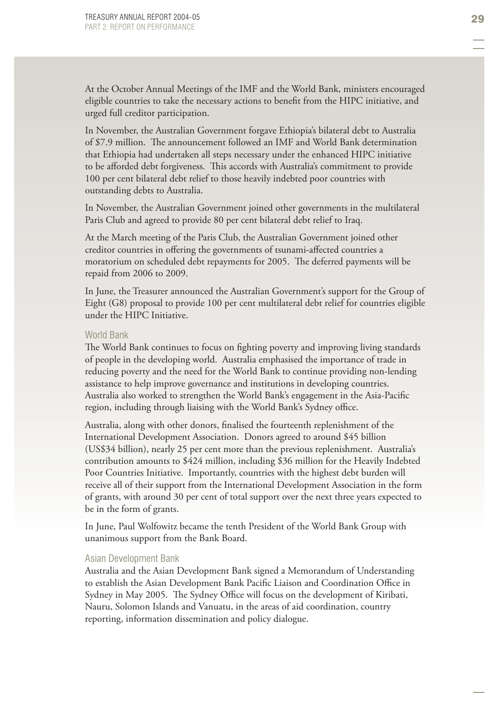At the October Annual Meetings of the IMF and the World Bank, ministers encouraged eligible countries to take the necessary actions to benefi t from the HIPC initiative, and urged full creditor participation.

In November, the Australian Government forgave Ethiopia's bilateral debt to Australia of \$7.9 million. The announcement followed an IMF and World Bank determination that Ethiopia had undertaken all steps necessary under the enhanced HIPC initiative to be afforded debt forgiveness. This accords with Australia's commitment to provide 100 per cent bilateral debt relief to those heavily indebted poor countries with outstanding debts to Australia.

In November, the Australian Government joined other governments in the multilateral Paris Club and agreed to provide 80 per cent bilateral debt relief to Iraq.

At the March meeting of the Paris Club, the Australian Government joined other creditor countries in offering the governments of tsunami-affected countries a moratorium on scheduled debt repayments for 2005. The deferred payments will be repaid from 2006 to 2009.

In June, the Treasurer announced the Australian Government's support for the Group of Eight (G8) proposal to provide 100 per cent multilateral debt relief for countries eligible under the HIPC Initiative.

#### World Bank

The World Bank continues to focus on fighting poverty and improving living standards of people in the developing world. Australia emphasised the importance of trade in reducing poverty and the need for the World Bank to continue providing non-lending assistance to help improve governance and institutions in developing countries. Australia also worked to strengthen the World Bank's engagement in the Asia-Pacific region, including through liaising with the World Bank's Sydney office.

Australia, along with other donors, finalised the fourteenth replenishment of the International Development Association. Donors agreed to around \$45 billion (US\$34 billion), nearly 25 per cent more than the previous replenishment. Australia's contribution amounts to \$424 million, including \$36 million for the Heavily Indebted Poor Countries Initiative. Importantly, countries with the highest debt burden will receive all of their support from the International Development Association in the form of grants, with around 30 per cent of total support over the next three years expected to be in the form of grants.

In June, Paul Wolfowitz became the tenth President of the World Bank Group with unanimous support from the Bank Board.

#### Asian Development Bank

Australia and the Asian Development Bank signed a Memorandum of Understanding to establish the Asian Development Bank Pacific Liaison and Coordination Office in Sydney in May 2005. The Sydney Office will focus on the development of Kiribati, Nauru, Solomon Islands and Vanuatu, in the areas of aid coordination, country reporting, information dissemination and policy dialogue.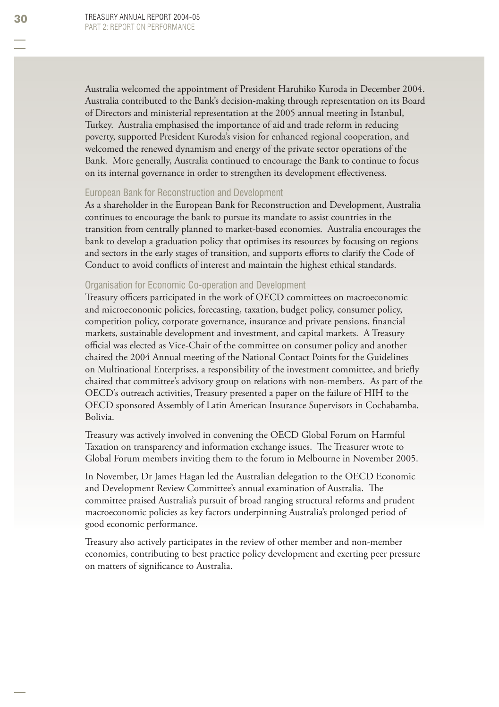Australia welcomed the appointment of President Haruhiko Kuroda in December 2004. Australia contributed to the Bank's decision-making through representation on its Board of Directors and ministerial representation at the 2005 annual meeting in Istanbul, Turkey. Australia emphasised the importance of aid and trade reform in reducing poverty, supported President Kuroda's vision for enhanced regional cooperation, and welcomed the renewed dynamism and energy of the private sector operations of the Bank. More generally, Australia continued to encourage the Bank to continue to focus on its internal governance in order to strengthen its development effectiveness.

#### European Bank for Reconstruction and Development

As a shareholder in the European Bank for Reconstruction and Development, Australia continues to encourage the bank to pursue its mandate to assist countries in the transition from centrally planned to market-based economies. Australia encourages the bank to develop a graduation policy that optimises its resources by focusing on regions and sectors in the early stages of transition, and supports efforts to clarify the Code of Conduct to avoid conflicts of interest and maintain the highest ethical standards.

#### Organisation for Economic Co-operation and Development

Treasury officers participated in the work of OECD committees on macroeconomic and microeconomic policies, forecasting, taxation, budget policy, consumer policy, competition policy, corporate governance, insurance and private pensions, financial markets, sustainable development and investment, and capital markets. A Treasury official was elected as Vice-Chair of the committee on consumer policy and another chaired the 2004 Annual meeting of the National Contact Points for the Guidelines on Multinational Enterprises, a responsibility of the investment committee, and briefly chaired that committee's advisory group on relations with non-members. As part of the OECD's outreach activities, Treasury presented a paper on the failure of HIH to the OECD sponsored Assembly of Latin American Insurance Supervisors in Cochabamba, Bolivia.

Treasury was actively involved in convening the OECD Global Forum on Harmful Taxation on transparency and information exchange issues. The Treasurer wrote to Global Forum members inviting them to the forum in Melbourne in November 2005.

In November, Dr James Hagan led the Australian delegation to the OECD Economic and Development Review Committee's annual examination of Australia. The committee praised Australia's pursuit of broad ranging structural reforms and prudent macroeconomic policies as key factors underpinning Australia's prolonged period of good economic performance.

Treasury also actively participates in the review of other member and non-member economies, contributing to best practice policy development and exerting peer pressure on matters of significance to Australia.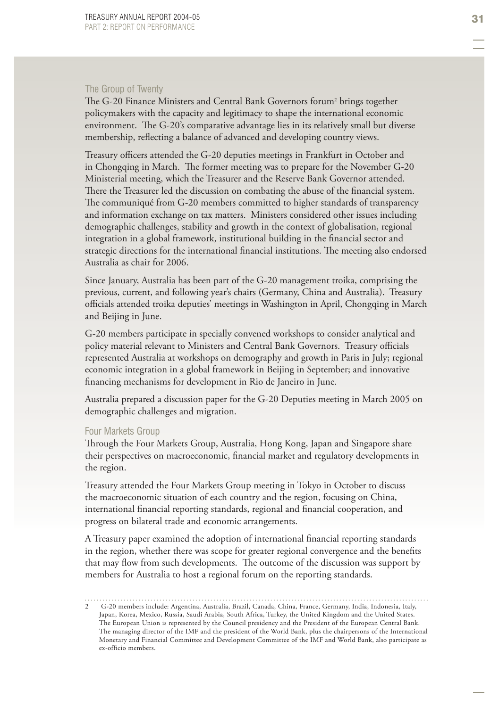#### The Group of Twenty

The G-20 Finance Ministers and Central Bank Governors forum<sup>2</sup> brings together policymakers with the capacity and legitimacy to shape the international economic environment. The G-20's comparative advantage lies in its relatively small but diverse membership, reflecting a balance of advanced and developing country views.

Treasury officers attended the G-20 deputies meetings in Frankfurt in October and in Chongqing in March. The former meeting was to prepare for the November G-20 Ministerial meeting, which the Treasurer and the Reserve Bank Governor attended. There the Treasurer led the discussion on combating the abuse of the financial system. The communiqué from G-20 members committed to higher standards of transparency and information exchange on tax matters. Ministers considered other issues including demographic challenges, stability and growth in the context of globalisation, regional integration in a global framework, institutional building in the financial sector and strategic directions for the international financial institutions. The meeting also endorsed Australia as chair for 2006.

Since January, Australia has been part of the G-20 management troika, comprising the previous, current, and following year's chairs (Germany, China and Australia). Treasury officials attended troika deputies' meetings in Washington in April, Chongqing in March and Beijing in June.

G-20 members participate in specially convened workshops to consider analytical and policy material relevant to Ministers and Central Bank Governors. Treasury officials represented Australia at workshops on demography and growth in Paris in July; regional economic integration in a global framework in Beijing in September; and innovative financing mechanisms for development in Rio de Janeiro in June.

Australia prepared a discussion paper for the G-20 Deputies meeting in March 2005 on demographic challenges and migration.

#### Four Markets Group

Through the Four Markets Group, Australia, Hong Kong, Japan and Singapore share their perspectives on macroeconomic, financial market and regulatory developments in the region.

Treasury attended the Four Markets Group meeting in Tokyo in October to discuss the macroeconomic situation of each country and the region, focusing on China, international financial reporting standards, regional and financial cooperation, and progress on bilateral trade and economic arrangements.

A Treasury paper examined the adoption of international financial reporting standards in the region, whether there was scope for greater regional convergence and the benefits that may flow from such developments. The outcome of the discussion was support by members for Australia to host a regional forum on the reporting standards.

<sup>2</sup> G-20 members include: Argentina, Australia, Brazil, Canada, China, France, Germany, India, Indonesia, Italy, Japan, Korea, Mexico, Russia, Saudi Arabia, South Africa, Turkey, the United Kingdom and the United States. The European Union is represented by the Council presidency and the President of the European Central Bank. The managing director of the IMF and the president of the World Bank, plus the chairpersons of the International Monetary and Financial Committee and Development Committee of the IMF and World Bank, also participate as ex-officio members.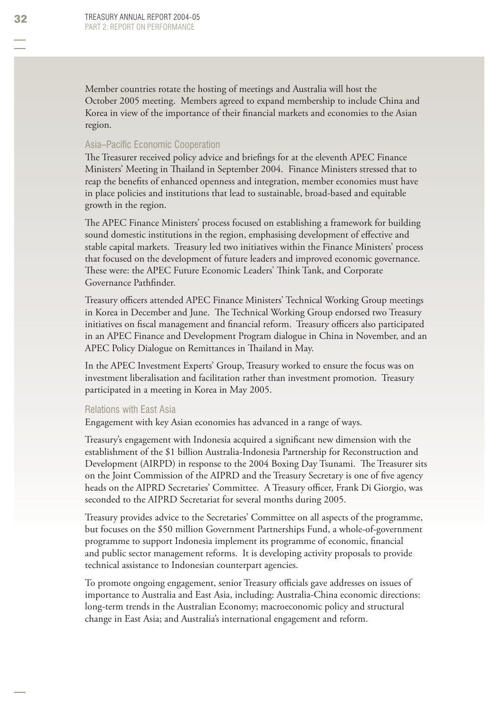Member countries rotate the hosting of meetings and Australia will host the October 2005 meeting. Members agreed to expand membership to include China and Korea in view of the importance of their financial markets and economies to the Asian region.

#### Asia–Pacific Economic Cooperation

The Treasurer received policy advice and briefings for at the eleventh APEC Finance Ministers' Meeting in Thailand in September 2004. Finance Ministers stressed that to reap the benefits of enhanced openness and integration, member economies must have in place policies and institutions that lead to sustainable, broad-based and equitable growth in the region.

The APEC Finance Ministers' process focused on establishing a framework for building sound domestic institutions in the region, emphasising development of effective and stable capital markets. Treasury led two initiatives within the Finance Ministers' process that focused on the development of future leaders and improved economic governance. These were: the APEC Future Economic Leaders' Think Tank, and Corporate Governance Pathfinder.

Treasury officers attended APEC Finance Ministers' Technical Working Group meetings in Korea in December and June. The Technical Working Group endorsed two Treasury initiatives on fiscal management and financial reform. Treasury officers also participated in an APEC Finance and Development Program dialogue in China in November, and an APEC Policy Dialogue on Remittances in Thailand in May.

In the APEC Investment Experts' Group, Treasury worked to ensure the focus was on investment liberalisation and facilitation rather than investment promotion. Treasury participated in a meeting in Korea in May 2005.

#### Relations with East Asia

Engagement with key Asian economies has advanced in a range of ways.

Treasury's engagement with Indonesia acquired a significant new dimension with the establishment of the \$1 billion Australia-Indonesia Partnership for Reconstruction and Development (AIRPD) in response to the 2004 Boxing Day Tsunami. The Treasurer sits on the Joint Commission of the AIPRD and the Treasury Secretary is one of five agency heads on the AIPRD Secretaries' Committee. A Treasury officer, Frank Di Giorgio, was seconded to the AIPRD Secretariat for several months during 2005.

Treasury provides advice to the Secretaries' Committee on all aspects of the programme, but focuses on the \$50 million Government Partnerships Fund, a whole-of-government programme to support Indonesia implement its programme of economic, financial and public sector management reforms. It is developing activity proposals to provide technical assistance to Indonesian counterpart agencies.

To promote ongoing engagement, senior Treasury officials gave addresses on issues of importance to Australia and East Asia, including: Australia-China economic directions: long-term trends in the Australian Economy; macroeconomic policy and structural change in East Asia; and Australia's international engagement and reform.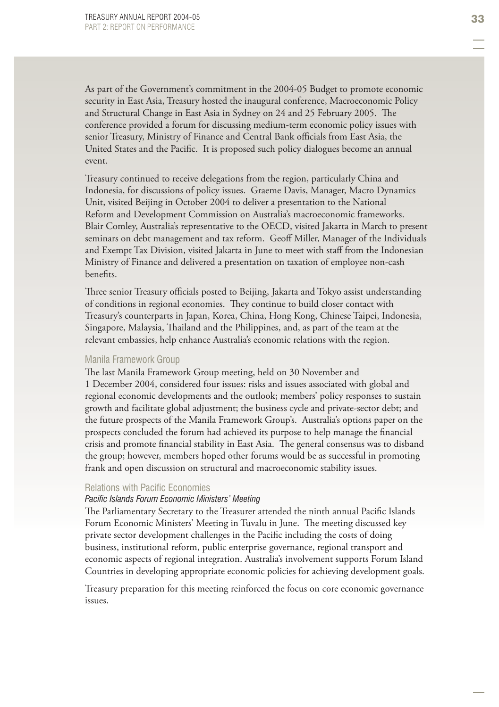As part of the Government's commitment in the 2004-05 Budget to promote economic security in East Asia, Treasury hosted the inaugural conference, Macroeconomic Policy and Structural Change in East Asia in Sydney on 24 and 25 February 2005. The conference provided a forum for discussing medium-term economic policy issues with senior Treasury, Ministry of Finance and Central Bank officials from East Asia, the United States and the Pacific. It is proposed such policy dialogues become an annual event.

Treasury continued to receive delegations from the region, particularly China and Indonesia, for discussions of policy issues. Graeme Davis, Manager, Macro Dynamics Unit, visited Beijing in October 2004 to deliver a presentation to the National Reform and Development Commission on Australia's macroeconomic frameworks. Blair Comley, Australia's representative to the OECD, visited Jakarta in March to present seminars on debt management and tax reform. Geoff Miller, Manager of the Individuals and Exempt Tax Division, visited Jakarta in June to meet with staff from the Indonesian Ministry of Finance and delivered a presentation on taxation of employee non-cash benefits.

Three senior Treasury officials posted to Beijing, Jakarta and Tokyo assist understanding of conditions in regional economies. They continue to build closer contact with Treasury's counterparts in Japan, Korea, China, Hong Kong, Chinese Taipei, Indonesia, Singapore, Malaysia, Thailand and the Philippines, and, as part of the team at the relevant embassies, help enhance Australia's economic relations with the region.

#### Manila Framework Group

The last Manila Framework Group meeting, held on 30 November and 1 December 2004, considered four issues: risks and issues associated with global and regional economic developments and the outlook; members' policy responses to sustain growth and facilitate global adjustment; the business cycle and private-sector debt; and the future prospects of the Manila Framework Group's. Australia's options paper on the prospects concluded the forum had achieved its purpose to help manage the financial crisis and promote financial stability in East Asia. The general consensus was to disband the group; however, members hoped other forums would be as successful in promoting frank and open discussion on structural and macroeconomic stability issues.

#### Relations with Pacific Economies

#### **Pacific Islands Forum Economic Ministers' Meeting**

The Parliamentary Secretary to the Treasurer attended the ninth annual Pacific Islands Forum Economic Ministers' Meeting in Tuvalu in June. The meeting discussed key private sector development challenges in the Pacific including the costs of doing business, institutional reform, public enterprise governance, regional transport and economic aspects of regional integration. Australia's involvement supports Forum Island Countries in developing appropriate economic policies for achieving development goals.

Treasury preparation for this meeting reinforced the focus on core economic governance issues.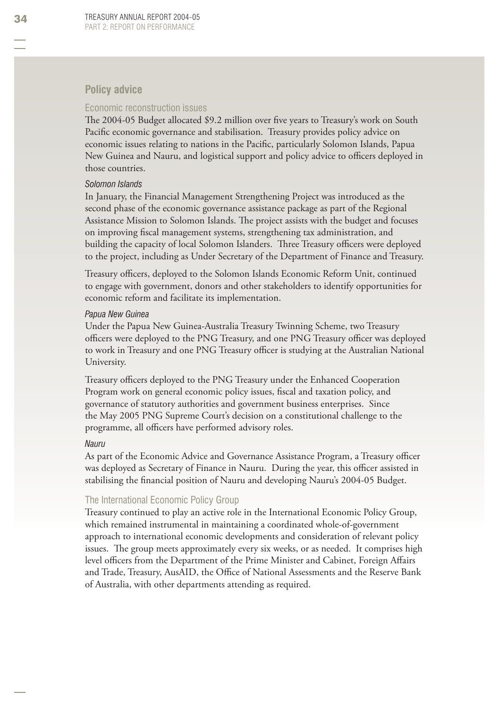#### **Policy advice**

#### Economic reconstruction issues

The 2004-05 Budget allocated \$9.2 million over five years to Treasury's work on South Pacific economic governance and stabilisation. Treasury provides policy advice on economic issues relating to nations in the Pacific, particularly Solomon Islands, Papua New Guinea and Nauru, and logistical support and policy advice to officers deployed in those countries.

#### *Solomon Islands*

In January, the Financial Management Strengthening Project was introduced as the second phase of the economic governance assistance package as part of the Regional Assistance Mission to Solomon Islands. The project assists with the budget and focuses on improving fiscal management systems, strengthening tax administration, and building the capacity of local Solomon Islanders. Three Treasury officers were deployed to the project, including as Under Secretary of the Department of Finance and Treasury.

Treasury officers, deployed to the Solomon Islands Economic Reform Unit, continued to engage with government, donors and other stakeholders to identify opportunities for economic reform and facilitate its implementation.

#### *Papua New Guinea*

Under the Papua New Guinea-Australia Treasury Twinning Scheme, two Treasury officers were deployed to the PNG Treasury, and one PNG Treasury officer was deployed to work in Treasury and one PNG Treasury officer is studying at the Australian National University.

Treasury officers deployed to the PNG Treasury under the Enhanced Cooperation Program work on general economic policy issues, fiscal and taxation policy, and governance of statutory authorities and government business enterprises. Since the May 2005 PNG Supreme Court's decision on a constitutional challenge to the programme, all officers have performed advisory roles.

#### *Nauru*

As part of the Economic Advice and Governance Assistance Program, a Treasury officer was deployed as Secretary of Finance in Nauru. During the year, this officer assisted in stabilising the financial position of Nauru and developing Nauru's 2004-05 Budget.

#### The International Economic Policy Group

Treasury continued to play an active role in the International Economic Policy Group, which remained instrumental in maintaining a coordinated whole-of-government approach to international economic developments and consideration of relevant policy issues. The group meets approximately every six weeks, or as needed. It comprises high level officers from the Department of the Prime Minister and Cabinet, Foreign Affairs and Trade, Treasury, AusAID, the Office of National Assessments and the Reserve Bank of Australia, with other departments attending as required.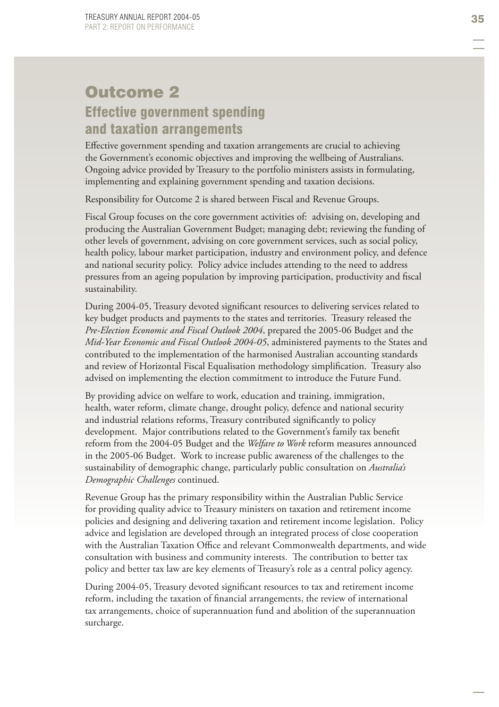# Outcome 2 Effective government spending and taxation arrangements

Eff ective government spending and taxation arrangements are crucial to achieving the Government's economic objectives and improving the wellbeing of Australians. Ongoing advice provided by Treasury to the portfolio ministers assists in formulating, implementing and explaining government spending and taxation decisions.

Responsibility for Outcome 2 is shared between Fiscal and Revenue Groups.

Fiscal Group focuses on the core government activities of: advising on, developing and producing the Australian Government Budget; managing debt; reviewing the funding of other levels of government, advising on core government services, such as social policy, health policy, labour market participation, industry and environment policy, and defence and national security policy. Policy advice includes attending to the need to address pressures from an ageing population by improving participation, productivity and fiscal sustainability.

During 2004-05, Treasury devoted significant resources to delivering services related to key budget products and payments to the states and territories. Treasury released the *Pre-Election Economic and Fiscal Outlook 2004* , prepared the 2005-06 Budget and the *Mid-Year Economic and Fiscal Outlook 2004-05*, administered payments to the States and contributed to the implementation of the harmonised Australian accounting standards and review of Horizontal Fiscal Equalisation methodology simplification. Treasury also advised on implementing the election commitment to introduce the Future Fund.

By providing advice on welfare to work, education and training, immigration, health, water reform, climate change, drought policy, defence and national security and industrial relations reforms, Treasury contributed significantly to policy development. Major contributions related to the Government's family tax benefit reform from the 2004-05 Budget and the *Welfare to Work* reform measures announced in the 2005-06 Budget. Work to increase public awareness of the challenges to the sustainability of demographic change, particularly public consultation on *Australia's Demographic Challenges* continued.

Revenue Group has the primary responsibility within the Australian Public Service for providing quality advice to Treasury ministers on taxation and retirement income policies and designing and delivering taxation and retirement income legislation. Policy advice and legislation are developed through an integrated process of close cooperation with the Australian Taxation Office and relevant Commonwealth departments, and wide consultation with business and community interests. The contribution to better tax policy and better tax law are key elements of Treasury's role as a central policy agency.

During 2004-05, Treasury devoted significant resources to tax and retirement income reform, including the taxation of financial arrangements, the review of international tax arrangements, choice of superannuation fund and abolition of the superannuation surcharge.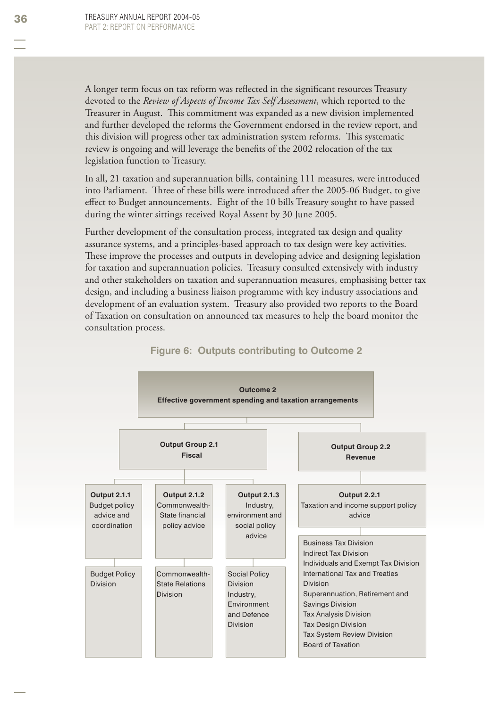A longer term focus on tax reform was reflected in the significant resources Treasury devoted to the *Review of Aspects of Income Tax Self Assessment*, which reported to the Treasurer in August. This commitment was expanded as a new division implemented and further developed the reforms the Government endorsed in the review report, and this division will progress other tax administration system reforms. This systematic review is ongoing and will leverage the benefits of the 2002 relocation of the tax legislation function to Treasury.

In all, 21 taxation and superannuation bills, containing 111 measures, were introduced into Parliament. Three of these bills were introduced after the 2005-06 Budget, to give effect to Budget announcements. Eight of the 10 bills Treasury sought to have passed during the winter sittings received Royal Assent by 30 June 2005.

Further development of the consultation process, integrated tax design and quality assurance systems, and a principles-based approach to tax design were key activities. These improve the processes and outputs in developing advice and designing legislation for taxation and superannuation policies. Treasury consulted extensively with industry and other stakeholders on taxation and superannuation measures, emphasising better tax design, and including a business liaison programme with key industry associations and development of an evaluation system. Treasury also provided two reports to the Board of Taxation on consultation on announced tax measures to help the board monitor the consultation process.



#### **Figure 6: Outputs contributing to Outcome 2**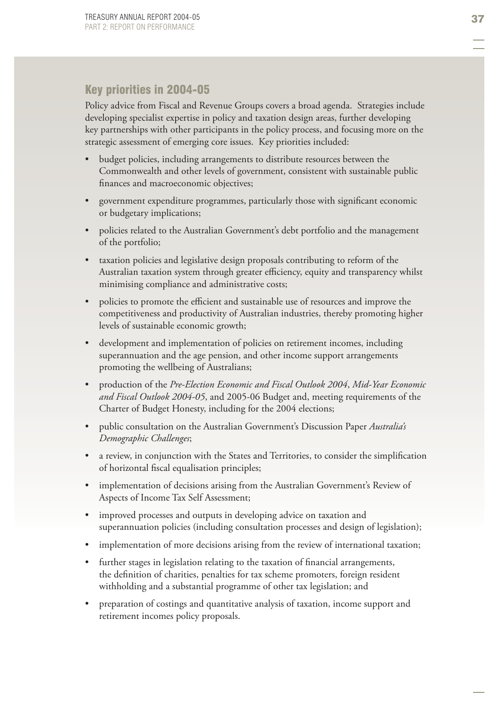# Key priorities in 2004-05

Policy advice from Fiscal and Revenue Groups covers a broad agenda. Strategies include developing specialist expertise in policy and taxation design areas, further developing key partnerships with other participants in the policy process, and focusing more on the strategic assessment of emerging core issues. Key priorities included:

- budget policies, including arrangements to distribute resources between the Commonwealth and other levels of government, consistent with sustainable public finances and macroeconomic objectives; •
- government expenditure programmes, particularly those with significant economic or budgetary implications; •
- policies related to the Australian Government's debt portfolio and the management of the portfolio; •
- taxation policies and legislative design proposals contributing to reform of the Australian taxation system through greater efficiency, equity and transparency whilst minimising compliance and administrative costs; •
- policies to promote the efficient and sustainable use of resources and improve the competitiveness and productivity of Australian industries, thereby promoting higher levels of sustainable economic growth; •
- development and implementation of policies on retirement incomes, including superannuation and the age pension, and other income support arrangements promoting the wellbeing of Australians; •
- production of the *Pre-Election Economic and Fiscal Outlook 2004*, *Mid-Year Economic and Fiscal Outlook 2004-05*, and 2005-06 Budget and, meeting requirements of the Charter of Budget Honesty, including for the 2004 elections; •
- public consultation on the Australian Government's Discussion Paper *Australia's Demographic Challenges*; •
- a review, in conjunction with the States and Territories, to consider the simplification of horizontal fiscal equalisation principles; •
- implementation of decisions arising from the Australian Government's Review of Aspects of Income Tax Self Assessment; •
- improved processes and outputs in developing advice on taxation and superannuation policies (including consultation processes and design of legislation); •
- implementation of more decisions arising from the review of international taxation; •
- further stages in legislation relating to the taxation of financial arrangements, the definition of charities, penalties for tax scheme promoters, foreign resident withholding and a substantial programme of other tax legislation; and •
- preparation of costings and quantitative analysis of taxation, income support and retirement incomes policy proposals. •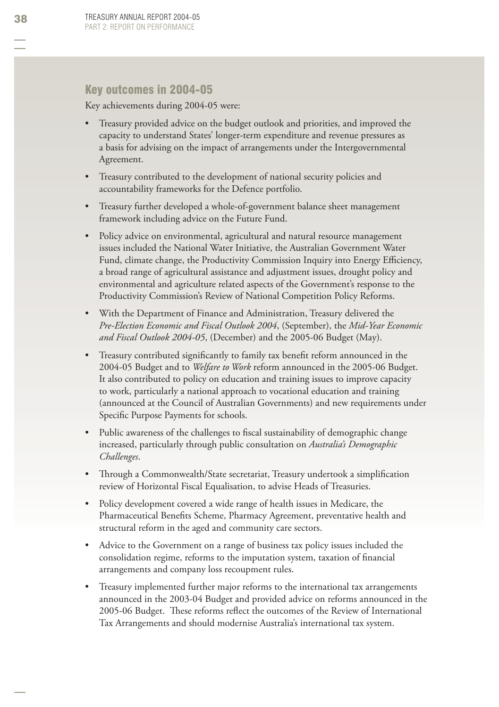### Key outcomes in 2004-05

Key achievements during 2004-05 were:

- Treasury provided advice on the budget outlook and priorities, and improved the capacity to understand States' longer-term expenditure and revenue pressures as a basis for advising on the impact of arrangements under the Intergovernmental Agreement. •
- Treasury contributed to the development of national security policies and accountability frameworks for the Defence portfolio.
- Treasury further developed a whole-of-government balance sheet management framework including advice on the Future Fund. •
- Policy advice on environmental, agricultural and natural resource management issues included the National Water Initiative, the Australian Government Water Fund, climate change, the Productivity Commission Inquiry into Energy Efficiency, a broad range of agricultural assistance and adjustment issues, drought policy and environmental and agriculture related aspects of the Government's response to the Productivity Commission's Review of National Competition Policy Reforms. •
- With the Department of Finance and Administration, Treasury delivered the *Pre-Election Economic and Fiscal Outlook 2004* , (September), the *Mid-Year Economic and Fiscal Outlook 2004-05* , (December) and the 2005-06 Budget (May). •
- Treasury contributed significantly to family tax benefit reform announced in the 2004-05 Budget and to *Welfare to Work* reform announced in the 2005-06 Budget. It also contributed to policy on education and training issues to improve capacity to work, particularly a national approach to vocational education and training (announced at the Council of Australian Governments) and new requirements under Specific Purpose Payments for schools. •
- Public awareness of the challenges to fiscal sustainability of demographic change increased, particularly through public consultation on *Australia's Demographic Challenges* . •
- Through a Commonwealth/State secretariat, Treasury undertook a simplification review of Horizontal Fiscal Equalisation, to advise Heads of Treasuries. •
- Policy development covered a wide range of health issues in Medicare, the Pharmaceutical Benefits Scheme, Pharmacy Agreement, preventative health and structural reform in the aged and community care sectors. •
- Advice to the Government on a range of business tax policy issues included the consolidation regime, reforms to the imputation system, taxation of financial arrangements and company loss recoupment rules. •
- Treasury implemented further major reforms to the international tax arrangements announced in the 2003-04 Budget and provided advice on reforms announced in the 2005-06 Budget. These reforms reflect the outcomes of the Review of International Tax Arrangements and should modernise Australia's international tax system. •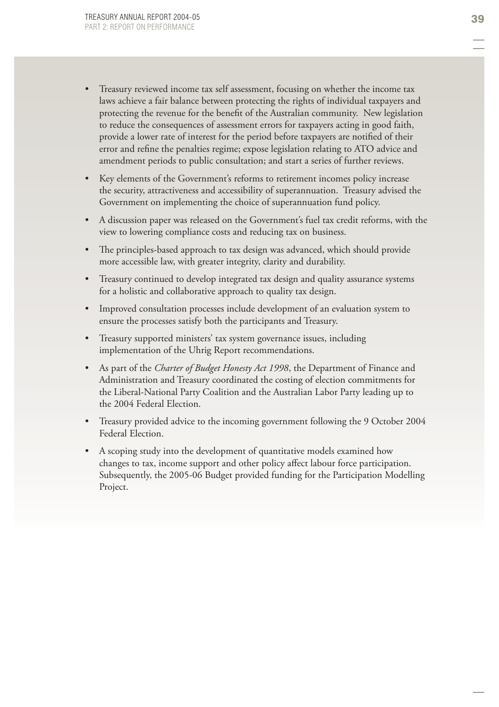- Treasury reviewed income tax self assessment, focusing on whether the income tax laws achieve a fair balance between protecting the rights of individual taxpayers and protecting the revenue for the benefit of the Australian community. New legislation to reduce the consequences of assessment errors for taxpayers acting in good faith, provide a lower rate of interest for the period before taxpayers are notified of their error and refine the penalties regime; expose legislation relating to ATO advice and amendment periods to public consultation; and start a series of further reviews. •
- Key elements of the Government's reforms to retirement incomes policy increase the security, attractiveness and accessibility of superannuation. Treasury advised the Government on implementing the choice of superannuation fund policy. •
- A discussion paper was released on the Government's fuel tax credit reforms, with the view to lowering compliance costs and reducing tax on business. •
- The principles-based approach to tax design was advanced, which should provide more accessible law, with greater integrity, clarity and durability.
- Treasury continued to develop integrated tax design and quality assurance systems for a holistic and collaborative approach to quality tax design.
- Improved consultation processes include development of an evaluation system to ensure the processes satisfy both the participants and Treasury.
- Treasury supported ministers' tax system governance issues, including implementation of the Uhrig Report recommendations.
- As part of the *Charter of Budget Honesty Act 1998*, the Department of Finance and Administration and Treasury coordinated the costing of election commitments for the Liberal-National Party Coalition and the Australian Labor Party leading up to the 2004 Federal Election. •
- Treasury provided advice to the incoming government following the 9 October 2004 Federal Election. •
- A scoping study into the development of quantitative models examined how •changes to tax, income support and other policy affect labour force participation. Subsequently, the 2005-06 Budget provided funding for the Participation Modelling Project.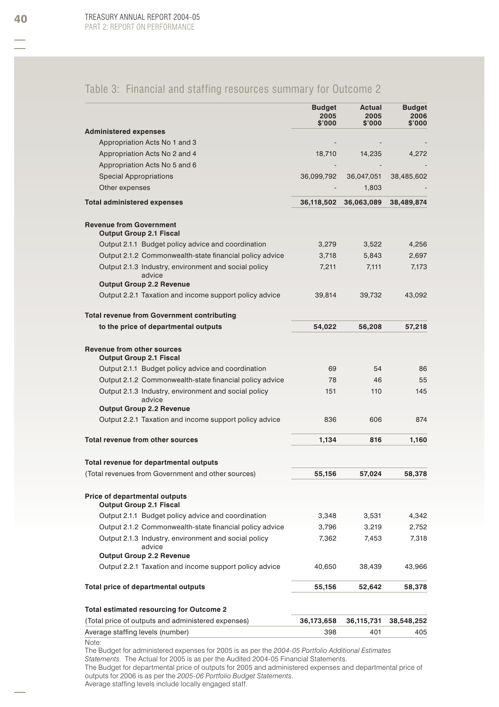# Table 3: Financial and staffing resources summary for Outcome 2

|                                                                                                             | <b>Budget</b><br>2005<br>\$'000 | Actual<br>2005<br>\$'000 | <b>Budget</b><br>2006<br>\$'000 |
|-------------------------------------------------------------------------------------------------------------|---------------------------------|--------------------------|---------------------------------|
| <b>Administered expenses</b>                                                                                |                                 |                          |                                 |
| Appropriation Acts No 1 and 3                                                                               |                                 |                          |                                 |
| Appropriation Acts No 2 and 4                                                                               | 18,710                          | 14,235                   | 4,272                           |
| Appropriation Acts No 5 and 6                                                                               |                                 |                          |                                 |
| <b>Special Appropriations</b>                                                                               | 36,099,792                      | 36,047,051               | 38,485,602                      |
| Other expenses                                                                                              |                                 | 1,803                    |                                 |
| <b>Total administered expenses</b>                                                                          | 36,118,502                      | 36,063,089               | 38,489,874                      |
| <b>Revenue from Government</b><br><b>Output Group 2.1 Fiscal</b>                                            |                                 |                          |                                 |
| Output 2.1.1 Budget policy advice and coordination                                                          | 3,279                           | 3,522                    | 4,256                           |
| Output 2.1.2 Commonwealth-state financial policy advice                                                     | 3,718                           | 5,843                    | 2,697                           |
| Output 2.1.3 Industry, environment and social policy<br>advice<br><b>Output Group 2.2 Revenue</b>           | 7,211                           | 7,111                    | 7,173                           |
| Output 2.2.1 Taxation and income support policy advice                                                      | 39,814                          | 39,732                   | 43,092                          |
|                                                                                                             |                                 |                          |                                 |
| <b>Total revenue from Government contributing</b><br>to the price of departmental outputs                   | 54,022                          | 56,208                   | 57,218                          |
| <b>Revenue from other sources</b>                                                                           |                                 |                          |                                 |
| <b>Output Group 2.1 Fiscal</b>                                                                              |                                 |                          |                                 |
| Output 2.1.1 Budget policy advice and coordination                                                          | 69                              | 54                       | 86                              |
| Output 2.1.2 Commonwealth-state financial policy advice                                                     | 78                              | 46                       | 55                              |
| Output 2.1.3 Industry, environment and social policy<br>advice<br><b>Output Group 2.2 Revenue</b>           | 151                             | 110                      | 145                             |
| Output 2.2.1 Taxation and income support policy advice                                                      | 836                             | 606                      | 874                             |
| Total revenue from other sources                                                                            | 1,134                           | 816                      | 1,160                           |
| Total revenue for departmental outputs                                                                      |                                 |                          |                                 |
| (Total revenues from Government and other sources)                                                          | 55,156                          | 57,024                   | 58,378                          |
| Price of departmental outputs<br><b>Output Group 2.1 Fiscal</b>                                             |                                 |                          |                                 |
| Output 2.1.1 Budget policy advice and coordination                                                          | 3,348                           | 3,531                    | 4,342                           |
| Output 2.1.2 Commonwealth-state financial policy advice                                                     | 3,796                           | 3,219                    | 2,752                           |
| Output 2.1.3 Industry, environment and social policy<br>advice                                              | 7,362                           | 7,453                    | 7,318                           |
| <b>Output Group 2.2 Revenue</b>                                                                             |                                 |                          |                                 |
| Output 2.2.1 Taxation and income support policy advice                                                      | 40,650                          | 38,439                   | 43,966                          |
| Total price of departmental outputs                                                                         | 55,156                          | 52,642                   | 58,378                          |
| Total estimated resourcing for Outcome 2                                                                    |                                 |                          |                                 |
| (Total price of outputs and administered expenses)                                                          | 36,173,658                      | 36,115,731               | 38,548,252                      |
| Average staffing levels (number)                                                                            | 398                             | 401                      | 405                             |
| Note:<br>The Budget for administered expenses for 2005 is as per the 2004-05 Portfolio Additional Estimates |                                 |                          |                                 |

*Statements*. The Actual for 2005 is as per the Audited 2004-05 Financial Statements.

The Budget for departmental price of outputs for 2005 and administered expenses and departmental price of outputs for 2006 is as per the *2005-06 Portfolio Budget Statements*. Average staffing levels include locally engaged staff.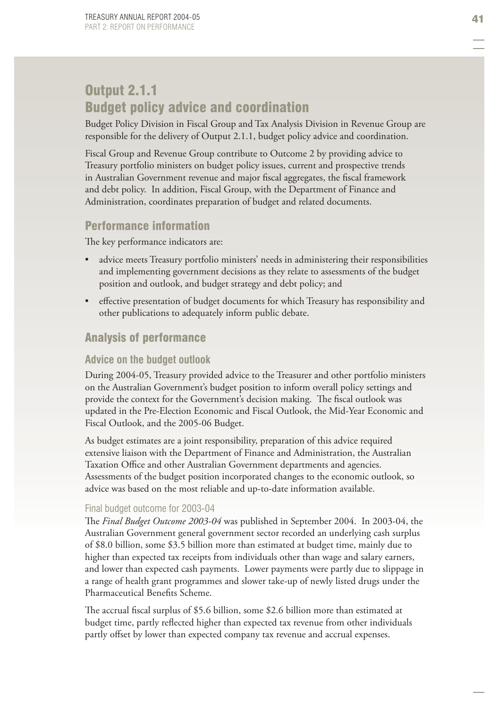# Output 2.1.1 Budget policy advice and coordination

Budget Policy Division in Fiscal Group and Tax Analysis Division in Revenue Group are responsible for the delivery of Output 2.1.1, budget policy advice and coordination.

Fiscal Group and Revenue Group contribute to Outcome 2 by providing advice to Treasury portfolio ministers on budget policy issues, current and prospective trends in Australian Government revenue and major fiscal aggregates, the fiscal framework and debt policy. In addition, Fiscal Group, with the Department of Finance and Administration, coordinates preparation of budget and related documents.

## Performance information

The key performance indicators are:

- advice meets Treasury portfolio ministers' needs in administering their responsibilities and implementing government decisions as they relate to assessments of the budget position and outlook, and budget strategy and debt policy; and •
- effective presentation of budget documents for which Treasury has responsibility and other publications to adequately inform public debate. •

## Analysis of performance

#### **Advice on the budget outlook**

During 2004-05, Treasury provided advice to the Treasurer and other portfolio ministers on the Australian Government's budget position to inform overall policy settings and provide the context for the Government's decision making. The fiscal outlook was updated in the Pre-Election Economic and Fiscal Outlook, the Mid-Year Economic and Fiscal Outlook, and the 2005-06 Budget.

As budget estimates are a joint responsibility, preparation of this advice required extensive liaison with the Department of Finance and Administration, the Australian Taxation Office and other Australian Government departments and agencies. Assessments of the budget position incorporated changes to the economic outlook, so advice was based on the most reliable and up-to-date information available.

#### Final budget outcome for 2003-04

The Final Budget Outcome 2003-04 was published in September 2004. In 2003-04, the Australian Government general government sector recorded an underlying cash surplus of \$8.0 billion, some \$3.5 billion more than estimated at budget time, mainly due to higher than expected tax receipts from individuals other than wage and salary earners, and lower than expected cash payments. Lower payments were partly due to slippage in a range of health grant programmes and slower take-up of newly listed drugs under the Pharmaceutical Benefits Scheme.

The accrual fiscal surplus of \$5.6 billion, some \$2.6 billion more than estimated at budget time, partly reflected higher than expected tax revenue from other individuals partly offset by lower than expected company tax revenue and accrual expenses.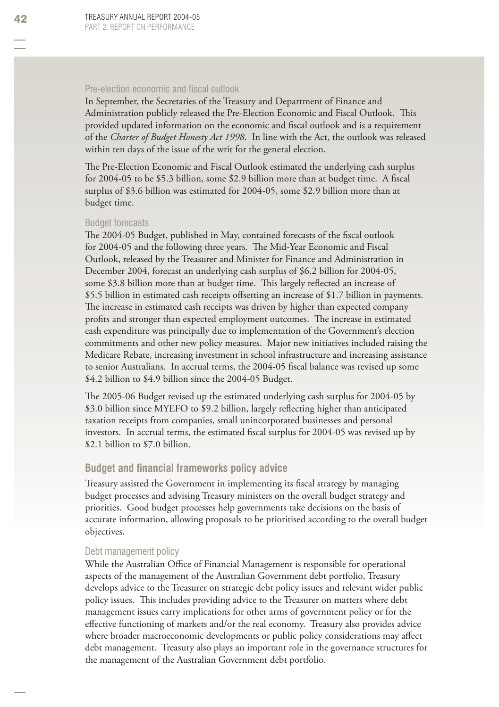#### Pre-election economic and fiscal outlook

In September, the Secretaries of the Treasury and Department of Finance and Administration publicly released the Pre-Election Economic and Fiscal Outlook. This provided updated information on the economic and fiscal outlook and is a requirement of the *Charter of Budget Honesty Act 1998*. In line with the Act, the outlook was released within ten days of the issue of the writ for the general election.

The Pre-Election Economic and Fiscal Outlook estimated the underlying cash surplus for  $2004-05$  to be \$5.3 billion, some \$2.9 billion more than at budget time. A fiscal surplus of \$3.6 billion was estimated for 2004-05, some \$2.9 billion more than at budget time.

#### Budget forecasts

The 2004-05 Budget, published in May, contained forecasts of the fiscal outlook for 2004-05 and the following three years. The Mid-Year Economic and Fiscal Outlook, released by the Treasurer and Minister for Finance and Administration in December 2004, forecast an underlying cash surplus of \$6.2 billion for 2004-05, some \$3.8 billion more than at budget time. This largely reflected an increase of \$5.5 billion in estimated cash receipts offsetting an increase of \$1.7 billion in payments. The increase in estimated cash receipts was driven by higher than expected company profits and stronger than expected employment outcomes. The increase in estimated cash expenditure was principally due to implementation of the Government's election commitments and other new policy measures. Major new initiatives included raising the Medicare Rebate, increasing investment in school infrastructure and increasing assistance to senior Australians. In accrual terms, the 2004-05 fiscal balance was revised up some \$4.2 billion to \$4.9 billion since the 2004-05 Budget.

The 2005-06 Budget revised up the estimated underlying cash surplus for 2004-05 by \$3.0 billion since MYEFO to \$9.2 billion, largely reflecting higher than anticipated taxation receipts from companies, small unincorporated businesses and personal investors. In accrual terms, the estimated fiscal surplus for 2004-05 was revised up by \$2.1 billion to \$7.0 billion.

#### **Budget and financial frameworks policy advice**

Treasury assisted the Government in implementing its fiscal strategy by managing budget processes and advising Treasury ministers on the overall budget strategy and priorities. Good budget processes help governments take decisions on the basis of accurate information, allowing proposals to be prioritised according to the overall budget objectives.

#### Debt management policy

While the Australian Office of Financial Management is responsible for operational aspects of the management of the Australian Government debt portfolio, Treasury develops advice to the Treasurer on strategic debt policy issues and relevant wider public policy issues. This includes providing advice to the Treasurer on matters where debt management issues carry implications for other arms of government policy or for the effective functioning of markets and/or the real economy. Treasury also provides advice where broader macroeconomic developments or public policy considerations may affect debt management. Treasury also plays an important role in the governance structures for the management of the Australian Government debt portfolio.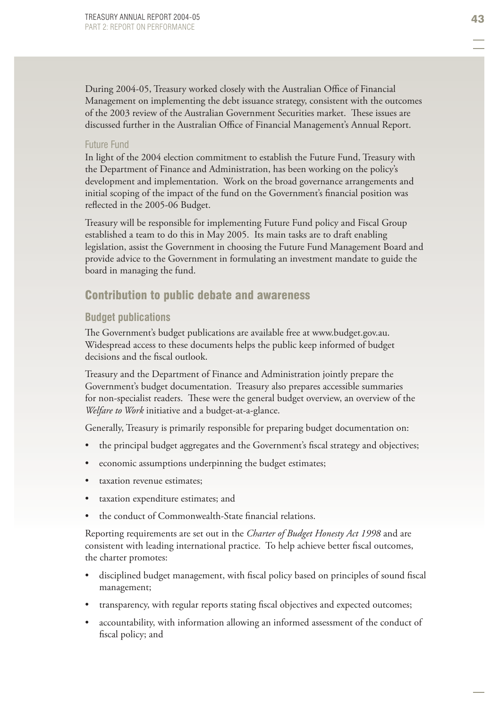During 2004-05, Treasury worked closely with the Australian Office of Financial Management on implementing the debt issuance strategy, consistent with the outcomes of the 2003 review of the Australian Government Securities market. These issues are discussed further in the Australian Office of Financial Management's Annual Report.

#### Future Fund

In light of the 2004 election commitment to establish the Future Fund, Treasury with the Department of Finance and Administration, has been working on the policy's development and implementation. Work on the broad governance arrangements and initial scoping of the impact of the fund on the Government's financial position was reflected in the 2005-06 Budget.

Treasury will be responsible for implementing Future Fund policy and Fiscal Group established a team to do this in May 2005. Its main tasks are to draft enabling legislation, assist the Government in choosing the Future Fund Management Board and provide advice to the Government in formulating an investment mandate to guide the board in managing the fund.

#### Contribution to public debate and awareness

#### **Budget publications**

The Government's budget publications are available free at www.budget.gov.au. Widespread access to these documents helps the public keep informed of budget decisions and the fiscal outlook.

Treasury and the Department of Finance and Administration jointly prepare the Government's budget documentation. Treasury also prepares accessible summaries for non-specialist readers. These were the general budget overview, an overview of the *Welfare to Work* initiative and a budget-at-a-glance.

Generally, Treasury is primarily responsible for preparing budget documentation on:

- the principal budget aggregates and the Government's fiscal strategy and objectives; •
- economic assumptions underpinning the budget estimates; •
- taxation revenue estimates; •
- taxation expenditure estimates; and •
- the conduct of Commonwealth-State financial relations. •

Reporting requirements are set out in the *Charter of Budget Honesty Act 1998* and are consistent with leading international practice. To help achieve better fiscal outcomes, the charter promotes:

- disciplined budget management, with fiscal policy based on principles of sound fiscal management; •
- transparency, with regular reports stating fiscal objectives and expected outcomes; •
- accountability, with information allowing an informed assessment of the conduct of fiscal policy; and •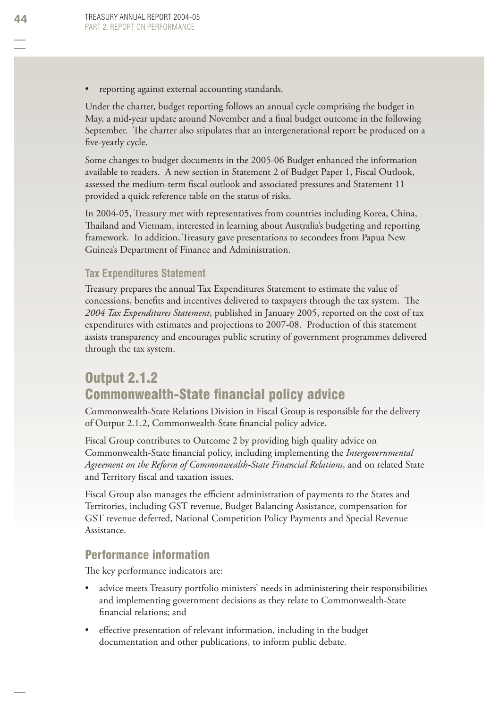reporting against external accounting standards. •

Under the charter, budget reporting follows an annual cycle comprising the budget in May, a mid-year update around November and a final budget outcome in the following September. The charter also stipulates that an intergenerational report be produced on a five-yearly cycle.

Some changes to budget documents in the 2005-06 Budget enhanced the information available to readers. A new section in Statement 2 of Budget Paper 1, Fiscal Outlook, assessed the medium-term fiscal outlook and associated pressures and Statement 11 provided a quick reference table on the status of risks.

In 2004-05, Treasury met with representatives from countries including Korea, China, Thailand and Vietnam, interested in learning about Australia's budgeting and reporting framework. In addition, Treasury gave presentations to secondees from Papua New Guinea's Department of Finance and Administration.

### **Tax Expenditures Statement**

Treasury prepares the annual Tax Expenditures Statement to estimate the value of concessions, benefits and incentives delivered to taxpayers through the tax system. The *2004 Tax Expenditures Statement*, published in January 2005, reported on the cost of tax expenditures with estimates and projections to 2007-08. Production of this statement assists transparency and encourages public scrutiny of government programmes delivered through the tax system.

# Output 2.1.2 **Commonwealth-State financial policy advice**

Commonwealth-State Relations Division in Fiscal Group is responsible for the delivery of Output 2.1.2, Commonwealth-State financial policy advice.

Fiscal Group contributes to Outcome 2 by providing high quality advice on Commonwealth-State financial policy, including implementing the *Intergovernmental Agreement on the Reform of Commonwealth-State Financial Relations*, and on related State and Territory fiscal and taxation issues.

Fiscal Group also manages the efficient administration of payments to the States and Territories, including GST revenue, Budget Balancing Assistance, compensation for GST revenue deferred, National Competition Policy Payments and Special Revenue Assistance.

# Performance information

The key performance indicators are:

- advice meets Treasury portfolio ministers' needs in administering their responsibilities and implementing government decisions as they relate to Commonwealth-State financial relations; and •
- effective presentation of relevant information, including in the budget documentation and other publications, to inform public debate. •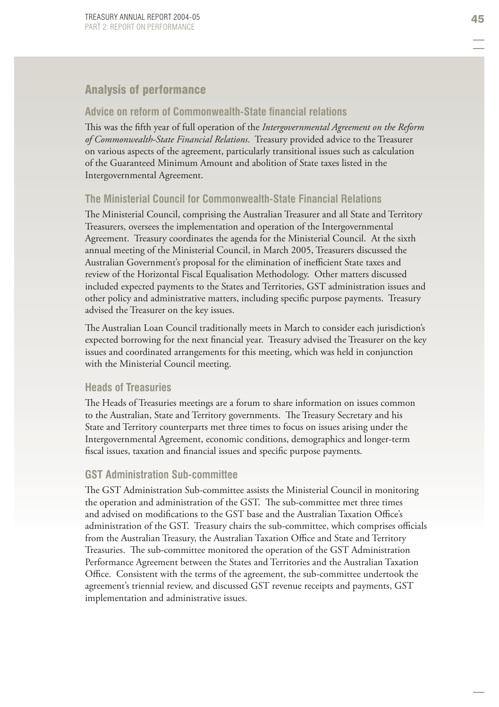### Analysis of performance

#### **Advice on reform of Commonwealth-State fi nancial relations**

This was the fifth year of full operation of the *Intergovernmental Agreement on the Reform of Commonwealth-State Financial Relations*. Treasury provided advice to the Treasurer on various aspects of the agreement, particularly transitional issues such as calculation of the Guaranteed Minimum Amount and abolition of State taxes listed in the Intergovernmental Agreement.

### **The Ministerial Council for Commonwealth-State Financial Relations**

The Ministerial Council, comprising the Australian Treasurer and all State and Territory Treasurers, oversees the implementation and operation of the Intergovernmental Agreement. Treasury coordinates the agenda for the Ministerial Council. At the sixth annual meeting of the Ministerial Council, in March 2005, Treasurers discussed the Australian Government's proposal for the elimination of inefficient State taxes and review of the Horizontal Fiscal Equalisation Methodology. Other matters discussed included expected payments to the States and Territories, GST administration issues and other policy and administrative matters, including specific purpose payments. Treasury advised the Treasurer on the key issues.

The Australian Loan Council traditionally meets in March to consider each jurisdiction's expected borrowing for the next financial year. Treasury advised the Treasurer on the key issues and coordinated arrangements for this meeting, which was held in conjunction with the Ministerial Council meeting.

#### **Heads of Treasuries**

The Heads of Treasuries meetings are a forum to share information on issues common to the Australian, State and Territory governments. The Treasury Secretary and his State and Territory counterparts met three times to focus on issues arising under the Intergovernmental Agreement, economic conditions, demographics and longer-term fiscal issues, taxation and financial issues and specific purpose payments.

#### **GST Administration Sub-committee**

The GST Administration Sub-committee assists the Ministerial Council in monitoring the operation and administration of the GST. The sub-committee met three times and advised on modifications to the GST base and the Australian Taxation Office's administration of the GST. Treasury chairs the sub-committee, which comprises officials from the Australian Treasury, the Australian Taxation Office and State and Territory Treasuries. The sub-committee monitored the operation of the GST Administration Performance Agreement between the States and Territories and the Australian Taxation Office. Consistent with the terms of the agreement, the sub-committee undertook the agreement's triennial review, and discussed GST revenue receipts and payments, GST implementation and administrative issues.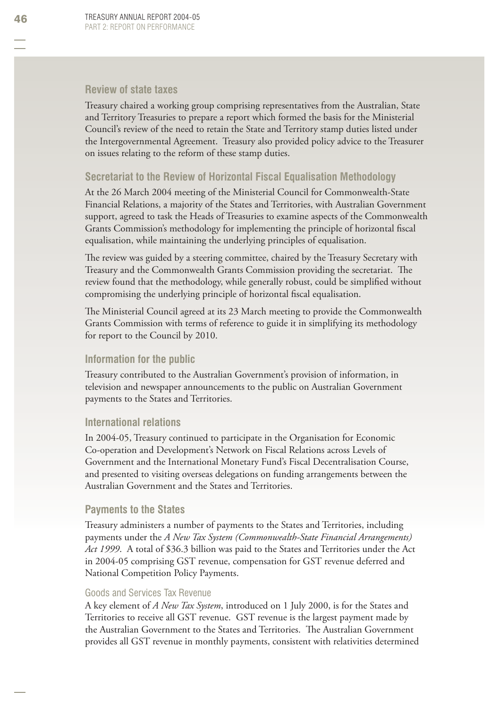#### **Review of state taxes**

Treasury chaired a working group comprising representatives from the Australian, State and Territory Treasuries to prepare a report which formed the basis for the Ministerial Council's review of the need to retain the State and Territory stamp duties listed under the Intergovernmental Agreement. Treasury also provided policy advice to the Treasurer on issues relating to the reform of these stamp duties.

#### **Secretariat to the Review of Horizontal Fiscal Equalisation Methodology**

At the 26 March 2004 meeting of the Ministerial Council for Commonwealth-State Financial Relations, a majority of the States and Territories, with Australian Government support, agreed to task the Heads of Treasuries to examine aspects of the Commonwealth Grants Commission's methodology for implementing the principle of horizontal fiscal equalisation, while maintaining the underlying principles of equalisation.

The review was guided by a steering committee, chaired by the Treasury Secretary with Treasury and the Commonwealth Grants Commission providing the secretariat. The review found that the methodology, while generally robust, could be simplified without compromising the underlying principle of horizontal fiscal equalisation.

The Ministerial Council agreed at its 23 March meeting to provide the Commonwealth Grants Commission with terms of reference to guide it in simplifying its methodology for report to the Council by 2010.

#### **Information for the public**

Treasury contributed to the Australian Government's provision of information, in television and newspaper announcements to the public on Australian Government payments to the States and Territories.

#### **International relations**

In 2004-05, Treasury continued to participate in the Organisation for Economic Co-operation and Development's Network on Fiscal Relations across Levels of Government and the International Monetary Fund's Fiscal Decentralisation Course, and presented to visiting overseas delegations on funding arrangements between the Australian Government and the States and Territories.

#### **Payments to the States**

Treasury administers a number of payments to the States and Territories, including payments under the *A New Tax System (Commonwealth-State Financial Arrangements) Act 1999*. A total of \$36.3 billion was paid to the States and Territories under the Act in 2004-05 comprising GST revenue, compensation for GST revenue deferred and National Competition Policy Payments.

#### Goods and Services Tax Revenue

A key element of *A New Tax System*, introduced on 1 July 2000, is for the States and Territories to receive all GST revenue. GST revenue is the largest payment made by the Australian Government to the States and Territories. The Australian Government provides all GST revenue in monthly payments, consistent with relativities determined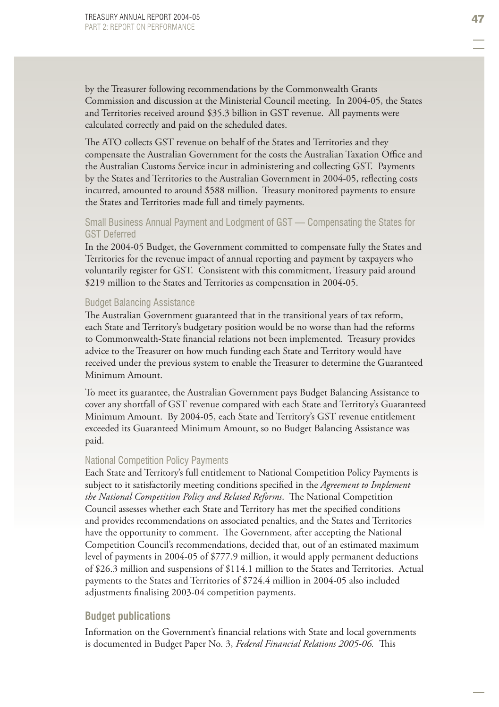by the Treasurer following recommendations by the Commonwealth Grants Commission and discussion at the Ministerial Council meeting. In 2004-05, the States and Territories received around \$35.3 billion in GST revenue. All payments were calculated correctly and paid on the scheduled dates.

The ATO collects GST revenue on behalf of the States and Territories and they compensate the Australian Government for the costs the Australian Taxation Office and the Australian Customs Service incur in administering and collecting GST. Payments by the States and Territories to the Australian Government in 2004-05, reflecting costs incurred, amounted to around \$588 million. Treasury monitored payments to ensure the States and Territories made full and timely payments.

#### Small Business Annual Payment and Lodgment of GST — Compensating the States for GST Deferred

In the 2004-05 Budget, the Government committed to compensate fully the States and Territories for the revenue impact of annual reporting and payment by taxpayers who voluntarily register for GST. Consistent with this commitment, Treasury paid around \$219 million to the States and Territories as compensation in 2004-05.

#### Budget Balancing Assistance

The Australian Government guaranteed that in the transitional years of tax reform, each State and Territory's budgetary position would be no worse than had the reforms to Commonwealth-State financial relations not been implemented. Treasury provides advice to the Treasurer on how much funding each State and Territory would have received under the previous system to enable the Treasurer to determine the Guaranteed Minimum Amount.

To meet its guarantee, the Australian Government pays Budget Balancing Assistance to cover any shortfall of GST revenue compared with each State and Territory's Guaranteed Minimum Amount. By 2004-05, each State and Territory's GST revenue entitlement exceeded its Guaranteed Minimum Amount, so no Budget Balancing Assistance was paid.

#### National Competition Policy Payments

Each State and Territory's full entitlement to National Competition Policy Payments is subject to it satisfactorily meeting conditions specified in the *Agreement to Implement the National Competition Policy and Related Reforms*. The National Competition Council assesses whether each State and Territory has met the specified conditions and provides recommendations on associated penalties, and the States and Territories have the opportunity to comment. The Government, after accepting the National Competition Council's recommendations, decided that, out of an estimated maximum level of payments in 2004-05 of \$777.9 million, it would apply permanent deductions of \$26.3 million and suspensions of \$114.1 million to the States and Territories. Actual payments to the States and Territories of \$724.4 million in 2004-05 also included adjustments finalising 2003-04 competition payments.

#### **Budget publications**

Information on the Government's financial relations with State and local governments is documented in Budget Paper No. 3, Federal Financial Relations 2005-06. This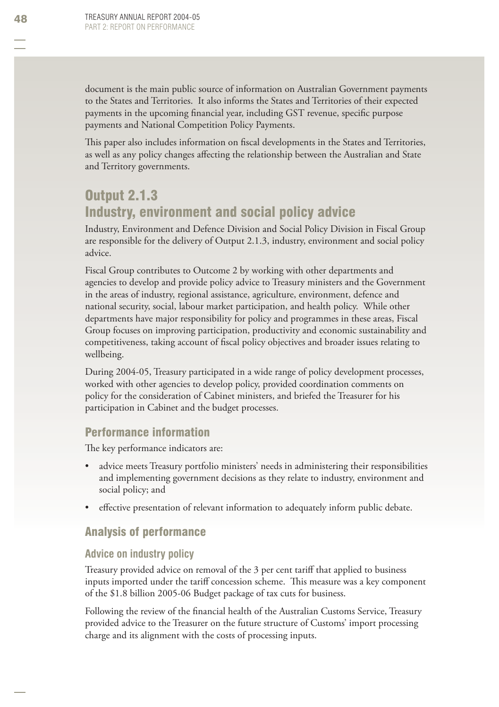document is the main public source of information on Australian Government payments to the States and Territories. It also informs the States and Territories of their expected payments in the upcoming financial year, including GST revenue, specific purpose payments and National Competition Policy Payments.

This paper also includes information on fiscal developments in the States and Territories, as well as any policy changes affecting the relationship between the Australian and State and Territory governments.

# Output 2.1.3 Industry, environment and social policy advice

Industry, Environment and Defence Division and Social Policy Division in Fiscal Group are responsible for the delivery of Output 2.1.3, industry, environment and social policy advice.

Fiscal Group contributes to Outcome 2 by working with other departments and agencies to develop and provide policy advice to Treasury ministers and the Government in the areas of industry, regional assistance, agriculture, environment, defence and national security, social, labour market participation, and health policy. While other departments have major responsibility for policy and programmes in these areas, Fiscal Group focuses on improving participation, productivity and economic sustainability and competitiveness, taking account of fiscal policy objectives and broader issues relating to wellbeing.

During 2004-05, Treasury participated in a wide range of policy development processes, worked with other agencies to develop policy, provided coordination comments on policy for the consideration of Cabinet ministers, and briefed the Treasurer for his participation in Cabinet and the budget processes.

# Performance information

The key performance indicators are:

- advice meets Treasury portfolio ministers' needs in administering their responsibilities and implementing government decisions as they relate to industry, environment and social policy; and •
- effective presentation of relevant information to adequately inform public debate. •

# Analysis of performance

### **Advice on industry policy**

Treasury provided advice on removal of the 3 per cent tariff that applied to business inputs imported under the tariff concession scheme. This measure was a key component of the \$1.8 billion 2005-06 Budget package of tax cuts for business.

Following the review of the financial health of the Australian Customs Service, Treasury provided advice to the Treasurer on the future structure of Customs' import processing charge and its alignment with the costs of processing inputs.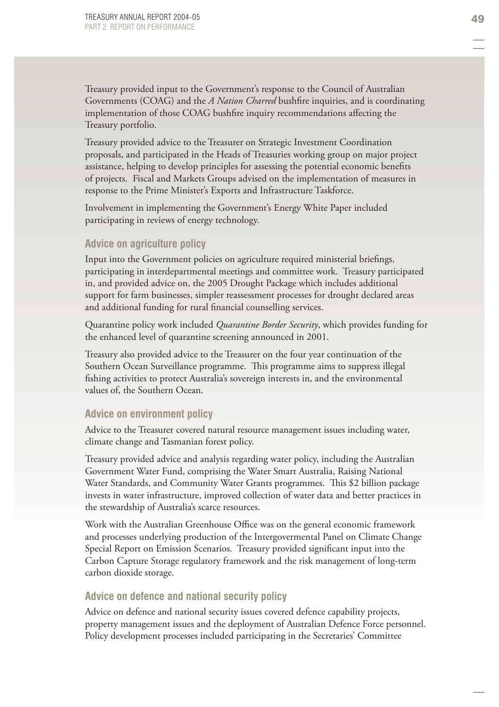Treasury provided input to the Government's response to the Council of Australian Governments (COAG) and the *A Nation Charred* bushfire inquiries, and is coordinating implementation of those COAG bushfire inquiry recommendations affecting the Treasury portfolio.

Treasury provided advice to the Treasurer on Strategic Investment Coordination proposals, and participated in the Heads of Treasuries working group on major project assistance, helping to develop principles for assessing the potential economic benefits of projects. Fiscal and Markets Groups advised on the implementation of measures in response to the Prime Minister's Exports and Infrastructure Taskforce .

Involvement in implementing the Government's Energy White Paper included participating in reviews of energy technology.

#### **Advice on agriculture policy**

Input into the Government policies on agriculture required ministerial briefings, participating in interdepartmental meetings and committee work. Treasury participated in, and provided advice on, the 2005 Drought Package which includes additional support for farm businesses, simpler reassessment processes for drought declared areas and additional funding for rural financial counselling services.

Quarantine policy work included *Quarantine Border Security*, which provides funding for the enhanced level of quarantine screening announced in 2001.

Treasury also provided advice to the Treasurer on the four year continuation of the Southern Ocean Surveillance programme. This programme aims to suppress illegal fishing activities to protect Australia's sovereign interests in, and the environmental values of, the Southern Ocean.

#### **Advice on environment policy**

Advice to the Treasurer covered natural resource management issues including water, climate change and Tasmanian forest policy.

Treasury provided advice and analysis regarding water policy, including the Australian Government Water Fund, comprising the Water Smart Australia, Raising National Water Standards, and Community Water Grants programmes. This \$2 billion package invests in water infrastructure, improved collection of water data and better practices in the stewardship of Australia's scarce resources.

Work with the Australian Greenhouse Office was on the general economic framework and processes underlying production of the Intergovermental Panel on Climate Change Special Report on Emission Scenarios. Treasury provided significant input into the Carbon Capture Storage regulatory framework and the risk management of long-term carbon dioxide storage.

#### **Advice on defence and national security policy**

Advice on defence and national security issues covered defence capability projects, property management issues and the deployment of Australian Defence Force personnel. Policy development processes included participating in the Secretaries' Committee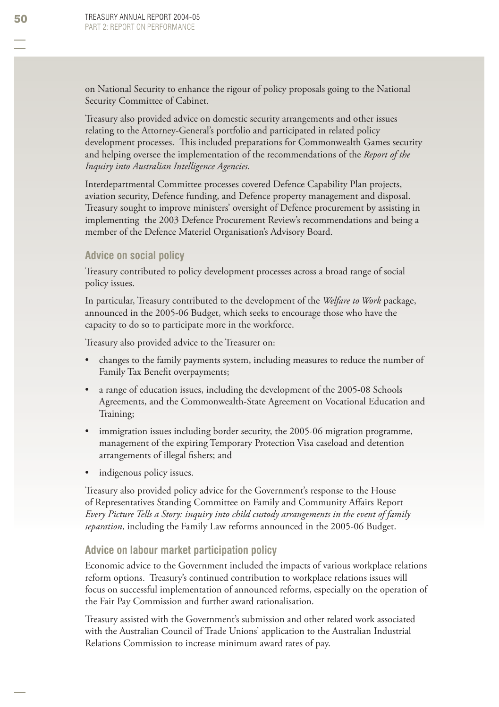on National Security to enhance the rigour of policy proposals going to the National Security Committee of Cabinet.

Treasury also provided advice on domestic security arrangements and other issues relating to the Attorney-General's portfolio and participated in related policy development processes. This included preparations for Commonwealth Games security and helping oversee the implementation of the recommendations of the *Report of the Inquiry into Australian Intelligence Agencies.*

Interdepartmental Committee processes covered Defence Capability Plan projects, aviation security, Defence funding, and Defence property management and disposal. Treasury sought to improve ministers' oversight of Defence procurement by assisting in implementing the 2003 Defence Procurement Review's recommendations and being a member of the Defence Materiel Organisation's Advisory Board.

#### **Advice on social policy**

Treasury contributed to policy development processes across a broad range of social policy issues.

In particular, Treasury contributed to the development of the *Welfare to Work* package, announced in the 2005-06 Budget, which seeks to encourage those who have the capacity to do so to participate more in the workforce.

Treasury also provided advice to the Treasurer on:

- changes to the family payments system, including measures to reduce the number of Family Tax Benefit overpayments; •
- a range of education issues, including the development of the 2005-08 Schools Agreements, and the Commonwealth-State Agreement on Vocational Education and Training; •
- immigration issues including border security, the 2005-06 migration programme, management of the expiring Temporary Protection Visa caseload and detention arrangements of illegal fishers; and •
- indigenous policy issues. •

Treasury also provided policy advice for the Government's response to the House of Representatives Standing Committee on Family and Community Affairs Report *Every Picture Tells a Story: inquiry into child custody arrangements in the event of family separation*, including the Family Law reforms announced in the 2005-06 Budget.

#### **Advice on labour market participation policy**

Economic advice to the Government included the impacts of various workplace relations reform options. Treasury's continued contribution to workplace relations issues will focus on successful implementation of announced reforms, especially on the operation of the Fair Pay Commission and further award rationalisation.

Treasury assisted with the Government's submission and other related work associated with the Australian Council of Trade Unions' application to the Australian Industrial Relations Commission to increase minimum award rates of pay.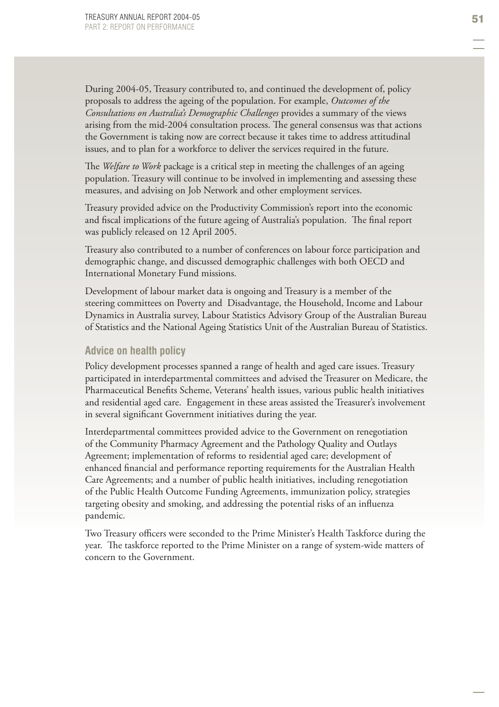During 2004-05, Treasury contributed to, and continued the development of, policy proposals to address the ageing of the population. For example, *Outcomes of the Consultations on Australia's Demographic Challenges* provides a summary of the views arising from the mid-2004 consultation process. The general consensus was that actions the Government is taking now are correct because it takes time to address attitudinal issues, and to plan for a workforce to deliver the services required in the future.

The *Welfare to Work* package is a critical step in meeting the challenges of an ageing population. Treasury will continue to be involved in implementing and assessing these measures, and advising on Job Network and other employment services.

Treasury provided advice on the Productivity Commission's report into the economic and fiscal implications of the future ageing of Australia's population. The final report was publicly released on 12 April 2005.

Treasury also contributed to a number of conferences on labour force participation and demographic change, and discussed demographic challenges with both OECD and International Monetary Fund missions.

Development of labour market data is ongoing and Treasury is a member of the steering committees on Poverty and Disadvantage, the Household, Income and Labour Dynamics in Australia survey, Labour Statistics Advisory Group of the Australian Bureau of Statistics and the National Ageing Statistics Unit of the Australian Bureau of Statistics.

#### **Advice on health policy**

Policy development processes spanned a range of health and aged care issues. Treasury participated in interdepartmental committees and advised the Treasurer on Medicare, the Pharmaceutical Benefits Scheme, Veterans' health issues, various public health initiatives and residential aged care. Engagement in these areas assisted the Treasurer's involvement in several significant Government initiatives during the year.

Interdepartmental committees provided advice to the Government on renegotiation of the Community Pharmacy Agreement and the Pathology Quality and Outlays Agreement; implementation of reforms to residential aged care; development of enhanced financial and performance reporting requirements for the Australian Health Care Agreements; and a number of public health initiatives, including renegotiation of the Public Health Outcome Funding Agreements, immunization policy, strategies targeting obesity and smoking, and addressing the potential risks of an influenza pandemic.

Two Treasury officers were seconded to the Prime Minister's Health Taskforce during the year. The taskforce reported to the Prime Minister on a range of system-wide matters of concern to the Government.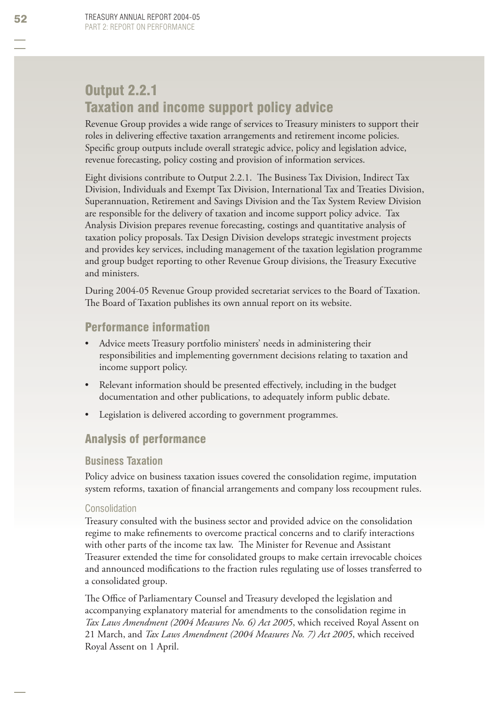# Output 2.2.1 Taxation and income support policy advice

Revenue Group provides a wide range of services to Treasury ministers to support their roles in delivering effective taxation arrangements and retirement income policies. Specific group outputs include overall strategic advice, policy and legislation advice, revenue forecasting, policy costing and provision of information services.

Eight divisions contribute to Output 2.2.1. The Business Tax Division, Indirect Tax Division, Individuals and Exempt Tax Division, International Tax and Treaties Division, Superannuation, Retirement and Savings Division and the Tax System Review Division are responsible for the delivery of taxation and income support policy advice. Tax Analysis Division prepares revenue forecasting, costings and quantitative analysis of taxation policy proposals. Tax Design Division develops strategic investment projects and provides key services, including management of the taxation legislation programme and group budget reporting to other Revenue Group divisions, the Treasury Executive and ministers.

During 2004-05 Revenue Group provided secretariat services to the Board of Taxation . The Board of Taxation publishes its own annual report on its website.

## Performance information

- Advice meets Treasury portfolio ministers' needs in administering their responsibilities and implementing government decisions relating to taxation and income support policy. •
- Relevant information should be presented effectively, including in the budget documentation and other publications, to adequately inform public debate. •
- Legislation is delivered according to government programmes. •

# Analysis of performance

#### **Business Taxation**

Policy advice on business taxation issues covered the consolidation regime, imputation system reforms, taxation of financial arrangements and company loss recoupment rules.

#### Consolidation

Treasury consulted with the business sector and provided advice on the consolidation regime to make refinements to overcome practical concerns and to clarify interactions with other parts of the income tax law. The Minister for Revenue and Assistant Treasurer extended the time for consolidated groups to make certain irrevocable choices and announced modifications to the fraction rules regulating use of losses transferred to a consolidated group.

The Office of Parliamentary Counsel and Treasury developed the legislation and accompanying explanatory material for amendments to the consolidation regime in *Tax Laws Amendment (2004 Measures No. 6) Act 2005*, which received Royal Assent on 21 March, and *Tax Laws Amendment (2004 Measures No. 7) Act 2005*, which received Royal Assent on 1 April.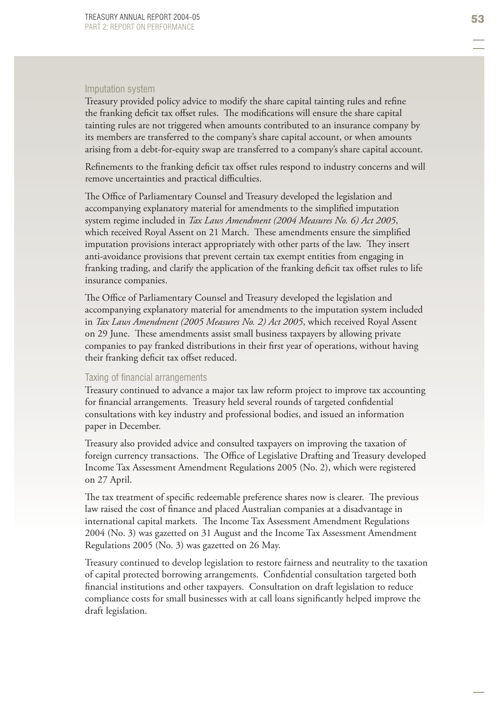# Imputation system

Treasury provided policy advice to modify the share capital tainting rules and refine the franking deficit tax offset rules. The modifications will ensure the share capital tainting rules are not triggered when amounts contributed to an insurance company by its members are transferred to the company's share capital account, or when amounts arising from a debt-for-equity swap are transferred to a company's share capital account.

Refinements to the franking deficit tax offset rules respond to industry concerns and will remove uncertainties and practical difficulties.

The Office of Parliamentary Counsel and Treasury developed the legislation and accompanying explanatory material for amendments to the simplified imputation system regime included in *Tax Laws Amendment (2004 Measures No. 6) Act 2005*, which received Royal Assent on 21 March. These amendments ensure the simplified imputation provisions interact appropriately with other parts of the law. They insert anti-avoidance provisions that prevent certain tax exempt entities from engaging in franking trading, and clarify the application of the franking deficit tax offset rules to life insurance companies.

The Office of Parliamentary Counsel and Treasury developed the legislation and accompanying explanatory material for amendments to the imputation system included in *Tax Laws Amendment (2005 Measures No. 2) Act 2005*, which received Royal Assent on 29 June. These amendments assist small business taxpayers by allowing private companies to pay franked distributions in their first year of operations, without having their franking deficit tax offset reduced.

#### Taxing of financial arrangements

Treasury continued to advance a major tax law reform project to improve tax accounting for financial arrangements. Treasury held several rounds of targeted confidential consultations with key industry and professional bodies, and issued an information paper in December.

Treasury also provided advice and consulted taxpayers on improving the taxation of foreign currency transactions. The Office of Legislative Drafting and Treasury developed Income Tax Assessment Amendment Regulations 2005 (No. 2), which were registered on 27 April.

The tax treatment of specific redeemable preference shares now is clearer. The previous law raised the cost of finance and placed Australian companies at a disadvantage in international capital markets. The Income Tax Assessment Amendment Regulations 2004 (No. 3) was gazetted on 31 August and the Income Tax Assessment Amendment Regulations 2005 (No. 3) was gazetted on 26 May.

Treasury continued to develop legislation to restore fairness and neutrality to the taxation of capital protected borrowing arrangements. Confidential consultation targeted both financial institutions and other taxpayers. Consultation on draft legislation to reduce compliance costs for small businesses with at call loans significantly helped improve the draft legislation.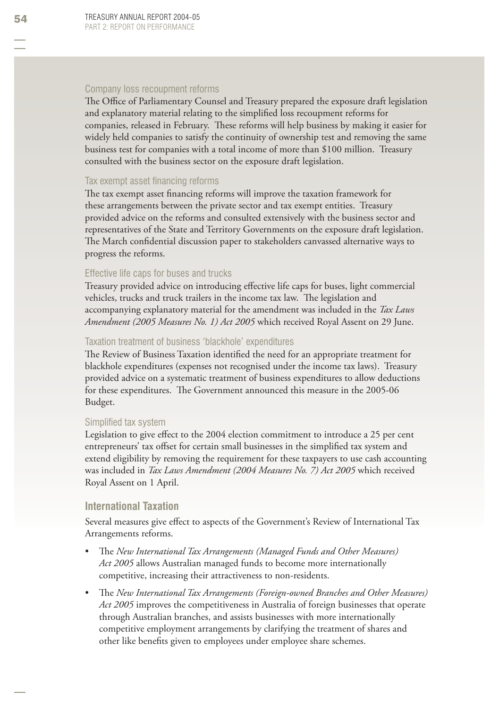## Company loss recoupment reforms

The Office of Parliamentary Counsel and Treasury prepared the exposure draft legislation and explanatory material relating to the simplified loss recoupment reforms for companies, released in February. Th ese reforms will help business by making it easier for widely held companies to satisfy the continuity of ownership test and removing the same business test for companies with a total income of more than \$100 million. Treasury consulted with the business sector on the exposure draft legislation.

### Tax exempt asset financing reforms

The tax exempt asset financing reforms will improve the taxation framework for these arrangements between the private sector and tax exempt entities. Treasury provided advice on the reforms and consulted extensively with the business sector and representatives of the State and Territory Governments on the exposure draft legislation. The March confidential discussion paper to stakeholders canvassed alternative ways to progress the reforms.

### Effective life caps for buses and trucks

Treasury provided advice on introducing effective life caps for buses, light commercial vehicles, trucks and truck trailers in the income tax law. The legislation and accompanying explanatory material for the amendment was included in the *Tax Laws Amendment (2005 Measures No. 1) Act 2005* which received Royal Assent on 29 June.

### Taxation treatment of business 'blackhole' expenditures

The Review of Business Taxation identified the need for an appropriate treatment for blackhole expenditures (expenses not recognised under the income tax laws). Treasury provided advice on a systematic treatment of business expenditures to allow deductions for these expenditures. The Government announced this measure in the 2005-06 Budget.

#### Simplified tax system

Legislation to give effect to the 2004 election commitment to introduce a 25 per cent entrepreneurs' tax offset for certain small businesses in the simplified tax system and extend eligibility by removing the requirement for these taxpayers to use cash accounting was included in *Tax Laws Amendment (2004 Measures No. 7) Act 2005* which received Royal Assent on 1 April.

### **International Taxation**

Several measures give effect to aspects of the Government's Review of International Tax Arrangements reforms.

- The *New International Tax Arrangements* (Managed Funds and Other Measures) *Act 2005* allows Australian managed funds to become more internationally competitive, increasing their attractiveness to non-residents. •
- Th e *New International Tax Arrangements (Foreign-owned Branches and Other Measures) Act 2005* improves the competitiveness in Australia of foreign businesses that operate through Australian branches, and assists businesses with more internationally competitive employment arrangements by clarifying the treatment of shares and other like benefits given to employees under employee share schemes. •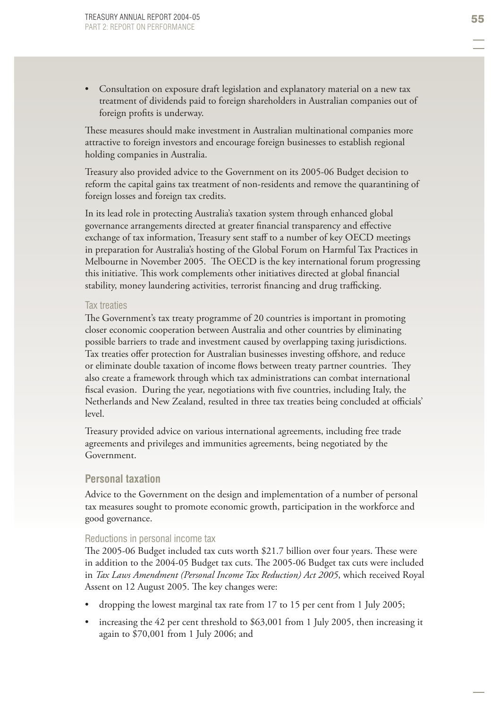Consultation on exposure draft legislation and explanatory material on a new tax treatment of dividends paid to foreign shareholders in Australian companies out of foreign profits is underway. •

These measures should make investment in Australian multinational companies more attractive to foreign investors and encourage foreign businesses to establish regional holding companies in Australia.

Treasury also provided advice to the Government on its 2005-06 Budget decision to reform the capital gains tax treatment of non-residents and remove the quarantining of foreign losses and foreign tax credits.

In its lead role in protecting Australia's taxation system through enhanced global governance arrangements directed at greater financial transparency and effective exchange of tax information, Treasury sent staff to a number of key OECD meetings in preparation for Australia's hosting of the Global Forum on Harmful Tax Practices in Melbourne in November 2005. The OECD is the key international forum progressing this initiative. This work complements other initiatives directed at global financial stability, money laundering activities, terrorist financing and drug trafficking.

### Tax treaties

The Government's tax treaty programme of 20 countries is important in promoting closer economic cooperation between Australia and other countries by eliminating possible barriers to trade and investment caused by overlapping taxing jurisdictions. Tax treaties offer protection for Australian businesses investing offshore, and reduce or eliminate double taxation of income flows between treaty partner countries. They also create a framework through which tax administrations can combat international fiscal evasion. During the year, negotiations with five countries, including Italy, the Netherlands and New Zealand, resulted in three tax treaties being concluded at officials' level.

Treasury provided advice on various international agreements, including free trade agreements and privileges and immunities agreements, being negotiated by the Government.

# **Personal taxation**

Advice to the Government on the design and implementation of a number of personal tax measures sought to promote economic growth, participation in the workforce and good governance.

### Reductions in personal income tax

The 2005-06 Budget included tax cuts worth \$21.7 billion over four years. These were in addition to the 2004-05 Budget tax cuts. The 2005-06 Budget tax cuts were included in *Tax Laws Amendment (Personal Income Tax Reduction) Act 2005*, which received Royal Assent on 12 August 2005. The key changes were:

- dropping the lowest marginal tax rate from 17 to 15 per cent from 1 July 2005; •
- increasing the 42 per cent threshold to \$63,001 from 1 July 2005, then increasing it again to \$70,001 from 1 July 2006; and •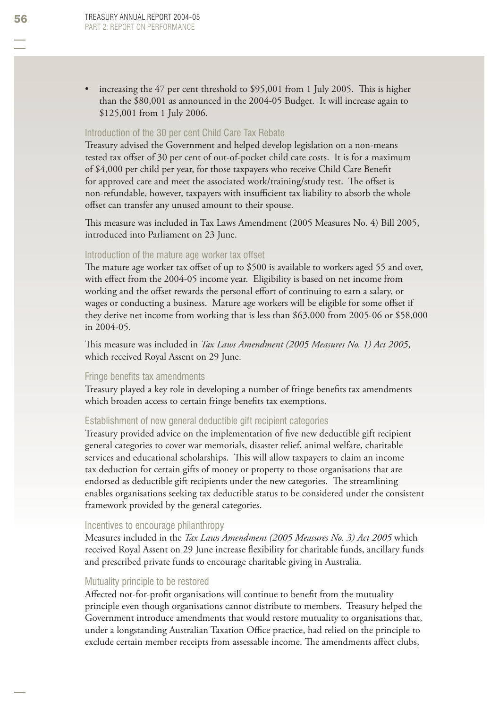increasing the 47 per cent threshold to \$95,001 from 1 July 2005. This is higher than the \$80,001 as announced in the 2004-05 Budget. It will increase again to \$125,001 from 1 July 2006. •

### Introduction of the 30 per cent Child Care Tax Rebate

Treasury advised the Government and helped develop legislation on a non-means tested tax offset of 30 per cent of out-of-pocket child care costs. It is for a maximum of \$4,000 per child per year, for those taxpayers who receive Child Care Benefit for approved care and meet the associated work/training/study test. The offset is non-refundable, however, taxpayers with insufficient tax liability to absorb the whole offset can transfer any unused amount to their spouse.

This measure was included in Tax Laws Amendment (2005 Measures No. 4) Bill 2005, introduced into Parliament on 23 June.

### Introduction of the mature age worker tax offset

The mature age worker tax offset of up to  $$500$  is available to workers aged 55 and over, with effect from the 2004-05 income year. Eligibility is based on net income from working and the offset rewards the personal effort of continuing to earn a salary, or wages or conducting a business. Mature age workers will be eligible for some offset if they derive net income from working that is less than \$63,000 from 2005-06 or \$58,000 in 2004-05.

This measure was included in *Tax Laws Amendment (2005 Measures No. 1) Act 2005*, which received Royal Assent on 29 June.

### Fringe benefits tax amendments

Treasury played a key role in developing a number of fringe benefits tax amendments which broaden access to certain fringe benefits tax exemptions.

# Establishment of new general deductible gift recipient categories

Treasury provided advice on the implementation of five new deductible gift recipient general categories to cover war memorials, disaster relief, animal welfare, charitable services and educational scholarships. This will allow taxpayers to claim an income tax deduction for certain gifts of money or property to those organisations that are endorsed as deductible gift recipients under the new categories. The streamlining enables organisations seeking tax deductible status to be considered under the consistent framework provided by the general categories.

#### Incentives to encourage philanthropy

Measures included in the *Tax Laws Amendment (2005 Measures No. 3) Act 2005* which received Royal Assent on 29 June increase flexibility for charitable funds, ancillary funds and prescribed private funds to encourage charitable giving in Australia.

#### Mutuality principle to be restored

Affected not-for-profit organisations will continue to benefit from the mutuality principle even though organisations cannot distribute to members. Treasury helped the Government introduce amendments that would restore mutuality to organisations that, under a longstanding Australian Taxation Office practice, had relied on the principle to exclude certain member receipts from assessable income. The amendments affect clubs,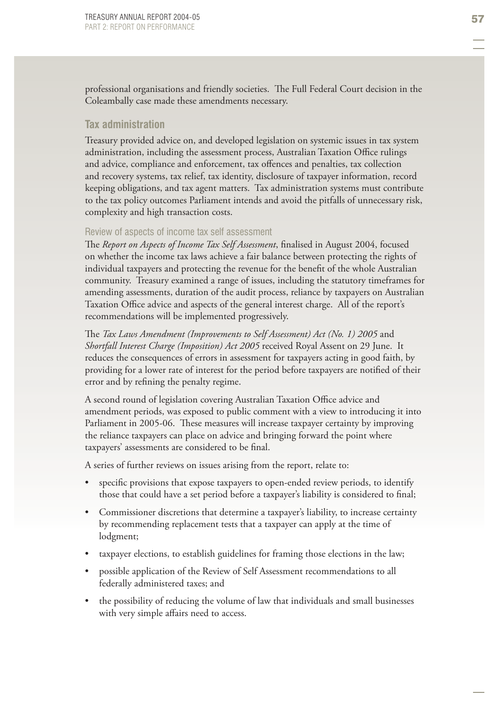professional organisations and friendly societies. The Full Federal Court decision in the Coleambally case made these amendments necessary.

## **Tax administration**

Treasury provided advice on, and developed legislation on systemic issues in tax system administration, including the assessment process, Australian Taxation Office rulings and advice, compliance and enforcement, tax offences and penalties, tax collection and recovery systems, tax relief, tax identity, disclosure of taxpayer information, record keeping obligations, and tax agent matters. Tax administration systems must contribute to the tax policy outcomes Parliament intends and avoid the pitfalls of unnecessary risk, complexity and high transaction costs.

## Review of aspects of income tax self assessment

The *Report on Aspects of Income Tax Self Assessment*, finalised in August 2004, focused on whether the income tax laws achieve a fair balance between protecting the rights of individual taxpayers and protecting the revenue for the benefit of the whole Australian community. Treasury examined a range of issues, including the statutory timeframes for amending assessments, duration of the audit process, reliance by taxpayers on Australian Taxation Office advice and aspects of the general interest charge. All of the report's recommendations will be implemented progressively.

The *Tax Laws Amendment (Improvements to Self Assessment) Act (No. 1) 2005* and *Shortfall Interest Charge (Imposition) Act 2005* received Royal Assent on 29 June. It reduces the consequences of errors in assessment for taxpayers acting in good faith, by providing for a lower rate of interest for the period before taxpayers are notified of their error and by refining the penalty regime.

A second round of legislation covering Australian Taxation Office advice and amendment periods, was exposed to public comment with a view to introducing it into Parliament in 2005-06. These measures will increase taxpayer certainty by improving the reliance taxpayers can place on advice and bringing forward the point where taxpayers' assessments are considered to be final.

A series of further reviews on issues arising from the report, relate to:

- specific provisions that expose taxpayers to open-ended review periods, to identify those that could have a set period before a taxpayer's liability is considered to final; •
- Commissioner discretions that determine a taxpayer's liability, to increase certainty by recommending replacement tests that a taxpayer can apply at the time of lodgment; •
- taxpayer elections, to establish guidelines for framing those elections in the law; •
- possible application of the Review of Self Assessment recommendations to all federally administered taxes; and
- the possibility of reducing the volume of law that individuals and small businesses with very simple affairs need to access. •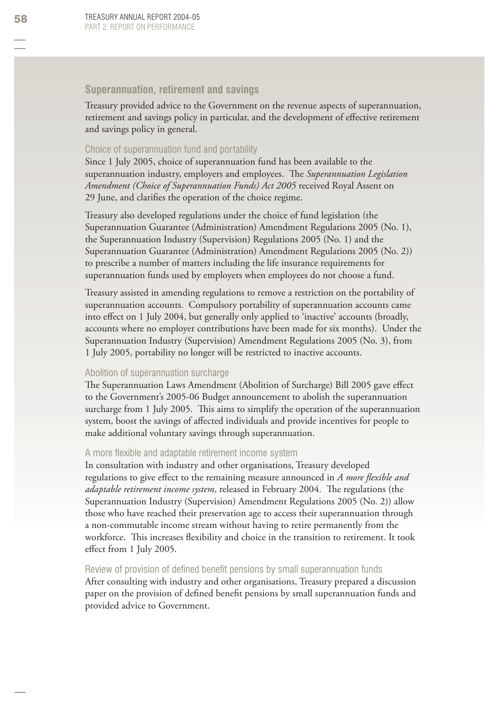# **Superannuation, retirement and savings**

Treasury provided advice to the Government on the revenue aspects of superannuation, retirement and savings policy in particular, and the development of effective retirement and savings policy in general.

### Choice of superannuation fund and portability

Since 1 July 2005, choice of superannuation fund has been available to the superannuation industry, employers and employees. The *Superannuation Legislation Amendment (Choice of Superannuation Funds) Act 2005* received Royal Assent on 29 June, and clarifies the operation of the choice regime.

Treasury also developed regulations under the choice of fund legislation (the Superannuation Guarantee (Administration) Amendment Regulations 2005 (No. 1), the Superannuation Industry (Supervision) Regulations 2005 (No. 1) and the Superannuation Guarantee (Administration) Amendment Regulations 2005 (No. 2)) to prescribe a number of matters including the life insurance requirements for superannuation funds used by employers when employees do not choose a fund.

Treasury assisted in amending regulations to remove a restriction on the portability of superannuation accounts. Compulsory portability of superannuation accounts came into effect on 1 July 2004, but generally only applied to 'inactive' accounts (broadly, accounts where no employer contributions have been made for six months). Under the Superannuation Industry (Supervision) Amendment Regulations 2005 (No. 3), from 1 July 2005, portability no longer will be restricted to inactive accounts.

### Abolition of superannuation surcharge

The Superannuation Laws Amendment (Abolition of Surcharge) Bill 2005 gave effect to the Government's 2005-06 Budget announcement to abolish the superannuation surcharge from 1 July 2005. This aims to simplify the operation of the superannuation system, boost the savings of affected individuals and provide incentives for people to make additional voluntary savings through superannuation.

### A more flexible and adaptable retirement income system

In consultation with industry and other organisations, Treasury developed regulations to give effect to the remaining measure announced in *A more flexible and adaptable retirement income system*, released in February 2004. The regulations (the Superannuation Industry (Supervision) Amendment Regulations 2005 (No. 2)) allow those who have reached their preservation age to access their superannuation through a non-commutable income stream without having to retire permanently from the workforce. This increases flexibility and choice in the transition to retirement. It took effect from 1 July 2005.

### Review of provision of defined benefit pensions by small superannuation funds

After consulting with industry and other organisations, Treasury prepared a discussion paper on the provision of defined benefit pensions by small superannuation funds and provided advice to Government.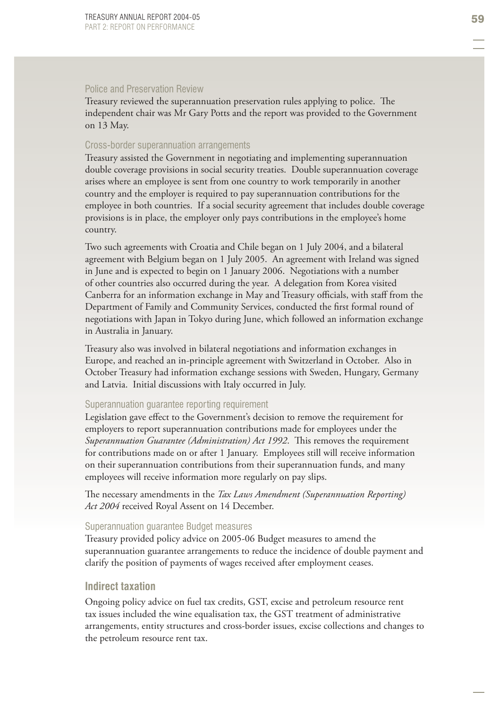### Police and Preservation Review

Treasury reviewed the superannuation preservation rules applying to police. The independent chair was Mr Gary Potts and the report was provided to the Government on 13 May.

### Cross-border superannuation arrangements

Treasury assisted the Government in negotiating and implementing superannuation double coverage provisions in social security treaties. Double superannuation coverage arises where an employee is sent from one country to work temporarily in another country and the employer is required to pay superannuation contributions for the employee in both countries. If a social security agreement that includes double coverage provisions is in place, the employer only pays contributions in the employee's home country.

Two such agreements with Croatia and Chile began on 1 July 2004, and a bilateral agreement with Belgium began on 1 July 2005. An agreement with Ireland was signed in June and is expected to begin on 1 January 2006. Negotiations with a number of other countries also occurred during the year. A delegation from Korea visited Canberra for an information exchange in May and Treasury officials, with staff from the Department of Family and Community Services, conducted the first formal round of negotiations with Japan in Tokyo during June, which followed an information exchange in Australia in January.

Treasury also was involved in bilateral negotiations and information exchanges in Europe, and reached an in-principle agreement with Switzerland in October. Also in October Treasury had information exchange sessions with Sweden, Hungary, Germany and Latvia. Initial discussions with Italy occurred in July.

### Superannuation guarantee reporting requirement

Legislation gave effect to the Government's decision to remove the requirement for employers to report superannuation contributions made for employees under the *Superannuation Guarantee (Administration) Act 1992.* This removes the requirement for contributions made on or after 1 January. Employees still will receive information on their superannuation contributions from their superannuation funds, and many employees will receive information more regularly on pay slips.

The necessary amendments in the *Tax Laws Amendment (Superannuation Reporting) Act 2004* received Royal Assent on 14 December.

#### Superannuation guarantee Budget measures

Treasury provided policy advice on 2005-06 Budget measures to amend the superannuation guarantee arrangements to reduce the incidence of double payment and clarify the position of payments of wages received after employment ceases.

### **Indirect taxation**

Ongoing policy advice on fuel tax credits, GST, excise and petroleum resource rent tax issues included the wine equalisation tax, the GST treatment of administrative arrangements, entity structures and cross-border issues, excise collections and changes to the petroleum resource rent tax.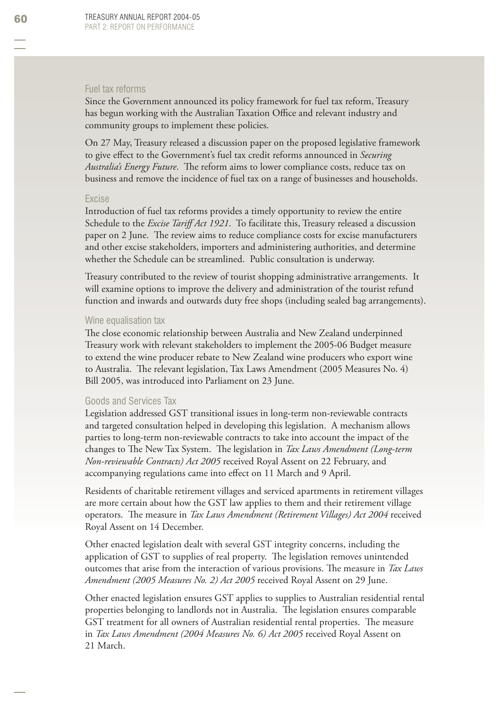### Fuel tax reforms

Since the Government announced its policy framework for fuel tax reform, Treasury has begun working with the Australian Taxation Office and relevant industry and community groups to implement these policies.

On 27 May, Treasury released a discussion paper on the proposed legislative framework to give effect to the Government's fuel tax credit reforms announced in *Securing Australia's Energy Future*. The reform aims to lower compliance costs, reduce tax on business and remove the incidence of fuel tax on a range of businesses and households.

#### Excise

Introduction of fuel tax reforms provides a timely opportunity to review the entire Schedule to the *Excise Tariff Act 1921*. To facilitate this, Treasury released a discussion paper on 2 June. The review aims to reduce compliance costs for excise manufacturers and other excise stakeholders, importers and administering authorities, and determine whether the Schedule can be streamlined. Public consultation is underway.

Treasury contributed to the review of tourist shopping administrative arrangements. It will examine options to improve the delivery and administration of the tourist refund function and inwards and outwards duty free shops (including sealed bag arrangements).

#### Wine equalisation tax

The close economic relationship between Australia and New Zealand underpinned Treasury work with relevant stakeholders to implement the 2005-06 Budget measure to extend the wine producer rebate to New Zealand wine producers who export wine to Australia. The relevant legislation, Tax Laws Amendment (2005 Measures No. 4) Bill 2005, was introduced into Parliament on 23 June.

### Goods and Services Tax

Legislation addressed GST transitional issues in long-term non-reviewable contracts and targeted consultation helped in developing this legislation. A mechanism allows parties to long-term non-reviewable contracts to take into account the impact of the changes to The New Tax System. The legislation in *Tax Laws Amendment (Long-term Non-reviewable Contracts) Act 2005* received Royal Assent on 22 February, and accompanying regulations came into effect on 11 March and 9 April.

Residents of charitable retirement villages and serviced apartments in retirement villages are more certain about how the GST law applies to them and their retirement village operators. The measure in *Tax Laws Amendment (Retirement Villages) Act 2004* received Royal Assent on 14 December.

Other enacted legislation dealt with several GST integrity concerns, including the application of GST to supplies of real property. The legislation removes unintended outcomes that arise from the interaction of various provisions. The measure in *Tax Laws Amendment (2005 Measures No. 2) Act 2005* received Royal Assent on 29 June.

Other enacted legislation ensures GST applies to supplies to Australian residential rental properties belonging to landlords not in Australia. The legislation ensures comparable GST treatment for all owners of Australian residential rental properties. The measure in *Tax Laws Amendment (2004 Measures No. 6) Act 2005* received Royal Assent on 21 March.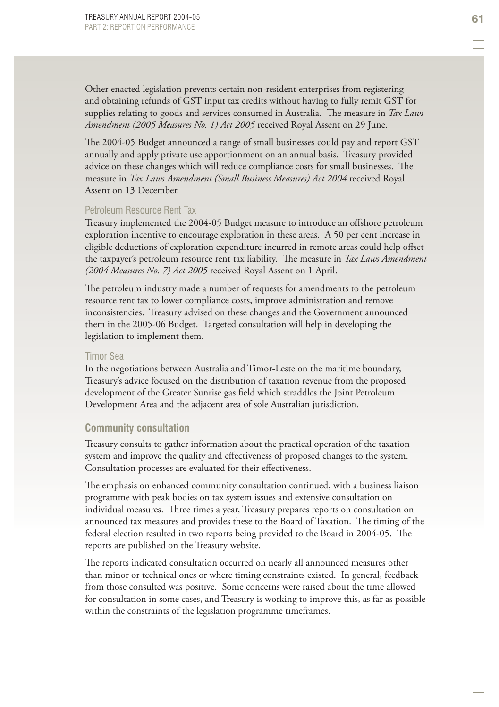Other enacted legislation prevents certain non-resident enterprises from registering and obtaining refunds of GST input tax credits without having to fully remit GST for supplies relating to goods and services consumed in Australia. The measure in *Tax Laws Amendment (2005 Measures No. 1) Act 2005* received Royal Assent on 29 June.

The 2004-05 Budget announced a range of small businesses could pay and report GST annually and apply private use apportionment on an annual basis. Treasury provided advice on these changes which will reduce compliance costs for small businesses. The measure in *Tax Laws Amendment (Small Business Measures) Act 2004* received Royal Assent on 13 December.

### Petroleum Resource Rent Tax

Treasury implemented the 2004-05 Budget measure to introduce an offshore petroleum exploration incentive to encourage exploration in these areas. A 50 per cent increase in eligible deductions of exploration expenditure incurred in remote areas could help offset the taxpayer's petroleum resource rent tax liability. The measure in *Tax Laws Amendment (2004 Measures No. 7) Act 2005* received Royal Assent on 1 April.

The petroleum industry made a number of requests for amendments to the petroleum resource rent tax to lower compliance costs, improve administration and remove inconsistencies. Treasury advised on these changes and the Government announced them in the 2005-06 Budget. Targeted consultation will help in developing the legislation to implement them.

### Timor Sea

In the negotiations between Australia and Timor-Leste on the maritime boundary, Treasury's advice focused on the distribution of taxation revenue from the proposed development of the Greater Sunrise gas field which straddles the Joint Petroleum Development Area and the adjacent area of sole Australian jurisdiction.

### **Community consultation**

Treasury consults to gather information about the practical operation of the taxation system and improve the quality and effectiveness of proposed changes to the system. Consultation processes are evaluated for their effectiveness.

The emphasis on enhanced community consultation continued, with a business liaison programme with peak bodies on tax system issues and extensive consultation on individual measures. Three times a year, Treasury prepares reports on consultation on announced tax measures and provides these to the Board of Taxation. The timing of the federal election resulted in two reports being provided to the Board in 2004-05. The reports are published on the Treasury website.

The reports indicated consultation occurred on nearly all announced measures other than minor or technical ones or where timing constraints existed. In general, feedback from those consulted was positive. Some concerns were raised about the time allowed for consultation in some cases, and Treasury is working to improve this, as far as possible within the constraints of the legislation programme timeframes.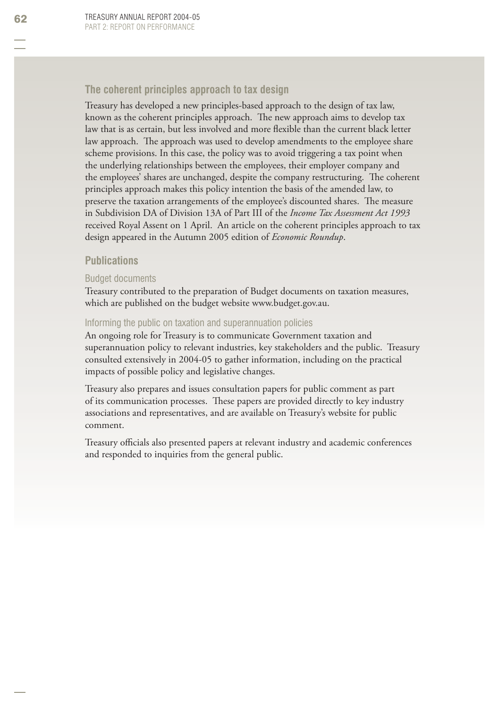# **The coherent principles approach to tax design**

Treasury has developed a new principles-based approach to the design of tax law, known as the coherent principles approach. The new approach aims to develop tax law that is as certain, but less involved and more flexible than the current black letter law approach. The approach was used to develop amendments to the employee share scheme provisions. In this case, the policy was to avoid triggering a tax point when the underlying relationships between the employees, their employer company and the employees' shares are unchanged, despite the company restructuring. The coherent principles approach makes this policy intention the basis of the amended law, to preserve the taxation arrangements of the employee's discounted shares. The measure in Subdivision DA of Division 13A of Part III of the *Income Tax Assessment Act 1993* received Royal Assent on 1 April. An article on the coherent principles approach to tax design appeared in the Autumn 2005 edition of *Economic Roundup*.

# **Publications**

# Budget documents

Treasury contributed to the preparation of Budget documents on taxation measures, which are published on the budget website www.budget.gov.au.

### Informing the public on taxation and superannuation policies

An ongoing role for Treasury is to communicate Government taxation and superannuation policy to relevant industries, key stakeholders and the public. Treasury consulted extensively in 2004-05 to gather information, including on the practical impacts of possible policy and legislative changes.

Treasury also prepares and issues consultation papers for public comment as part of its communication processes. These papers are provided directly to key industry associations and representatives, and are available on Treasury's website for public comment.

Treasury officials also presented papers at relevant industry and academic conferences and responded to inquiries from the general public.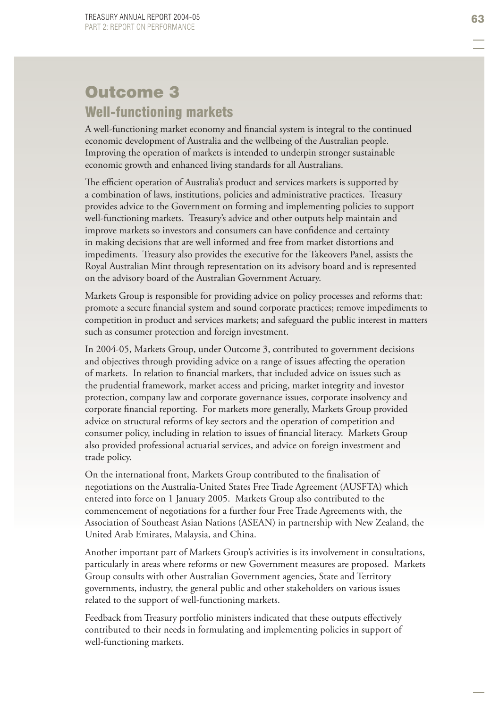# Outcome 3 Well-functioning markets

A well-functioning market economy and financial system is integral to the continued economic development of Australia and the wellbeing of the Australian people. Improving the operation of markets is intended to underpin stronger sustainable economic growth and enhanced living standards for all Australians.

The efficient operation of Australia's product and services markets is supported by a combination of laws, institutions, policies and administrative practices. Treasury provides advice to the Government on forming and implementing policies to support well-functioning markets. Treasury's advice and other outputs help maintain and improve markets so investors and consumers can have confidence and certainty in making decisions that are well informed and free from market distortions and impediments. Treasury also provides the executive for the Takeovers Panel, assists the Royal Australian Mint through representation on its advisory board and is represented on the advisory board of the Australian Government Actuary.

Markets Group is responsible for providing advice on policy processes and reforms that: promote a secure financial system and sound corporate practices; remove impediments to competition in product and services markets; and safeguard the public interest in matters such as consumer protection and foreign investment.

In 2004-05, Markets Group, under Outcome 3, contributed to government decisions and objectives through providing advice on a range of issues affecting the operation of markets. In relation to financial markets, that included advice on issues such as the prudential framework, market access and pricing, market integrity and investor protection, company law and corporate governance issues, corporate insolvency and corporate financial reporting. For markets more generally, Markets Group provided advice on structural reforms of key sectors and the operation of competition and consumer policy, including in relation to issues of financial literacy. Markets Group also provided professional actuarial services, and advice on foreign investment and trade policy.

On the international front, Markets Group contributed to the finalisation of negotiations on the Australia-United States Free Trade Agreement (AUSFTA) which entered into force on 1 January 2005. Markets Group also contributed to the commencement of negotiations for a further four Free Trade Agreements with, the Association of Southeast Asian Nations (ASEAN) in partnership with New Zealand, the United Arab Emirates, Malaysia, and China.

Another important part of Markets Group's activities is its involvement in consultations, particularly in areas where reforms or new Government measures are proposed. Markets Group consults with other Australian Government agencies, State and Territory governments, industry, the general public and other stakeholders on various issues related to the support of well-functioning markets.

Feedback from Treasury portfolio ministers indicated that these outputs effectively contributed to their needs in formulating and implementing policies in support of well-functioning markets.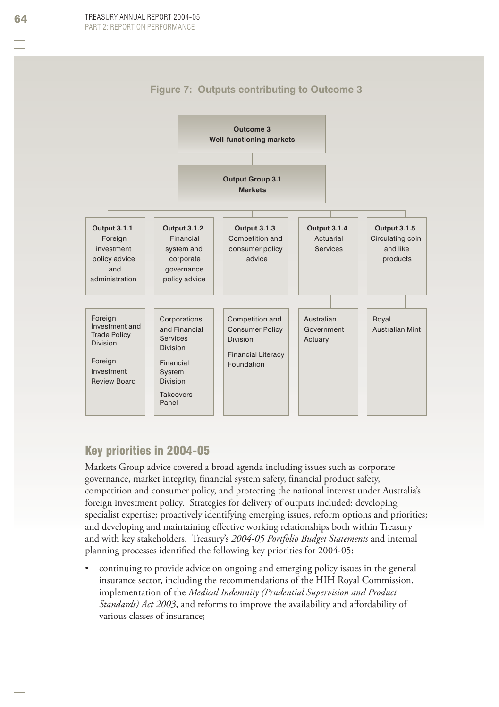



# Key priorities in 2004-05

Markets Group advice covered a broad agenda including issues such as corporate governance, market integrity, financial system safety, financial product safety, competition and consumer policy, and protecting the national interest under Australia's foreign investment policy. Strategies for delivery of outputs included: developing specialist expertise; proactively identifying emerging issues, reform options and priorities; and developing and maintaining effective working relationships both within Treasury and with key stakeholders. Treasury's *2004-05 Portfolio Budget Statements* and internal planning processes identified the following key priorities for 2004-05:

continuing to provide advice on ongoing and emerging policy issues in the general insurance sector, including the recommendations of the HIH Royal Commission, implementation of the *Medical Indemnity (Prudential Supervision and Product Standards) Act 2003*, and reforms to improve the availability and affordability of various classes of insurance; •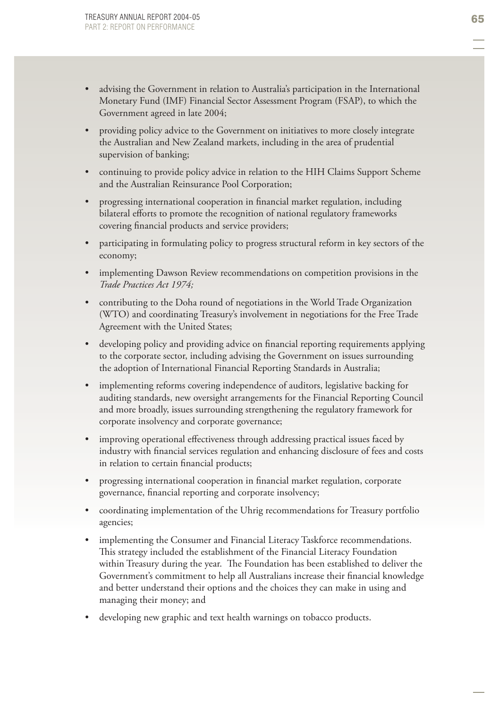- advising the Government in relation to Australia's participation in the International Monetary Fund (IMF) Financial Sector Assessment Program (FSAP), to which the Government agreed in late 2004; •
- providing policy advice to the Government on initiatives to more closely integrate the Australian and New Zealand markets, including in the area of prudential supervision of banking; •
- continuing to provide policy advice in relation to the HIH Claims Support Scheme and the Australian Reinsurance Pool Corporation; •
- progressing international cooperation in financial market regulation, including bilateral efforts to promote the recognition of national regulatory frameworks covering financial products and service providers; •
- participating in formulating policy to progress structural reform in key sectors of the economy; •
- implementing Dawson Review recommendations on competition provisions in the *Trade Practices Act 1974;* •
- contributing to the Doha round of negotiations in the World Trade Organization (WTO) and coordinating Treasury's involvement in negotiations for the Free Trade Agreement with the United States; •
- developing policy and providing advice on financial reporting requirements applying to the corporate sector, including advising the Government on issues surrounding the adoption of International Financial Reporting Standards in Australia; •
- implementing reforms covering independence of auditors, legislative backing for auditing standards, new oversight arrangements for the Financial Reporting Council and more broadly, issues surrounding strengthening the regulatory framework for corporate insolvency and corporate governance; •
- improving operational effectiveness through addressing practical issues faced by industry with financial services regulation and enhancing disclosure of fees and costs in relation to certain financial products; •
- progressing international cooperation in financial market regulation, corporate governance, financial reporting and corporate insolvency; •
- coordinating implementation of the Uhrig recommendations for Treasury portfolio agencies; •
- implementing the Consumer and Financial Literacy Taskforce recommendations. This strategy included the establishment of the Financial Literacy Foundation within Treasury during the year. The Foundation has been established to deliver the Government's commitment to help all Australians increase their financial knowledge and better understand their options and the choices they can make in using and managing their money; and •
- developing new graphic and text health warnings on tobacco products. •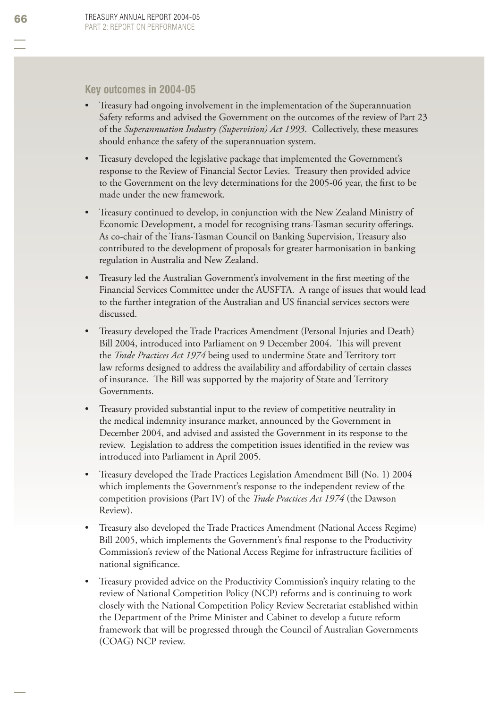## **Key outcomes in 2004-05**

- Treasury had ongoing involvement in the implementation of the Superannuation Safety reforms and advised the Government on the outcomes of the review of Part 23 of the *Superannuation Industry (Supervision) Act 1993*. Collectively, these measures should enhance the safety of the superannuation system. •
- Treasury developed the legislative package that implemented the Government's response to the Review of Financial Sector Levies. Treasury then provided advice to the Government on the levy determinations for the 2005-06 year, the first to be made under the new framework. •
- Treasury continued to develop, in conjunction with the New Zealand Ministry of Economic Development, a model for recognising trans-Tasman security offerings. As co-chair of the Trans-Tasman Council on Banking Supervision, Treasury also contributed to the development of proposals for greater harmonisation in banking regulation in Australia and New Zealand. •
- Treasury led the Australian Government's involvement in the first meeting of the Financial Services Committee under the AUSFTA. A range of issues that would lead to the further integration of the Australian and US financial services sectors were discussed. •
- Treasury developed the Trade Practices Amendment (Personal Injuries and Death) Bill 2004, introduced into Parliament on 9 December 2004. This will prevent the *Trade Practices Act 1974* being used to undermine State and Territory tort law reforms designed to address the availability and affordability of certain classes of insurance. The Bill was supported by the majority of State and Territory Governments. •
- Treasury provided substantial input to the review of competitive neutrality in the medical indemnity insurance market, announced by the Government in December 2004, and advised and assisted the Government in its response to the review. Legislation to address the competition issues identified in the review was introduced into Parliament in April 2005. •
- Treasury developed the Trade Practices Legislation Amendment Bill (No. 1) 2004 which implements the Government's response to the independent review of the competition provisions (Part IV) of the *Trade Practices Act 1974* (the Dawson Review). •
- Treasury also developed the Trade Practices Amendment (National Access Regime) Bill 2005, which implements the Government's final response to the Productivity Commission's review of the National Access Regime for infrastructure facilities of national significance. •
- Treasury provided advice on the Productivity Commission's inquiry relating to the review of National Competition Policy (NCP) reforms and is continuing to work closely with the National Competition Policy Review Secretariat established within the Department of the Prime Minister and Cabinet to develop a future reform framework that will be progressed through the Council of Australian Governments (COAG) NCP review. •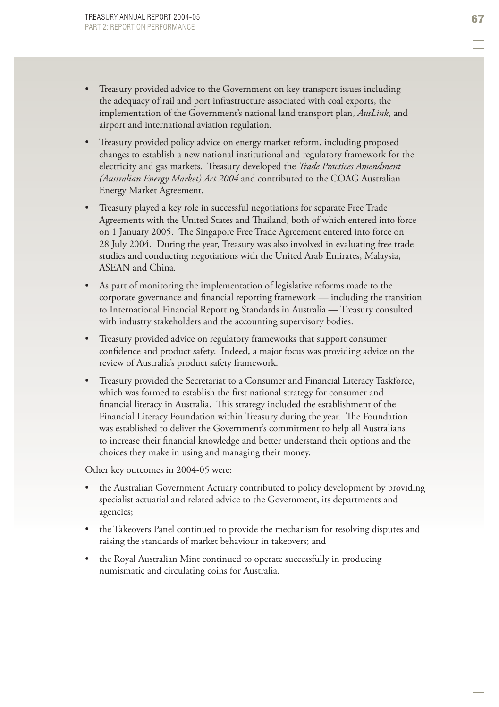- Treasury provided advice to the Government on key transport issues including the adequacy of rail and port infrastructure associated with coal exports, the implementation of the Government's national land transport plan, *AusLink*, and airport and international aviation regulation. •
- Treasury provided policy advice on energy market reform, including proposed changes to establish a new national institutional and regulatory framework for the electricity and gas markets. Treasury developed the *Trade Practices Amendment (Australian Energy Market) Act 2004* and contributed to the COAG Australian Energy Market Agreement. •
- Treasury played a key role in successful negotiations for separate Free Trade Agreements with the United States and Thailand, both of which entered into force on 1 January 2005. The Singapore Free Trade Agreement entered into force on 28 July 2004. During the year, Treasury was also involved in evaluating free trade studies and conducting negotiations with the United Arab Emirates, Malaysia, ASEAN and China. •
- As part of monitoring the implementation of legislative reforms made to the corporate governance and financial reporting framework — including the transition to International Financial Reporting Standards in Australia — Treasury consulted with industry stakeholders and the accounting supervisory bodies. •
- Treasury provided advice on regulatory frameworks that support consumer confidence and product safety. Indeed, a major focus was providing advice on the review of Australia's product safety framework. •
- Treasury provided the Secretariat to a Consumer and Financial Literacy Taskforce , which was formed to establish the first national strategy for consumer and financial literacy in Australia. This strategy included the establishment of the Financial Literacy Foundation within Treasury during the year. The Foundation was established to deliver the Government's commitment to help all Australians to increase their financial knowledge and better understand their options and the choices they make in using and managing their money. •

Other key outcomes in 2004-05 were:

- the Australian Government Actuary contributed to policy development by providing specialist actuarial and related advice to the Government, its departments and agencies; •
- the Takeovers Panel continued to provide the mechanism for resolving disputes and raising the standards of market behaviour in takeovers; and •
- the Royal Australian Mint continued to operate successfully in producing numismatic and circulating coins for Australia. •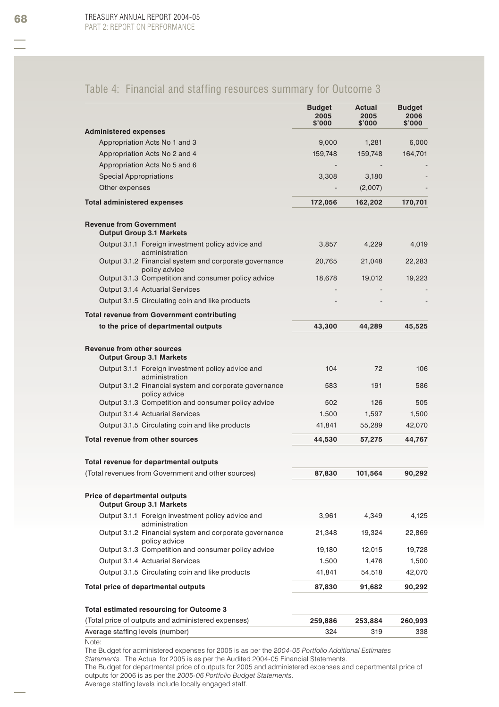# Table 4: Financial and staffing resources summary for Outcome 3

|                                                                                                             | <b>Budget</b><br>2005<br>\$'000 | Actual<br>2005<br>\$'000 | <b>Budget</b><br>2006<br>\$'000 |
|-------------------------------------------------------------------------------------------------------------|---------------------------------|--------------------------|---------------------------------|
| <b>Administered expenses</b>                                                                                |                                 |                          |                                 |
| Appropriation Acts No 1 and 3                                                                               | 9,000                           | 1,281                    | 6,000                           |
| Appropriation Acts No 2 and 4                                                                               | 159,748                         | 159,748                  | 164,701                         |
| Appropriation Acts No 5 and 6                                                                               |                                 |                          |                                 |
| <b>Special Appropriations</b>                                                                               | 3,308                           | 3,180                    |                                 |
| Other expenses                                                                                              |                                 | (2,007)                  |                                 |
| <b>Total administered expenses</b>                                                                          | 172,056                         | 162,202                  | 170,701                         |
| <b>Revenue from Government</b><br><b>Output Group 3.1 Markets</b>                                           |                                 |                          |                                 |
| Output 3.1.1 Foreign investment policy advice and<br>administration                                         | 3,857                           | 4,229                    | 4,019                           |
| Output 3.1.2 Financial system and corporate governance<br>policy advice                                     | 20,765                          | 21,048                   | 22,283                          |
| Output 3.1.3 Competition and consumer policy advice                                                         | 18,678                          | 19,012                   | 19,223                          |
| Output 3.1.4 Actuarial Services                                                                             |                                 |                          |                                 |
| Output 3.1.5 Circulating coin and like products                                                             |                                 |                          |                                 |
| <b>Total revenue from Government contributing</b>                                                           |                                 |                          |                                 |
| to the price of departmental outputs                                                                        | 43,300                          | 44,289                   | 45,525                          |
| <b>Revenue from other sources</b><br><b>Output Group 3.1 Markets</b>                                        |                                 |                          |                                 |
| Output 3.1.1 Foreign investment policy advice and                                                           | 104                             | 72                       | 106                             |
| administration<br>Output 3.1.2 Financial system and corporate governance<br>policy advice                   | 583                             | 191                      | 586                             |
| Output 3.1.3 Competition and consumer policy advice                                                         | 502                             | 126                      | 505                             |
| Output 3.1.4 Actuarial Services                                                                             | 1,500                           | 1,597                    | 1,500                           |
| Output 3.1.5 Circulating coin and like products                                                             | 41,841                          | 55,289                   | 42,070                          |
| Total revenue from other sources                                                                            | 44,530                          | 57,275                   | 44,767                          |
| Total revenue for departmental outputs                                                                      |                                 |                          |                                 |
| (Total revenues from Government and other sources)                                                          | 87,830                          | 101,564                  | 90,292                          |
| Price of departmental outputs<br><b>Output Group 3.1 Markets</b>                                            |                                 |                          |                                 |
| Output 3.1.1 Foreign investment policy advice and<br>administration                                         | 3,961                           | 4,349                    | 4,125                           |
| Output 3.1.2 Financial system and corporate governance<br>policy advice                                     | 21,348                          | 19,324                   | 22,869                          |
| Output 3.1.3 Competition and consumer policy advice                                                         | 19,180                          | 12,015                   | 19,728                          |
| Output 3.1.4 Actuarial Services                                                                             | 1,500                           | 1,476                    | 1,500                           |
| Output 3.1.5 Circulating coin and like products                                                             | 41,841                          | 54,518                   | 42,070                          |
| Total price of departmental outputs                                                                         | 87,830                          | 91,682                   | 90,292                          |
| Total estimated resourcing for Outcome 3                                                                    |                                 |                          |                                 |
| (Total price of outputs and administered expenses)                                                          | 259,886                         | 253,884                  | 260,993                         |
| Average staffing levels (number)                                                                            | 324                             | 319                      | 338                             |
| Note:<br>The Budget for administered expenses for 2005 is as per the 2004-05 Portfolio Additional Estimates |                                 |                          |                                 |

*Statements*. The Actual for 2005 is as per the Audited 2004-05 Financial Statements.

The Budget for departmental price of outputs for 2005 and administered expenses and departmental price of outputs for 2006 is as per the *2005-06 Portfolio Budget Statements*.

Average staffing levels include locally engaged staff.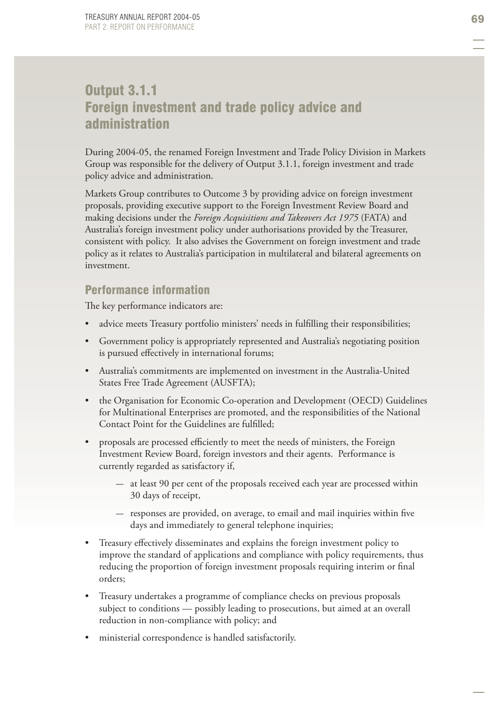# Output 3.1.1 Foreign investment and trade policy advice and administration

During 2004-05, the renamed Foreign Investment and Trade Policy Division in Markets Group was responsible for the delivery of Output 3.1.1, foreign investment and trade policy advice and administration.

Markets Group contributes to Outcome 3 by providing advice on foreign investment proposals, providing executive support to the Foreign Investment Review Board and making decisions under the *Foreign Acquisitions and Takeovers Act 1975* (FATA) and Australia's foreign investment policy under authorisations provided by the Treasurer, consistent with policy. It also advises the Government on foreign investment and trade policy as it relates to Australia's participation in multilateral and bilateral agreements on investment.

# Performance information

The key performance indicators are:

- advice meets Treasury portfolio ministers' needs in fulfilling their responsibilities; •
- Government policy is appropriately represented and Australia's negotiating position is pursued effectively in international forums; •
- Australia's commitments are implemented on investment in the Australia-United States Free Trade Agreement (AUSFTA);
- the Organisation for Economic Co-operation and Development (OECD) Guidelines for Multinational Enterprises are promoted, and the responsibilities of the National Contact Point for the Guidelines are fulfilled; •
- proposals are processed efficiently to meet the needs of ministers, the Foreign Investment Review Board, foreign investors and their agents. Performance is currently regarded as satisfactory if, •
	- $-$  at least 90 per cent of the proposals received each year are processed within 30 days of receipt,
	- $-$  responses are provided, on average, to email and mail inquiries within five days and immediately to general telephone inquiries;
- Treasury effectively disseminates and explains the foreign investment policy to improve the standard of applications and compliance with policy requirements, thus reducing the proportion of foreign investment proposals requiring interim or final orders; •
- Treasury undertakes a programme of compliance checks on previous proposals subject to conditions — possibly leading to prosecutions, but aimed at an overall reduction in non-compliance with policy; and •
- ministerial correspondence is handled satisfactorily. •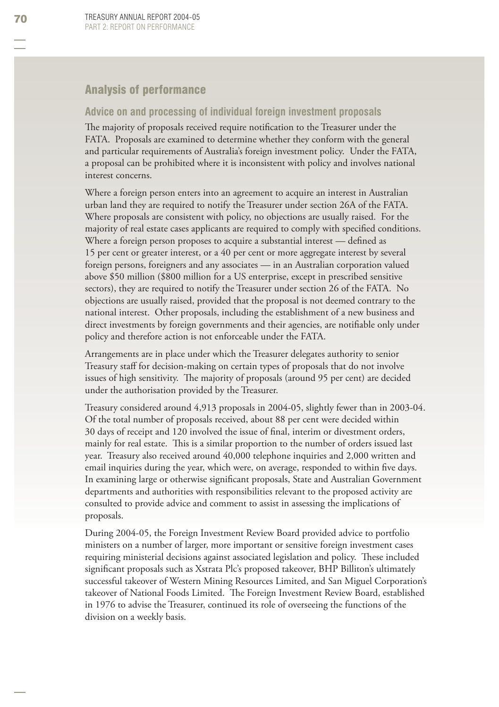# Analysis of performance

# **Advice on and processing of individual foreign investment proposals**

The majority of proposals received require notification to the Treasurer under the FATA. Proposals are examined to determine whether they conform with the general and particular requirements of Australia's foreign investment policy. Under the FATA, a proposal can be prohibited where it is inconsistent with policy and involves national interest concerns.

Where a foreign person enters into an agreement to acquire an interest in Australian urban land they are required to notify the Treasurer under section 26A of the FATA. Where proposals are consistent with policy, no objections are usually raised. For the majority of real estate cases applicants are required to comply with specified conditions. Where a foreign person proposes to acquire a substantial interest — defined as 15 per cent or greater interest, or a 40 per cent or more aggregate interest by several foreign persons, foreigners and any associates — in an Australian corporation valued above \$50 million (\$800 million for a US enterprise, except in prescribed sensitive sectors), they are required to notify the Treasurer under section 26 of the FATA. No objections are usually raised, provided that the proposal is not deemed contrary to the national interest. Other proposals, including the establishment of a new business and direct investments by foreign governments and their agencies, are notifiable only under policy and therefore action is not enforceable under the FATA.

Arrangements are in place under which the Treasurer delegates authority to senior Treasury staff for decision-making on certain types of proposals that do not involve issues of high sensitivity. The majority of proposals (around 95 per cent) are decided under the authorisation provided by the Treasurer.

Treasury considered around 4,913 proposals in 2004-05, slightly fewer than in 2003-04. Of the total number of proposals received, about 88 per cent were decided within 30 days of receipt and 120 involved the issue of final, interim or divestment orders, mainly for real estate. This is a similar proportion to the number of orders issued last year. Treasury also received around 40,000 telephone inquiries and 2,000 written and email inquiries during the year, which were, on average, responded to within five days. In examining large or otherwise significant proposals, State and Australian Government departments and authorities with responsibilities relevant to the proposed activity are consulted to provide advice and comment to assist in assessing the implications of proposals.

During 2004-05, the Foreign Investment Review Board provided advice to portfolio ministers on a number of larger, more important or sensitive foreign investment cases requiring ministerial decisions against associated legislation and policy. These included significant proposals such as Xstrata Plc's proposed takeover, BHP Billiton's ultimately successful takeover of Western Mining Resources Limited, and San Miguel Corporation's takeover of National Foods Limited. The Foreign Investment Review Board, established in 1976 to advise the Treasurer, continued its role of overseeing the functions of the division on a weekly basis.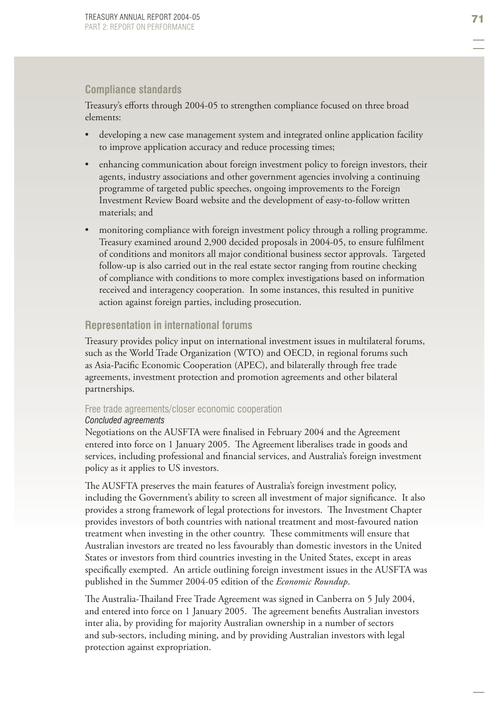# **Compliance standards**

Treasury's efforts through 2004-05 to strengthen compliance focused on three broad elements:

- developing a new case management system and integrated online application facility to improve application accuracy and reduce processing times; •
- enhancing communication about foreign investment policy to foreign investors, their agents, industry associations and other government agencies involving a continuing programme of targeted public speeches, ongoing improvements to the Foreign Investment Review Board website and the development of easy-to-follow written materials; and •
- monitoring compliance with foreign investment policy through a rolling programme. Treasury examined around 2,900 decided proposals in 2004-05, to ensure fulfilment of conditions and monitors all major conditional business sector approvals. Targeted follow-up is also carried out in the real estate sector ranging from routine checking of compliance with conditions to more complex investigations based on information received and interagency cooperation. In some instances, this resulted in punitive action against foreign parties, including prosecution. •

# **Representation in international forums**

Treasury provides policy input on international investment issues in multilateral forums, such as the World Trade Organization (WTO) and OECD, in regional forums such as Asia-Pacific Economic Cooperation (APEC), and bilaterally through free trade agreements, investment protection and promotion agreements and other bilateral partnerships.

# Free trade agreements/closer economic cooperation

# *Concluded agreements*

Negotiations on the AUSFTA were finalised in February 2004 and the Agreement entered into force on 1 January 2005. The Agreement liberalises trade in goods and services, including professional and financial services, and Australia's foreign investment policy as it applies to US investors.

The AUSFTA preserves the main features of Australia's foreign investment policy, including the Government's ability to screen all investment of major significance. It also provides a strong framework of legal protections for investors. The Investment Chapter provides investors of both countries with national treatment and most-favoured nation treatment when investing in the other country. These commitments will ensure that Australian investors are treated no less favourably than domestic investors in the United States or investors from third countries investing in the United States, except in areas specifically exempted. An article outlining foreign investment issues in the AUSFTA was published in the Summer 2004-05 edition of the *Economic Roundup*.

The Australia-Thailand Free Trade Agreement was signed in Canberra on 5 July 2004, and entered into force on 1 January 2005. The agreement benefits Australian investors inter alia, by providing for majority Australian ownership in a number of sectors and sub-sectors, including mining, and by providing Australian investors with legal protection against expropriation.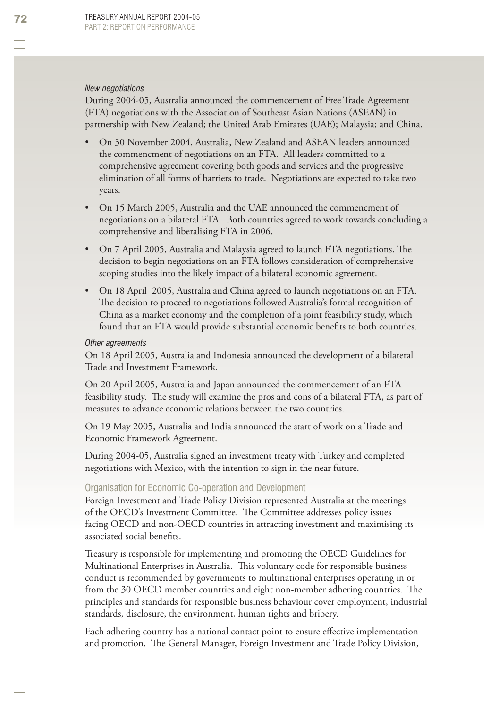### *New negotiations*

During 2004-05, Australia announced the commencement of Free Trade Agreement (FTA) negotiations with the Association of Southeast Asian Nations (ASEAN) in partnership with New Zealand; the United Arab Emirates (UAE); Malaysia; and China.

- On 30 November 2004, Australia, New Zealand and ASEAN leaders announced the commencment of negotiations on an FTA. All leaders committed to a comprehensive agreement covering both goods and services and the progressive elimination of all forms of barriers to trade. Negotiations are expected to take two years. •
- On 15 March 2005, Australia and the UAE announced the commencment of negotiations on a bilateral FTA. Both countries agreed to work towards concluding a comprehensive and liberalising FTA in 2006. •
- On 7 April 2005, Australia and Malaysia agreed to launch FTA negotiations. The decision to begin negotiations on an FTA follows consideration of comprehensive scoping studies into the likely impact of a bilateral economic agreement. •
- On 18 April 2005, Australia and China agreed to launch negotiations on an FTA. The decision to proceed to negotiations followed Australia's formal recognition of China as a market economy and the completion of a joint feasibility study, which found that an FTA would provide substantial economic benefits to both countries. •

#### *Other agreements*

On 18 April 2005, Australia and Indonesia announced the development of a bilateral Trade and Investment Framework.

On 20 April 2005, Australia and Japan announced the commencement of an FTA feasibility study. The study will examine the pros and cons of a bilateral FTA, as part of measures to advance economic relations between the two countries.

On 19 May 2005, Australia and India announced the start of work on a Trade and Economic Framework Agreement.

During 2004-05, Australia signed an investment treaty with Turkey and completed negotiations with Mexico, with the intention to sign in the near future.

### Organisation for Economic Co-operation and Development

Foreign Investment and Trade Policy Division represented Australia at the meetings of the OECD's Investment Committee. The Committee addresses policy issues facing OECD and non-OECD countries in attracting investment and maximising its associated social benefits.

Treasury is responsible for implementing and promoting the OECD Guidelines for Multinational Enterprises in Australia. This voluntary code for responsible business conduct is recommended by governments to multinational enterprises operating in or from the 30 OECD member countries and eight non-member adhering countries. The principles and standards for responsible business behaviour cover employment, industrial standards, disclosure, the environment, human rights and bribery.

Each adhering country has a national contact point to ensure effective implementation and promotion. The General Manager, Foreign Investment and Trade Policy Division,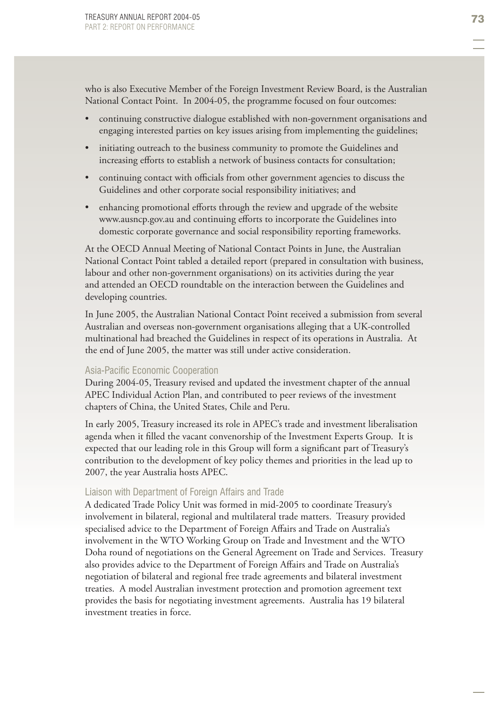who is also Executive Member of the Foreign Investment Review Board, is the Australian National Contact Point. In 2004-05, the programme focused on four outcomes:

- continuing constructive dialogue established with non-government organisations and engaging interested parties on key issues arising from implementing the guidelines; •
- initiating outreach to the business community to promote the Guidelines and increasing efforts to establish a network of business contacts for consultation; •
- continuing contact with officials from other government agencies to discuss the Guidelines and other corporate social responsibility initiatives; and
- enhancing promotional efforts through the review and upgrade of the website www.ausncp.gov.au and continuing efforts to incorporate the Guidelines into domestic corporate governance and social responsibility reporting frameworks. •

At the OECD Annual Meeting of National Contact Points in June, the Australian National Contact Point tabled a detailed report (prepared in consultation with business, labour and other non-government organisations) on its activities during the year and attended an OECD roundtable on the interaction between the Guidelines and developing countries.

In June 2005, the Australian National Contact Point received a submission from several Australian and overseas non-government organisations alleging that a UK-controlled multinational had breached the Guidelines in respect of its operations in Australia. At the end of June 2005, the matter was still under active consideration.

## Asia-Pacific Economic Cooperation

During 2004-05, Treasury revised and updated the investment chapter of the annual APEC Individual Action Plan, and contributed to peer reviews of the investment chapters of China, the United States, Chile and Peru.

In early 2005, Treasury increased its role in APEC's trade and investment liberalisation agenda when it filled the vacant convenorship of the Investment Experts Group. It is expected that our leading role in this Group will form a significant part of Treasury's contribution to the development of key policy themes and priorities in the lead up to 2007, the year Australia hosts APEC.

### Liaison with Department of Foreign Affairs and Trade

A dedicated Trade Policy Unit was formed in mid-2005 to coordinate Treasury's involvement in bilateral, regional and multilateral trade matters. Treasury provided specialised advice to the Department of Foreign Affairs and Trade on Australia's involvement in the WTO Working Group on Trade and Investment and the WTO Doha round of negotiations on the General Agreement on Trade and Services. Treasury also provides advice to the Department of Foreign Affairs and Trade on Australia's negotiation of bilateral and regional free trade agreements and bilateral investment treaties. A model Australian investment protection and promotion agreement text provides the basis for negotiating investment agreements. Australia has 19 bilateral investment treaties in force.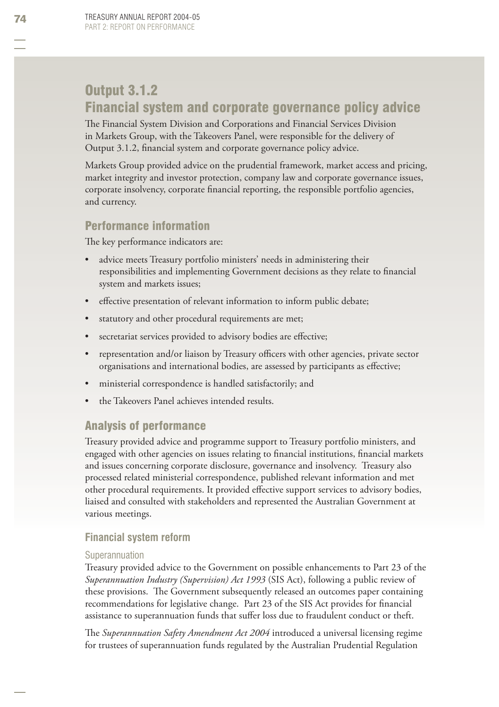# Output 3.1.2 Financial system and corporate governance policy advice

The Financial System Division and Corporations and Financial Services Division in Markets Group, with the Takeovers Panel, were responsible for the delivery of Output 3.1.2, financial system and corporate governance policy advice.

Markets Group provided advice on the prudential framework, market access and pricing, market integrity and investor protection, company law and corporate governance issues, corporate insolvency, corporate financial reporting, the responsible portfolio agencies, and currency.

# Performance information

The key performance indicators are:

- advice meets Treasury portfolio ministers' needs in administering their responsibilities and implementing Government decisions as they relate to financial system and markets issues; •
- effective presentation of relevant information to inform public debate; •
- statutory and other procedural requirements are met; •
- secretariat services provided to advisory bodies are effective; •
- representation and/or liaison by Treasury officers with other agencies, private sector organisations and international bodies, are assessed by participants as effective; •
- ministerial correspondence is handled satisfactorily; and •
- the Takeovers Panel achieves intended results. •

# Analysis of performance

Treasury provided advice and programme support to Treasury portfolio ministers, and engaged with other agencies on issues relating to financial institutions, financial markets and issues concerning corporate disclosure, governance and insolvency. Treasury also processed related ministerial correspondence, published relevant information and met other procedural requirements. It provided effective support services to advisory bodies, liaised and consulted with stakeholders and represented the Australian Government at various meetings.

# **Financial system reform**

# Superannuation

Treasury provided advice to the Government on possible enhancements to Part 23 of the *Superannuation Industry (Supervision) Act 1993* (SIS Act), following a public review of these provisions. The Government subsequently released an outcomes paper containing recommendations for legislative change. Part 23 of the SIS Act provides for financial assistance to superannuation funds that suffer loss due to fraudulent conduct or theft.

The *Superannuation Safety Amendment Act 2004* introduced a universal licensing regime for trustees of superannuation funds regulated by the Australian Prudential Regulation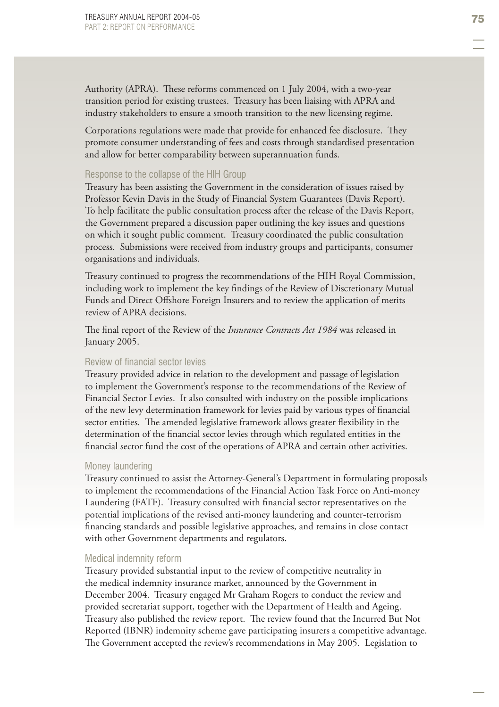Authority (APRA). These reforms commenced on 1 July 2004, with a two-year transition period for existing trustees. Treasury has been liaising with APRA and industry stakeholders to ensure a smooth transition to the new licensing regime.

Corporations regulations were made that provide for enhanced fee disclosure. They promote consumer understanding of fees and costs through standardised presentation and allow for better comparability between superannuation funds.

### Response to the collapse of the HIH Group

Treasury has been assisting the Government in the consideration of issues raised by Professor Kevin Davis in the Study of Financial System Guarantees (Davis Report). To help facilitate the public consultation process after the release of the Davis Report, the Government prepared a discussion paper outlining the key issues and questions on which it sought public comment. Treasury coordinated the public consultation process. Submissions were received from industry groups and participants, consumer organisations and individuals.

Treasury continued to progress the recommendations of the HIH Royal Commission, including work to implement the key findings of the Review of Discretionary Mutual Funds and Direct Offshore Foreign Insurers and to review the application of merits review of APRA decisions.

The final report of the Review of the *Insurance Contracts Act 1984* was released in January 2005.

### Review of financial sector levies

Treasury provided advice in relation to the development and passage of legislation to implement the Government's response to the recommendations of the Review of Financial Sector Levies. It also consulted with industry on the possible implications of the new levy determination framework for levies paid by various types of financial sector entities. The amended legislative framework allows greater flexibility in the determination of the financial sector levies through which regulated entities in the financial sector fund the cost of the operations of APRA and certain other activities.

### Money laundering

Treasury continued to assist the Attorney-General's Department in formulating proposals to implement the recommendations of the Financial Action Task Force on Anti-money Laundering (FATF). Treasury consulted with financial sector representatives on the potential implications of the revised anti-money laundering and counter-terrorism financing standards and possible legislative approaches, and remains in close contact with other Government departments and regulators.

### Medical indemnity reform

Treasury provided substantial input to the review of competitive neutrality in the medical indemnity insurance market, announced by the Government in December 2004. Treasury engaged Mr Graham Rogers to conduct the review and provided secretariat support, together with the Department of Health and Ageing. Treasury also published the review report. The review found that the Incurred But Not Reported (IBNR) indemnity scheme gave participating insurers a competitive advantage. The Government accepted the review's recommendations in May 2005. Legislation to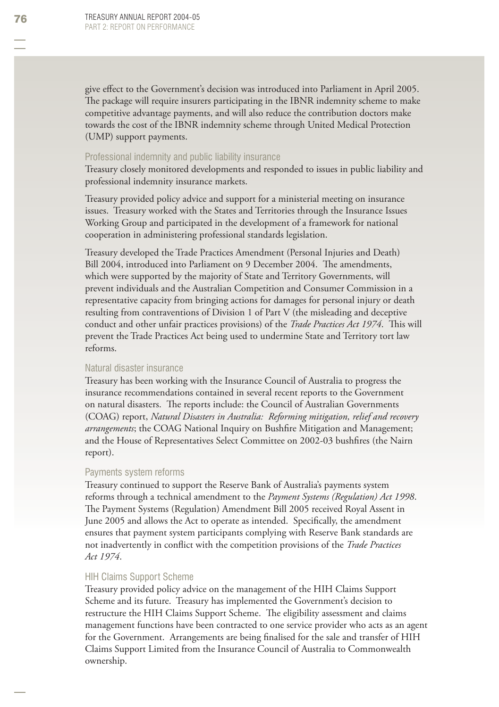give effect to the Government's decision was introduced into Parliament in April 2005. The package will require insurers participating in the IBNR indemnity scheme to make competitive advantage payments, and will also reduce the contribution doctors make towards the cost of the IBNR indemnity scheme through United Medical Protection (UMP) support payments.

### Professional indemnity and public liability insurance

Treasury closely monitored developments and responded to issues in public liability and professional indemnity insurance markets.

Treasury provided policy advice and support for a ministerial meeting on insurance issues. Treasury worked with the States and Territories through the Insurance Issues Working Group and participated in the development of a framework for national cooperation in administering professional standards legislation.

Treasury developed the Trade Practices Amendment (Personal Injuries and Death) Bill 2004, introduced into Parliament on 9 December 2004. The amendments, which were supported by the majority of State and Territory Governments, will prevent individuals and the Australian Competition and Consumer Commission in a representative capacity from bringing actions for damages for personal injury or death resulting from contraventions of Division 1 of Part V (the misleading and deceptive conduct and other unfair practices provisions) of the *Trade Practices Act 1974*. This will prevent the Trade Practices Act being used to undermine State and Territory tort law reforms.

### Natural disaster insurance

Treasury has been working with the Insurance Council of Australia to progress the insurance recommendations contained in several recent reports to the Government on natural disasters. The reports include: the Council of Australian Governments (COAG) report, *Natural Disasters in Australia: Reforming mitigation, relief and recovery arrangements*; the COAG National Inquiry on Bushfire Mitigation and Management; and the House of Representatives Select Committee on 2002-03 bushfires (the Nairn report).

#### Payments system reforms

Treasury continued to support the Reserve Bank of Australia's payments system reforms through a technical amendment to the *Payment Systems (Regulation) Act 1998*. The Payment Systems (Regulation) Amendment Bill 2005 received Royal Assent in June 2005 and allows the Act to operate as intended. Specifically, the amendment ensures that payment system participants complying with Reserve Bank standards are not inadvertently in conflict with the competition provisions of the *Trade Practices Act 1974*.

#### HIH Claims Support Scheme

Treasury provided policy advice on the management of the HIH Claims Support Scheme and its future. Treasury has implemented the Government's decision to restructure the HIH Claims Support Scheme. The eligibility assessment and claims management functions have been contracted to one service provider who acts as an agent for the Government. Arrangements are being finalised for the sale and transfer of HIH Claims Support Limited from the Insurance Council of Australia to Commonwealth ownership.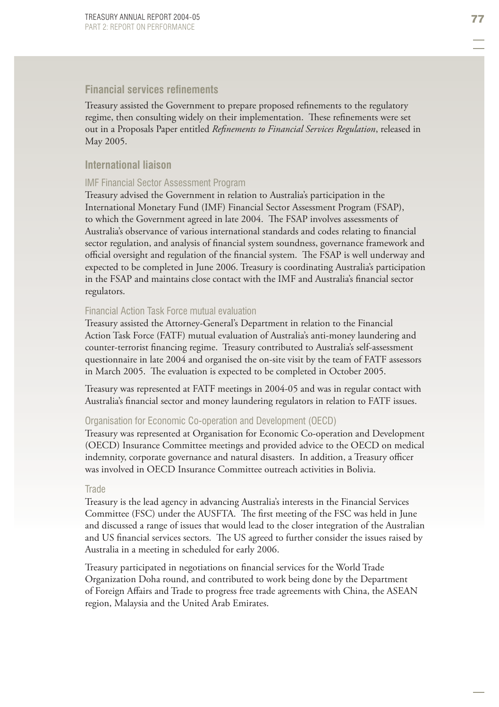# **Financial services refinements**

Treasury assisted the Government to prepare proposed refinements to the regulatory regime, then consulting widely on their implementation. These refinements were set out in a Proposals Paper entitled *Refinements to Financial Services Regulation*, released in May 2005.

# **International liaison**

### IMF Financial Sector Assessment Program

Treasury advised the Government in relation to Australia's participation in the International Monetary Fund (IMF) Financial Sector Assessment Program (FSAP), to which the Government agreed in late 2004. The FSAP involves assessments of Australia's observance of various international standards and codes relating to financial sector regulation, and analysis of financial system soundness, governance framework and official oversight and regulation of the financial system. The FSAP is well underway and expected to be completed in June 2006. Treasury is coordinating Australia's participation in the FSAP and maintains close contact with the IMF and Australia's financial sector regulators.

### Financial Action Task Force mutual evaluation

Treasury assisted the Attorney-General's Department in relation to the Financial Action Task Force (FATF) mutual evaluation of Australia's anti-money laundering and counter-terrorist financing regime. Treasury contributed to Australia's self-assessment questionnaire in late 2004 and organised the on-site visit by the team of FATF assessors in March 2005. The evaluation is expected to be completed in October 2005.

Treasury was represented at FATF meetings in 2004-05 and was in regular contact with Australia's financial sector and money laundering regulators in relation to FATF issues.

### Organisation for Economic Co-operation and Development (OECD)

Treasury was represented at Organisation for Economic Co-operation and Development (OECD) Insurance Committee meetings and provided advice to the OECD on medical indemnity, corporate governance and natural disasters. In addition, a Treasury officer was involved in OECD Insurance Committee outreach activities in Bolivia.

### **Trade**

Treasury is the lead agency in advancing Australia's interests in the Financial Services Committee (FSC) under the AUSFTA. The first meeting of the FSC was held in June and discussed a range of issues that would lead to the closer integration of the Australian and US financial services sectors. The US agreed to further consider the issues raised by Australia in a meeting in scheduled for early 2006.

Treasury participated in negotiations on financial services for the World Trade Organization Doha round, and contributed to work being done by the Department of Foreign Affairs and Trade to progress free trade agreements with China, the ASEAN region, Malaysia and the United Arab Emirates.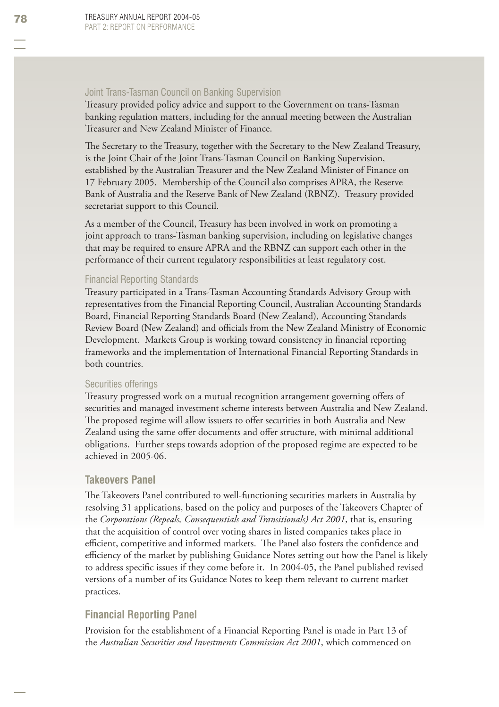### Joint Trans-Tasman Council on Banking Supervision

Treasury provided policy advice and support to the Government on trans-Tasman banking regulation matters, including for the annual meeting between the Australian Treasurer and New Zealand Minister of Finance.

The Secretary to the Treasury, together with the Secretary to the New Zealand Treasury, is the Joint Chair of the Joint Trans-Tasman Council on Banking Supervision, established by the Australian Treasurer and the New Zealand Minister of Finance on 17 February 2005. Membership of the Council also comprises APRA, the Reserve Bank of Australia and the Reserve Bank of New Zealand (RBNZ). Treasury provided secretariat support to this Council.

As a member of the Council, Treasury has been involved in work on promoting a joint approach to trans-Tasman banking supervision, including on legislative changes that may be required to ensure APRA and the RBNZ can support each other in the performance of their current regulatory responsibilities at least regulatory cost.

## Financial Reporting Standards

Treasury participated in a Trans-Tasman Accounting Standards Advisory Group with representatives from the Financial Reporting Council, Australian Accounting Standards Board, Financial Reporting Standards Board (New Zealand), Accounting Standards Review Board (New Zealand) and officials from the New Zealand Ministry of Economic Development. Markets Group is working toward consistency in financial reporting frameworks and the implementation of International Financial Reporting Standards in both countries.

### Securities offerings

Treasury progressed work on a mutual recognition arrangement governing offers of securities and managed investment scheme interests between Australia and New Zealand. The proposed regime will allow issuers to offer securities in both Australia and New Zealand using the same offer documents and offer structure, with minimal additional obligations. Further steps towards adoption of the proposed regime are expected to be achieved in 2005-06.

### **Takeovers Panel**

The Takeovers Panel contributed to well-functioning securities markets in Australia by resolving 31 applications, based on the policy and purposes of the Takeovers Chapter of the *Corporations (Repeals, Consequentials and Transitionals) Act 2001*, that is, ensuring that the acquisition of control over voting shares in listed companies takes place in efficient, competitive and informed markets. The Panel also fosters the confidence and efficiency of the market by publishing Guidance Notes setting out how the Panel is likely to address specific issues if they come before it. In 2004-05, the Panel published revised versions of a number of its Guidance Notes to keep them relevant to current market practices.

# **Financial Reporting Panel**

Provision for the establishment of a Financial Reporting Panel is made in Part 13 of the *Australian Securities and Investments Commission Act 2001*, which commenced on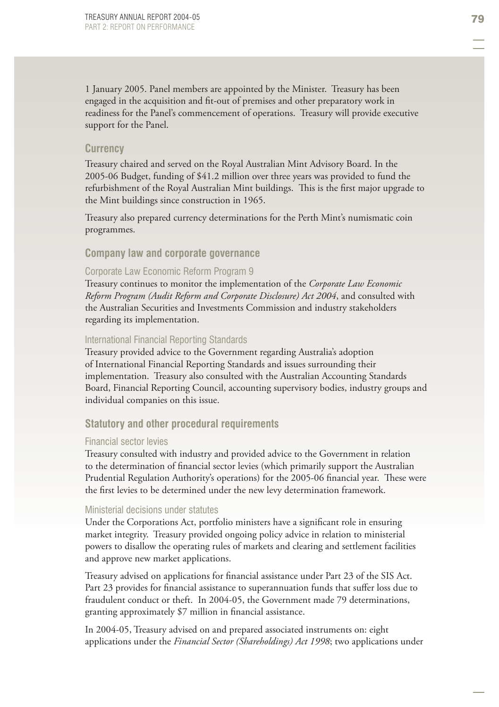1 January 2005. Panel members are appointed by the Minister. Treasury has been engaged in the acquisition and fit-out of premises and other preparatory work in readiness for the Panel's commencement of operations. Treasury will provide executive support for the Panel.

## **Currency**

Treasury chaired and served on the Royal Australian Mint Advisory Board. In the 2005-06 Budget, funding of \$41.2 million over three years was provided to fund the refurbishment of the Royal Australian Mint buildings. This is the first major upgrade to the Mint buildings since construction in 1965.

Treasury also prepared currency determinations for the Perth Mint's numismatic coin programmes.

### **Company law and corporate governance**

### Corporate Law Economic Reform Program 9

Treasury continues to monitor the implementation of the *Corporate Law Economic Reform Program (Audit Reform and Corporate Disclosure) Act 2004*, and consulted with the Australian Securities and Investments Commission and industry stakeholders regarding its implementation.

### International Financial Reporting Standards

Treasury provided advice to the Government regarding Australia's adoption of International Financial Reporting Standards and issues surrounding their implementation. Treasury also consulted with the Australian Accounting Standards Board, Financial Reporting Council, accounting supervisory bodies, industry groups and individual companies on this issue.

### **Statutory and other procedural requirements**

#### Financial sector levies

Treasury consulted with industry and provided advice to the Government in relation to the determination of financial sector levies (which primarily support the Australian Prudential Regulation Authority's operations) for the 2005-06 financial year. These were the first levies to be determined under the new levy determination framework.

### Ministerial decisions under statutes

Under the Corporations Act, portfolio ministers have a significant role in ensuring market integrity. Treasury provided ongoing policy advice in relation to ministerial powers to disallow the operating rules of markets and clearing and settlement facilities and approve new market applications.

Treasury advised on applications for financial assistance under Part 23 of the SIS Act. Part 23 provides for financial assistance to superannuation funds that suffer loss due to fraudulent conduct or theft. In 2004-05, the Government made 79 determinations, granting approximately \$7 million in financial assistance.

In 2004-05, Treasury advised on and prepared associated instruments on: eight applications under the *Financial Sector (Shareholdings) Act 1998*; two applications under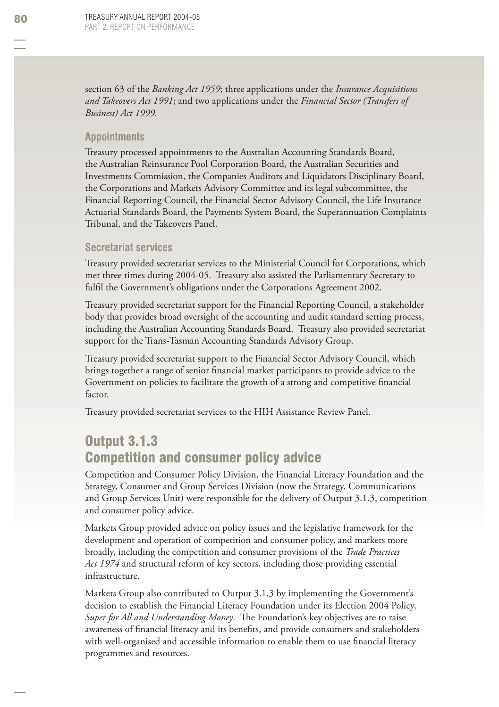section 63 of the *Banking Act 1959*; three applications under the *Insurance Acquisitions and Takeovers Act 1991*; and two applications under the *Financial Sector (Transfers of Business) Act 1999.*

# **Appointments**

Treasury processed appointments to the Australian Accounting Standards Board, the Australian Reinsurance Pool Corporation Board, the Australian Securities and Investments Commission, the Companies Auditors and Liquidators Disciplinary Board, the Corporations and Markets Advisory Committee and its legal subcommittee, the Financial Reporting Council, the Financial Sector Advisory Council, the Life Insurance Actuarial Standards Board, the Payments System Board, the Superannuation Complaints Tribunal, and the Takeovers Panel.

# **Secretariat services**

Treasury provided secretariat services to the Ministerial Council for Corporations, which met three times during 2004-05. Treasury also assisted the Parliamentary Secretary to fulfil the Government's obligations under the Corporations Agreement 2002.

Treasury provided secretariat support for the Financial Reporting Council , a stakeholder body that provides broad oversight of the accounting and audit standard setting process, including the Australian Accounting Standards Board. Treasury also provided secretariat support for the Trans-Tasman Accounting Standards Advisory Group.

Treasury provided secretariat support to the Financial Sector Advisory Council, which brings together a range of senior financial market participants to provide advice to the Government on policies to facilitate the growth of a strong and competitive financial factor.

Treasury provided secretariat services to the HIH Assistance Review Panel.

# Output 3.1.3 Competition and consumer policy advice

Competition and Consumer Policy Division, the Financial Literacy Foundation and the Strategy, Consumer and Group Services Division (now the Strategy, Communications and Group Services Unit) were responsible for the delivery of Output 3.1.3, competition and consumer policy advice.

Markets Group provided advice on policy issues and the legislative framework for the development and operation of competition and consumer policy, and markets more broadly, including the competition and consumer provisions of the *Trade Practices Act 1974* and structural reform of key sectors, including those providing essential infrastructure.

Markets Group also contributed to Output 3.1.3 by implementing the Government's decision to establish the Financial Literacy Foundation under its Election 2004 Policy, *Super for All and Understanding Money*. The Foundation's key objectives are to raise awareness of financial literacy and its benefits, and provide consumers and stakeholders with well-organised and accessible information to enable them to use financial literacy programmes and resources.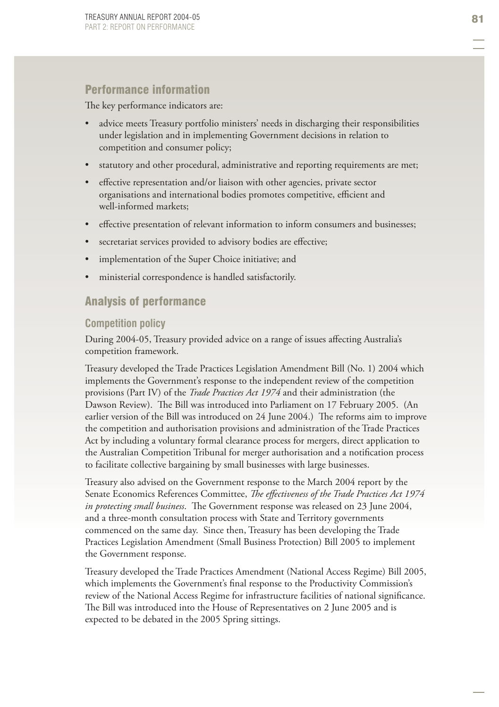# Performance information

The key performance indicators are:

- advice meets Treasury portfolio ministers' needs in discharging their responsibilities under legislation and in implementing Government decisions in relation to competition and consumer policy; •
- statutory and other procedural, administrative and reporting requirements are met; •
- effective representation and/or liaison with other agencies, private sector organisations and international bodies promotes competitive, efficient and well-informed markets; •
- effective presentation of relevant information to inform consumers and businesses; •
- secretariat services provided to advisory bodies are effective; •
- implementation of the Super Choice initiative; and •
- ministerial correspondence is handled satisfactorily. •

# Analysis of performance

### **Competition policy**

During 2004-05, Treasury provided advice on a range of issues affecting Australia's competition framework.

Treasury developed the Trade Practices Legislation Amendment Bill (No. 1) 2004 which implements the Government's response to the independent review of the competition provisions (Part IV) of the *Trade Practices Act 1974* and their administration (the Dawson Review). The Bill was introduced into Parliament on 17 February 2005. (An earlier version of the Bill was introduced on 24 June 2004.) The reforms aim to improve the competition and authorisation provisions and administration of the Trade Practices Act by including a voluntary formal clearance process for mergers, direct application to the Australian Competition Tribunal for merger authorisation and a notification process to facilitate collective bargaining by small businesses with large businesses.

Treasury also advised on the Government response to the March 2004 report by the Senate Economics References Committee, *The effectiveness of the Trade Practices Act 1974 in protecting small business.* The Government response was released on 23 June 2004, and a three-month consultation process with State and Territory governments commenced on the same day. Since then, Treasury has been developing the Trade Practices Legislation Amendment (Small Business Protection) Bill 2005 to implement the Government response.

Treasury developed the Trade Practices Amendment (National Access Regime) Bill 2005, which implements the Government's final response to the Productivity Commission's review of the National Access Regime for infrastructure facilities of national significance. The Bill was introduced into the House of Representatives on 2 June 2005 and is expected to be debated in the 2005 Spring sittings.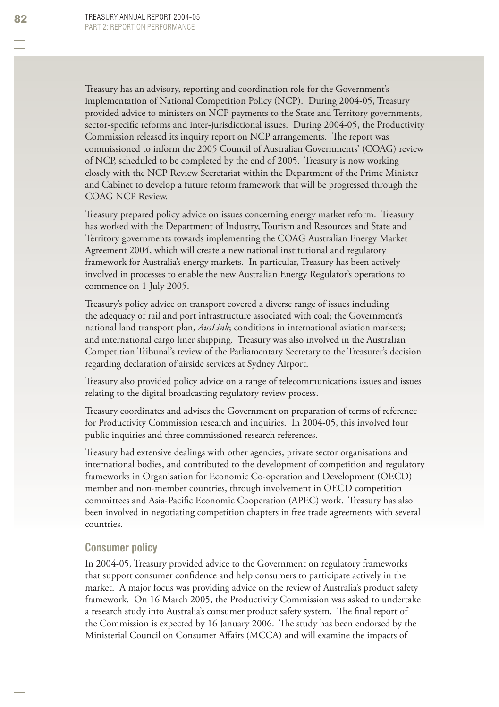Treasury has an advisory, reporting and coordination role for the Government's implementation of National Competition Policy (NCP). During 2004-05, Treasury provided advice to ministers on NCP payments to the State and Territory governments, sector-specific reforms and inter-jurisdictional issues. During 2004-05, the Productivity Commission released its inquiry report on NCP arrangements. The report was commissioned to inform the 2005 Council of Australian Governments' (COAG) review of NCP, scheduled to be completed by the end of 2005. Treasury is now working closely with the NCP Review Secretariat within the Department of the Prime Minister and Cabinet to develop a future reform framework that will be progressed through the COAG NCP Review.

Treasury prepared policy advice on issues concerning energy market reform. Treasury has worked with the Department of Industry, Tourism and Resources and State and Territory governments towards implementing the COAG Australian Energy Market Agreement 2004, which will create a new national institutional and regulatory framework for Australia's energy markets. In particular, Treasury has been actively involved in processes to enable the new Australian Energy Regulator's operations to commence on 1 July 2005.

Treasury's policy advice on transport covered a diverse range of issues including the adequacy of rail and port infrastructure associated with coal; the Government's national land transport plan, *AusLink*; conditions in international aviation markets; and international cargo liner shipping. Treasury was also involved in the Australian Competition Tribunal's review of the Parliamentary Secretary to the Treasurer's decision regarding declaration of airside services at Sydney Airport.

Treasury also provided policy advice on a range of telecommunications issues and issues relating to the digital broadcasting regulatory review process.

Treasury coordinates and advises the Government on preparation of terms of reference for Productivity Commission research and inquiries. In 2004-05, this involved four public inquiries and three commissioned research references.

Treasury had extensive dealings with other agencies, private sector organisations and international bodies, and contributed to the development of competition and regulatory frameworks in Organisation for Economic Co-operation and Development (OECD) member and non-member countries, through involvement in OECD competition committees and Asia-Pacific Economic Cooperation (APEC) work. Treasury has also been involved in negotiating competition chapters in free trade agreements with several countries.

# **Consumer policy**

In 2004-05, Treasury provided advice to the Government on regulatory frameworks that support consumer confidence and help consumers to participate actively in the market. A major focus was providing advice on the review of Australia's product safety framework. On 16 March 2005, the Productivity Commission was asked to undertake a research study into Australia's consumer product safety system. The final report of the Commission is expected by 16 January 2006. The study has been endorsed by the Ministerial Council on Consumer Affairs (MCCA) and will examine the impacts of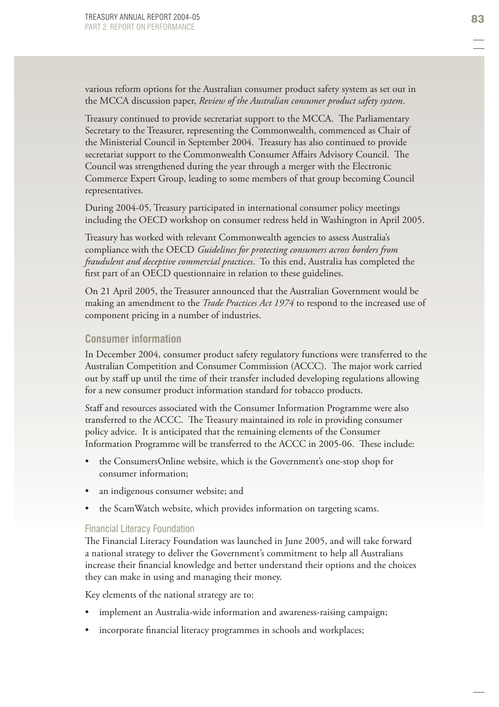various reform options for the Australian consumer product safety system as set out in the MCCA discussion paper, *Review of the Australian consumer product safety system*.

Treasury continued to provide secretariat support to the MCCA. The Parliamentary Secretary to the Treasurer, representing the Commonwealth, commenced as Chair of the Ministerial Council in September 2004. Treasury has also continued to provide secretariat support to the Commonwealth Consumer Affairs Advisory Council. The Council was strengthened during the year through a merger with the Electronic Commerce Expert Group, leading to some members of that group becoming Council representatives.

During 2004-05, Treasury participated in international consumer policy meetings including the OECD workshop on consumer redress held in Washington in April 2005.

Treasury has worked with relevant Commonwealth agencies to assess Australia's compliance with the OECD *Guidelines for protecting consumers across borders from fraudulent and deceptive commercial practices*. To this end, Australia has completed the first part of an OECD questionnaire in relation to these guidelines.

On 21 April 2005, the Treasurer announced that the Australian Government would be making an amendment to the *Trade Practices Act 1974* to respond to the increased use of component pricing in a number of industries.

# **Consumer information**

In December 2004, consumer product safety regulatory functions were transferred to the Australian Competition and Consumer Commission (ACCC). The major work carried out by staff up until the time of their transfer included developing regulations allowing for a new consumer product information standard for tobacco products.

Staff and resources associated with the Consumer Information Programme were also transferred to the ACCC. The Treasury maintained its role in providing consumer policy advice. It is anticipated that the remaining elements of the Consumer Information Programme will be transferred to the ACCC in 2005-06. These include:

- the ConsumersOnline website, which is the Government's one-stop shop for consumer information; •
- an indigenous consumer website; and •
- the ScamWatch website, which provides information on targeting scams. •

#### Financial Literacy Foundation

The Financial Literacy Foundation was launched in June 2005, and will take forward a national strategy to deliver the Government's commitment to help all Australians increase their financial knowledge and better understand their options and the choices they can make in using and managing their money.

Key elements of the national strategy are to:

- implement an Australia-wide information and awareness-raising campaign; •
- incorporate financial literacy programmes in schools and workplaces; •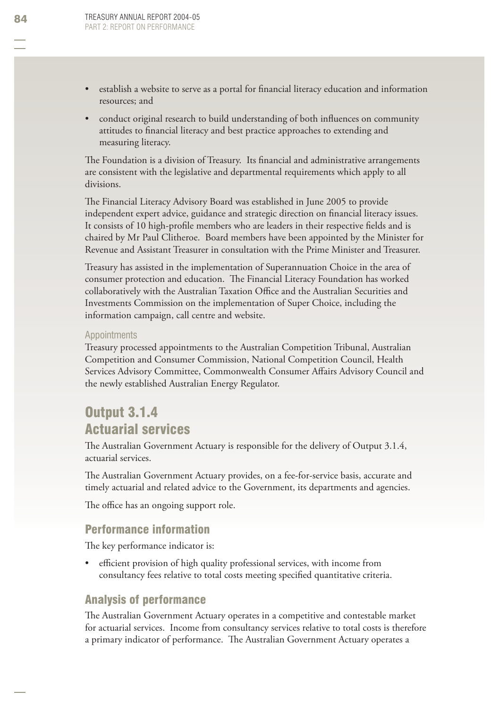- establish a website to serve as a portal for financial literacy education and information resources; and •
- conduct original research to build understanding of both influences on community attitudes to financial literacy and best practice approaches to extending and measuring literacy. •

The Foundation is a division of Treasury. Its financial and administrative arrangements are consistent with the legislative and departmental requirements which apply to all divisions.

The Financial Literacy Advisory Board was established in June 2005 to provide independent expert advice, guidance and strategic direction on financial literacy issues. It consists of 10 high-profile members who are leaders in their respective fields and is chaired by Mr Paul Clitheroe. Board members have been appointed by the Minister for Revenue and Assistant Treasurer in consultation with the Prime Minister and Treasurer.

Treasury has assisted in the implementation of Superannuation Choice in the area of consumer protection and education. The Financial Literacy Foundation has worked collaboratively with the Australian Taxation Office and the Australian Securities and Investments Commission on the implementation of Super Choice, including the information campaign, call centre and website.

### Appointments

Treasury processed appointments to the Australian Competition Tribunal, Australian Competition and Consumer Commission, National Competition Council, Health Services Advisory Committee, Commonwealth Consumer Affairs Advisory Council and the newly established Australian Energy Regulator.

# Output 3.1.4 Actuarial services

The Australian Government Actuary is responsible for the delivery of Output 3.1.4, actuarial services.

The Australian Government Actuary provides, on a fee-for-service basis, accurate and timely actuarial and related advice to the Government, its departments and agencies.

The office has an ongoing support role.

# Performance information

The key performance indicator is:

efficient provision of high quality professional services, with income from consultancy fees relative to total costs meeting specified quantitative criteria. •

# Analysis of performance

The Australian Government Actuary operates in a competitive and contestable market for actuarial services. Income from consultancy services relative to total costs is therefore a primary indicator of performance. The Australian Government Actuary operates a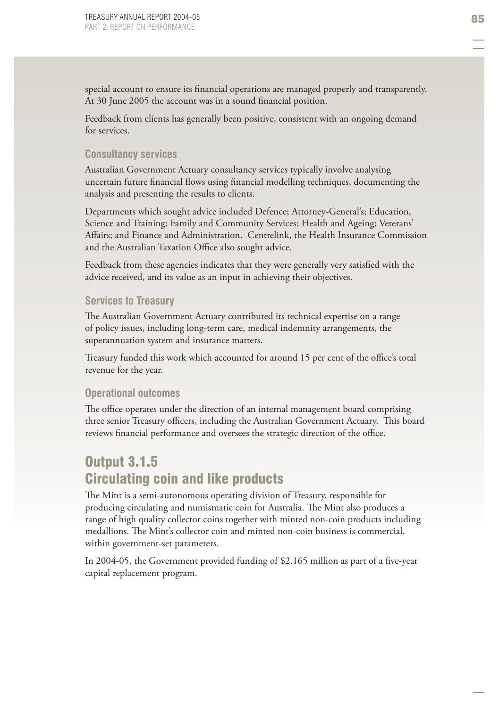special account to ensure its financial operations are managed properly and transparently. At 30 June 2005 the account was in a sound financial position.

Feedback from clients has generally been positive, consistent with an ongoing demand for services.

# **Consultancy services**

Australian Government Actuary consultancy services typically involve analysing uncertain future financial flows using financial modelling techniques, documenting the analysis and presenting the results to clients.

Departments which sought advice included Defence; Attorney-General's; Education, Science and Training; Family and Community Services; Health and Ageing; Veterans' Affairs; and Finance and Administration. Centrelink, the Health Insurance Commission and the Australian Taxation Office also sought advice.

Feedback from these agencies indicates that they were generally very satisfied with the advice received, and its value as an input in achieving their objectives.

# **Services to Treasury**

The Australian Government Actuary contributed its technical expertise on a range of policy issues, including long-term care, medical indemnity arrangements, the superannuation system and insurance matters.

Treasury funded this work which accounted for around 15 per cent of the office's total revenue for the year.

# **Operational outcomes**

The office operates under the direction of an internal management board comprising three senior Treasury officers, including the Australian Government Actuary. This board reviews financial performance and oversees the strategic direction of the office.

# Output 3.1.5 Circulating coin and like products

The Mint is a semi-autonomous operating division of Treasury, responsible for producing circulating and numismatic coin for Australia. The Mint also produces a range of high quality collector coins together with minted non-coin products including medallions. The Mint's collector coin and minted non-coin business is commercial, within government-set parameters.

In 2004-05, the Government provided funding of \$2.165 million as part of a five-year capital replacement program.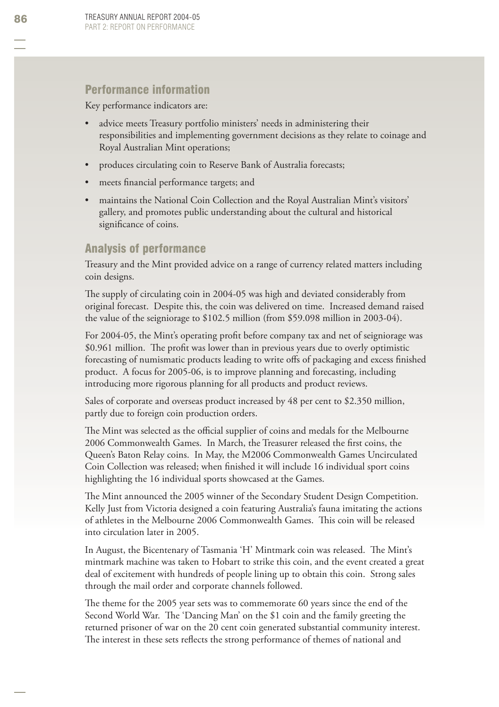# Performance information

Key performance indicators are:

- advice meets Treasury portfolio ministers' needs in administering their responsibilities and implementing government decisions as they relate to coinage and Royal Australian Mint operations; •
- produces circulating coin to Reserve Bank of Australia forecasts; •
- meets financial performance targets; and •
- maintains the National Coin Collection and the Royal Australian Mint's visitors' gallery, and promotes public understanding about the cultural and historical significance of coins. •

# Analysis of performance

Treasury and the Mint provided advice on a range of currency related matters including coin designs.

The supply of circulating coin in 2004-05 was high and deviated considerably from original forecast. Despite this, the coin was delivered on time. Increased demand raised the value of the seigniorage to \$102.5 million (from \$59.098 million in 2003-04).

For 2004-05, the Mint's operating profit before company tax and net of seigniorage was \$0.961 million. The profit was lower than in previous years due to overly optimistic forecasting of numismatic products leading to write offs of packaging and excess finished product. A focus for 2005-06, is to improve planning and forecasting, including introducing more rigorous planning for all products and product reviews.

Sales of corporate and overseas product increased by 48 per cent to \$2.350 million, partly due to foreign coin production orders.

The Mint was selected as the official supplier of coins and medals for the Melbourne 2006 Commonwealth Games. In March, the Treasurer released the first coins, the Queen's Baton Relay coins. In May, the M2006 Commonwealth Games Uncirculated Coin Collection was released; when finished it will include 16 individual sport coins highlighting the 16 individual sports showcased at the Games.

The Mint announced the 2005 winner of the Secondary Student Design Competition. Kelly Just from Victoria designed a coin featuring Australia's fauna imitating the actions of athletes in the Melbourne 2006 Commonwealth Games. This coin will be released into circulation later in 2005.

In August, the Bicentenary of Tasmania 'H' Mintmark coin was released. The Mint's mintmark machine was taken to Hobart to strike this coin, and the event created a great deal of excitement with hundreds of people lining up to obtain this coin. Strong sales through the mail order and corporate channels followed.

The theme for the 2005 year sets was to commemorate 60 years since the end of the Second World War. The 'Dancing Man' on the \$1 coin and the family greeting the returned prisoner of war on the 20 cent coin generated substantial community interest. The interest in these sets reflects the strong performance of themes of national and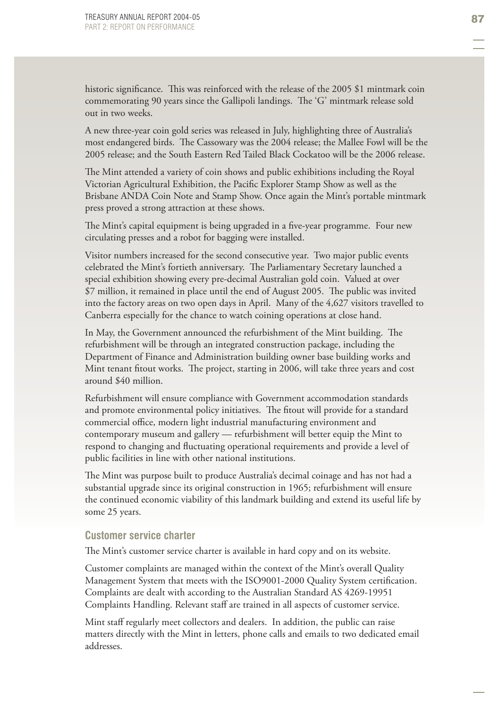historic significance. This was reinforced with the release of the 2005 \$1 mintmark coin commemorating 90 years since the Gallipoli landings. The 'G' mintmark release sold out in two weeks.

A new three-year coin gold series was released in July, highlighting three of Australia's most endangered birds. The Cassowary was the 2004 release; the Mallee Fowl will be the 2005 release; and the South Eastern Red Tailed Black Cockatoo will be the 2006 release.

The Mint attended a variety of coin shows and public exhibitions including the Royal Victorian Agricultural Exhibition, the Pacific Explorer Stamp Show as well as the Brisbane ANDA Coin Note and Stamp Show. Once again the Mint's portable mintmark press proved a strong attraction at these shows.

The Mint's capital equipment is being upgraded in a five-year programme. Four new circulating presses and a robot for bagging were installed.

Visitor numbers increased for the second consecutive year. Two major public events celebrated the Mint's fortieth anniversary. The Parliamentary Secretary launched a special exhibition showing every pre-decimal Australian gold coin. Valued at over \$7 million, it remained in place until the end of August 2005. The public was invited into the factory areas on two open days in April. Many of the 4,627 visitors travelled to Canberra especially for the chance to watch coining operations at close hand.

In May, the Government announced the refurbishment of the Mint building. The refurbishment will be through an integrated construction package, including the Department of Finance and Administration building owner base building works and Mint tenant fitout works. The project, starting in 2006, will take three years and cost around \$40 million.

Refurbishment will ensure compliance with Government accommodation standards and promote environmental policy initiatives. The fitout will provide for a standard commercial office, modern light industrial manufacturing environment and contemporary museum and gallery — refurbishment will better equip the Mint to respond to changing and fluctuating operational requirements and provide a level of public facilities in line with other national institutions.

The Mint was purpose built to produce Australia's decimal coinage and has not had a substantial upgrade since its original construction in 1965; refurbishment will ensure the continued economic viability of this landmark building and extend its useful life by some 25 years.

# **Customer service charter**

The Mint's customer service charter is available in hard copy and on its website.

Customer complaints are managed within the context of the Mint's overall Quality Management System that meets with the ISO9001-2000 Quality System certification. Complaints are dealt with according to the Australian Standard AS 4269-19951 Complaints Handling. Relevant staff are trained in all aspects of customer service.

Mint staff regularly meet collectors and dealers. In addition, the public can raise matters directly with the Mint in letters, phone calls and emails to two dedicated email addresses.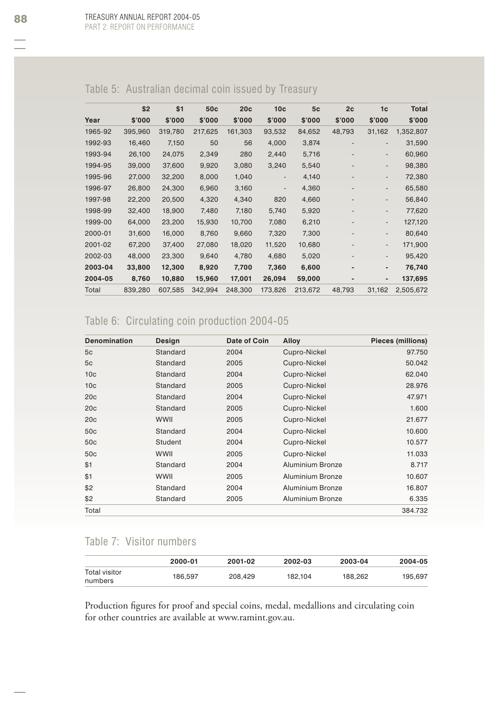| Table 5: Australian decimal coin issued by Treasury |  |  |
|-----------------------------------------------------|--|--|
|                                                     |  |  |
|                                                     |  |  |
|                                                     |  |  |

|         | \$2     | \$1     | 50 <sub>c</sub> | 20c     | 10 <sub>c</sub> | 5c      | 2c                           | 1c                       | <b>Total</b> |
|---------|---------|---------|-----------------|---------|-----------------|---------|------------------------------|--------------------------|--------------|
| Year    | \$'000  | \$'000  | \$'000          | \$'000  | \$'000          | \$'000  | \$'000                       | \$'000                   | \$'000       |
| 1965-92 | 395,960 | 319,780 | 217,625         | 161,303 | 93,532          | 84,652  | 48,793                       | 31,162                   | 1,352,807    |
| 1992-93 | 16,460  | 7,150   | 50              | 56      | 4,000           | 3,874   |                              | $\overline{\phantom{a}}$ | 31,590       |
| 1993-94 | 26,100  | 24,075  | 2,349           | 280     | 2,440           | 5,716   | -                            | $\overline{\phantom{a}}$ | 60,960       |
| 1994-95 | 39,000  | 37,600  | 9,920           | 3,080   | 3,240           | 5,540   |                              | $\overline{\phantom{a}}$ | 98,380       |
| 1995-96 | 27,000  | 32,200  | 8,000           | 1,040   | ٠               | 4,140   |                              | $\overline{\phantom{a}}$ | 72,380       |
| 1996-97 | 26,800  | 24,300  | 6,960           | 3,160   | ٠               | 4,360   | $\qquad \qquad \blacksquare$ | $\overline{\phantom{a}}$ | 65,580       |
| 1997-98 | 22,200  | 20,500  | 4,320           | 4,340   | 820             | 4,660   | $\qquad \qquad \blacksquare$ | $\overline{\phantom{a}}$ | 56,840       |
| 1998-99 | 32,400  | 18,900  | 7,480           | 7,180   | 5,740           | 5,920   |                              | $\overline{\phantom{a}}$ | 77,620       |
| 1999-00 | 64,000  | 23,200  | 15,930          | 10,700  | 7,080           | 6,210   | ٠                            | $\overline{\phantom{a}}$ | 127,120      |
| 2000-01 | 31,600  | 16,000  | 8,760           | 9,660   | 7,320           | 7,300   |                              | $\overline{\phantom{a}}$ | 80,640       |
| 2001-02 | 67,200  | 37,400  | 27,080          | 18,020  | 11,520          | 10,680  |                              | $\overline{\phantom{a}}$ | 171,900      |
| 2002-03 | 48,000  | 23,300  | 9,640           | 4,780   | 4,680           | 5,020   |                              | $\overline{\phantom{a}}$ | 95,420       |
| 2003-04 | 33,800  | 12,300  | 8,920           | 7,700   | 7,360           | 6,600   |                              | $\blacksquare$           | 76,740       |
| 2004-05 | 8,760   | 10,880  | 15,960          | 17,001  | 26,094          | 59,000  |                              |                          | 137,695      |
| Total   | 839,280 | 607,585 | 342,994         | 248.300 | 173,826         | 213,672 | 48,793                       | 31,162                   | 2,505,672    |

# Table 6: Circulating coin production 2004-05

| <b>Denomination</b> | Design      | Date of Coin | Alloy                   | Pieces (millions) |
|---------------------|-------------|--------------|-------------------------|-------------------|
| 5c                  | Standard    | 2004         | Cupro-Nickel            | 97.750            |
| 5c                  | Standard    | 2005         | Cupro-Nickel            | 50.042            |
| 10 <sub>c</sub>     | Standard    | 2004         | Cupro-Nickel            | 62.040            |
| 10 <sub>c</sub>     | Standard    | 2005         | Cupro-Nickel            | 28.976            |
| 20 <sub>c</sub>     | Standard    | 2004         | Cupro-Nickel            | 47.971            |
| 20 <sub>c</sub>     | Standard    | 2005         | Cupro-Nickel            | 1.600             |
| 20 <sub>c</sub>     | <b>WWII</b> | 2005         | Cupro-Nickel            | 21.677            |
| 50 <sub>c</sub>     | Standard    | 2004         | Cupro-Nickel            | 10.600            |
| 50 <sub>c</sub>     | Student     | 2004         | Cupro-Nickel            | 10.577            |
| 50 <sub>c</sub>     | <b>WWII</b> | 2005         | Cupro-Nickel            | 11.033            |
| \$1                 | Standard    | 2004         | Aluminium Bronze        | 8.717             |
| \$1                 | WWII        | 2005         | <b>Aluminium Bronze</b> | 10.607            |
| \$2                 | Standard    | 2004         | Aluminium Bronze        | 16.807            |
| \$2                 | Standard    | 2005         | Aluminium Bronze        | 6.335             |
| Total               |             |              |                         | 384.732           |

# Table 7: Visitor numbers

|                          | 2000-01 | 2001-02 | 2002-03 | 2003-04 | 2004-05 |
|--------------------------|---------|---------|---------|---------|---------|
| Total visitor<br>numbers | 186.597 | 208.429 | 182.104 | 188.262 | 195.697 |

Production figures for proof and special coins, medal, medallions and circulating coin for other countries are available at www.ramint.gov.au.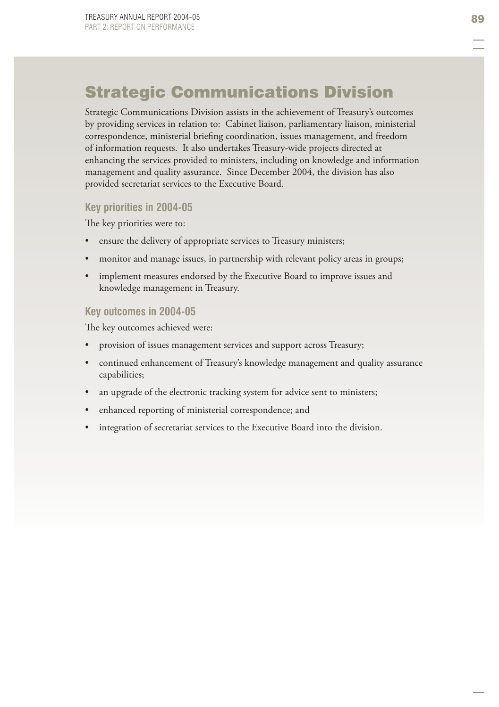# Strategic Communications Division

Strategic Communications Division assists in the achievement of Treasury's outcomes by providing services in relation to: Cabinet liaison, parliamentary liaison, ministerial correspondence, ministerial briefing coordination, issues management, and freedom of information requests. It also undertakes Treasury-wide projects directed at enhancing the services provided to ministers, including on knowledge and information management and quality assurance. Since December 2004, the division has also provided secretariat services to the Executive Board.

### **Key priorities in 2004-05**

The key priorities were to:

- ensure the delivery of appropriate services to Treasury ministers; •
- monitor and manage issues, in partnership with relevant policy areas in groups; •
- implement measures endorsed by the Executive Board to improve issues and knowledge management in Treasury. •

### **Key outcomes in 2004-05**

The key outcomes achieved were:

- provision of issues management services and support across Treasury; •
- continued enhancement of Treasury's knowledge management and quality assurance capabilities; •
- an upgrade of the electronic tracking system for advice sent to ministers; •
- enhanced reporting of ministerial correspondence; and •
- integration of secretariat services to the Executive Board into the division. •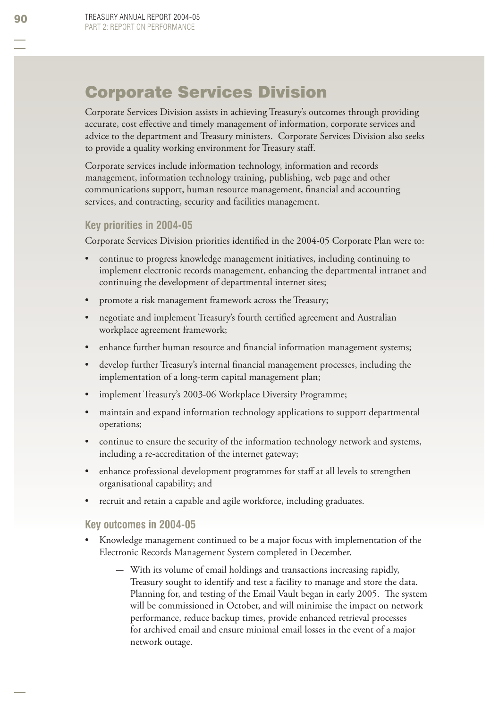## Corporate Services Division

Corporate Services Division assists in achieving Treasury's outcomes through providing accurate, cost effective and timely management of information, corporate services and advice to the department and Treasury ministers. Corporate Services Division also seeks to provide a quality working environment for Treasury staff.

Corporate services include information technology, information and records management, information technology training, publishing, web page and other communications support, human resource management, financial and accounting services, and contracting, security and facilities management.

## **Key priorities in 2004-05**

Corporate Services Division priorities identified in the 2004-05 Corporate Plan were to:

- continue to progress knowledge management initiatives, including continuing to implement electronic records management, enhancing the departmental intranet and continuing the development of departmental internet sites; •
- promote a risk management framework across the Treasury; •
- negotiate and implement Treasury's fourth certified agreement and Australian workplace agreement framework; •
- enhance further human resource and financial information management systems; •
- develop further Treasury's internal financial management processes, including the implementation of a long-term capital management plan; •
- implement Treasury's 2003-06 Workplace Diversity Programme; •
- maintain and expand information technology applications to support departmental operations; •
- continue to ensure the security of the information technology network and systems, including a re-accreditation of the internet gateway; •
- enhance professional development programmes for staff at all levels to strengthen organisational capability; and •
- recruit and retain a capable and agile workforce, including graduates. •

#### **Key outcomes in 2004-05**

- Knowledge management continued to be a major focus with implementation of the Electronic Records Management System completed in December. •
	- With its volume of email holdings and transactions increasing rapidly, —Treasury sought to identify and test a facility to manage and store the data. Planning for, and testing of the Email Vault began in early 2005. The system will be commissioned in October, and will minimise the impact on network performance, reduce backup times, provide enhanced retrieval processes for archived email and ensure minimal email losses in the event of a major network outage.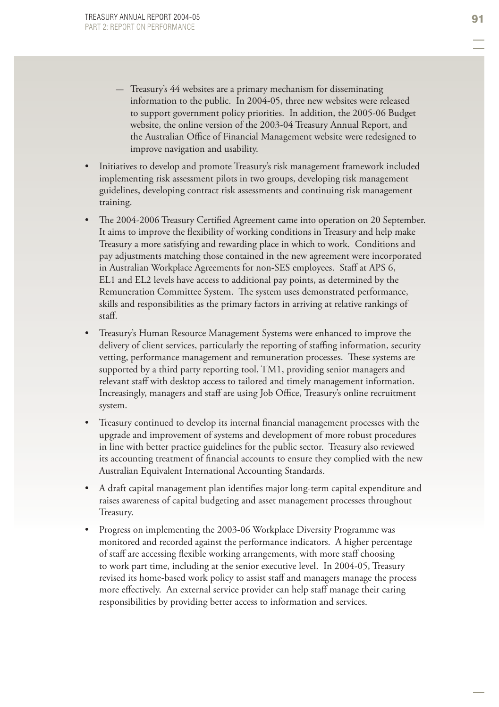- Treasury's 44 websites are a primary mechanism for disseminating information to the public. In 2004-05, three new websites were released to support government policy priorities. In addition, the 2005-06 Budget website, the online version of the 2003-04 Treasury Annual Report, and the Australian Office of Financial Management website were redesigned to improve navigation and usability.
- Initiatives to develop and promote Treasury's risk management framework included implementing risk assessment pilots in two groups, developing risk management guidelines, developing contract risk assessments and continuing risk management training. •
- The 2004-2006 Treasury Certified Agreement came into operation on 20 September. It aims to improve the flexibility of working conditions in Treasury and help make Treasury a more satisfying and rewarding place in which to work. Conditions and pay adjustments matching those contained in the new agreement were incorporated in Australian Workplace Agreements for non-SES employees. Staff at APS 6, EL1 and EL2 levels have access to additional pay points, as determined by the Remuneration Committee System. The system uses demonstrated performance, skills and responsibilities as the primary factors in arriving at relative rankings of staff. •
- Treasury's Human Resource Management Systems were enhanced to improve the delivery of client services, particularly the reporting of staffing information, security vetting, performance management and remuneration processes. These systems are supported by a third party reporting tool, TM1, providing senior managers and relevant staff with desktop access to tailored and timely management information. Increasingly, managers and staff are using Job Office, Treasury's online recruitment system. •
- Treasury continued to develop its internal financial management processes with the upgrade and improvement of systems and development of more robust procedures in line with better practice guidelines for the public sector. Treasury also reviewed its accounting treatment of financial accounts to ensure they complied with the new Australian Equivalent International Accounting Standards. •
- A draft capital management plan identifies major long-term capital expenditure and raises awareness of capital budgeting and asset management processes throughout Treasury. •
- Progress on implementing the 2003-06 Workplace Diversity Programme was monitored and recorded against the performance indicators. A higher percentage of staff are accessing flexible working arrangements, with more staff choosing to work part time, including at the senior executive level. In 2004-05, Treasury revised its home-based work policy to assist staff and managers manage the process more effectively. An external service provider can help staff manage their caring responsibilities by providing better access to information and services. •